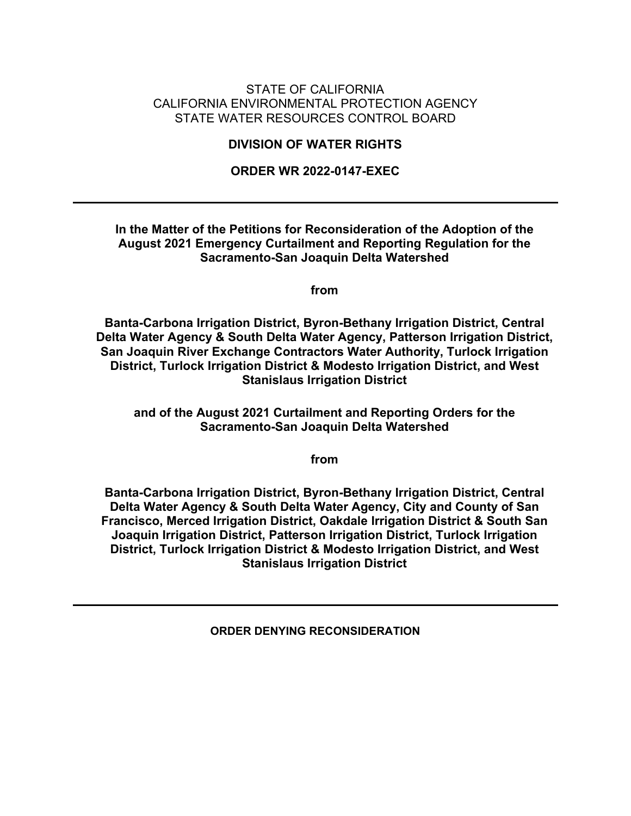#### STATE OF CALIFORNIA CALIFORNIA ENVIRONMENTAL PROTECTION AGENCY STATE WATER RESOURCES CONTROL BOARD

#### **DIVISION OF WATER RIGHTS**

#### **ORDER WR 2022-0147-EXEC**

#### **In the Matter of the Petitions for Reconsideration of the Adoption of the August 2021 Emergency Curtailment and Reporting Regulation for the Sacramento-San Joaquin Delta Watershed**

**from**

**Banta-Carbona Irrigation District, Byron-Bethany Irrigation District, Central Delta Water Agency & South Delta Water Agency, Patterson Irrigation District, San Joaquin River Exchange Contractors Water Authority, Turlock Irrigation District, Turlock Irrigation District & Modesto Irrigation District, and West Stanislaus Irrigation District**

**and of the August 2021 Curtailment and Reporting Orders for the Sacramento-San Joaquin Delta Watershed**

**from**

**Banta-Carbona Irrigation District, Byron-Bethany Irrigation District, Central Delta Water Agency & South Delta Water Agency, City and County of San Francisco, Merced Irrigation District, Oakdale Irrigation District & South San Joaquin Irrigation District, Patterson Irrigation District, Turlock Irrigation District, Turlock Irrigation District & Modesto Irrigation District, and West Stanislaus Irrigation District**

<span id="page-0-0"></span>**ORDER DENYING RECONSIDERATION**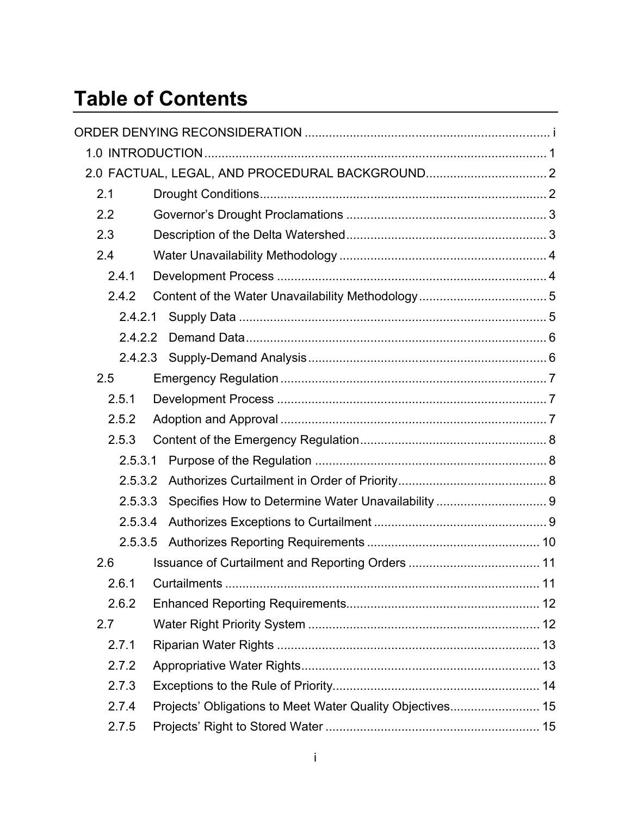# **Table of Contents**

|         | 2.0 FACTUAL, LEGAL, AND PROCEDURAL BACKGROUND 2           |                                                    |
|---------|-----------------------------------------------------------|----------------------------------------------------|
| 2.1     |                                                           |                                                    |
| 2.2     |                                                           |                                                    |
| 2.3     |                                                           |                                                    |
| 2.4     |                                                           |                                                    |
| 2.4.1   |                                                           |                                                    |
| 2.4.2   |                                                           |                                                    |
| 2.4.2.1 |                                                           |                                                    |
| 2.4.2.2 |                                                           |                                                    |
| 2.4.2.3 |                                                           |                                                    |
| 2.5     |                                                           |                                                    |
| 2.5.1   |                                                           |                                                    |
| 2.5.2   |                                                           |                                                    |
| 2.5.3   |                                                           |                                                    |
| 2.5.3.1 |                                                           |                                                    |
| 2.5.3.2 |                                                           |                                                    |
| 2.5.3.3 |                                                           | Specifies How to Determine Water Unavailability  9 |
| 2.5.3.4 |                                                           |                                                    |
| 2.5.3.5 |                                                           |                                                    |
| 2.6     |                                                           |                                                    |
|         |                                                           |                                                    |
| 2.6.2   |                                                           |                                                    |
| 2.7     |                                                           |                                                    |
| 2.7.1   |                                                           |                                                    |
| 2.7.2   |                                                           |                                                    |
| 2.7.3   |                                                           |                                                    |
| 2.7.4   | Projects' Obligations to Meet Water Quality Objectives 15 |                                                    |
| 2.7.5   |                                                           |                                                    |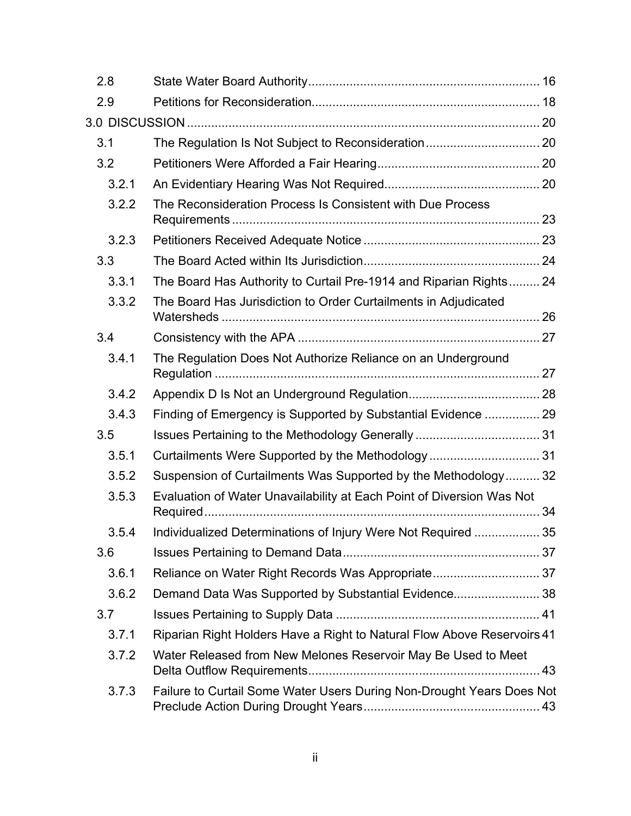| 2.8   |                                                                         |  |
|-------|-------------------------------------------------------------------------|--|
| 2.9   |                                                                         |  |
|       |                                                                         |  |
| 3.1   | The Regulation Is Not Subject to Reconsideration 20                     |  |
| 3.2   |                                                                         |  |
| 3.2.1 |                                                                         |  |
| 3.2.2 | The Reconsideration Process Is Consistent with Due Process              |  |
| 3.2.3 |                                                                         |  |
| 3.3   |                                                                         |  |
| 3.3.1 | The Board Has Authority to Curtail Pre-1914 and Riparian Rights 24      |  |
| 3.3.2 | The Board Has Jurisdiction to Order Curtailments in Adjudicated         |  |
| 3.4   |                                                                         |  |
| 3.4.1 | The Regulation Does Not Authorize Reliance on an Underground            |  |
| 3.4.2 |                                                                         |  |
| 3.4.3 | Finding of Emergency is Supported by Substantial Evidence  29           |  |
| 3.5   |                                                                         |  |
| 3.5.1 | Curtailments Were Supported by the Methodology  31                      |  |
| 3.5.2 | Suspension of Curtailments Was Supported by the Methodology 32          |  |
| 3.5.3 | Evaluation of Water Unavailability at Each Point of Diversion Was Not   |  |
| 3.5.4 | Individualized Determinations of Injury Were Not Required  35           |  |
| 3.6   |                                                                         |  |
| 3.6.1 | Reliance on Water Right Records Was Appropriate 37                      |  |
| 3.6.2 | Demand Data Was Supported by Substantial Evidence38                     |  |
| 3.7   |                                                                         |  |
| 3.7.1 | Riparian Right Holders Have a Right to Natural Flow Above Reservoirs 41 |  |
| 3.7.2 | Water Released from New Melones Reservoir May Be Used to Meet           |  |
| 3.7.3 | Failure to Curtail Some Water Users During Non-Drought Years Does Not   |  |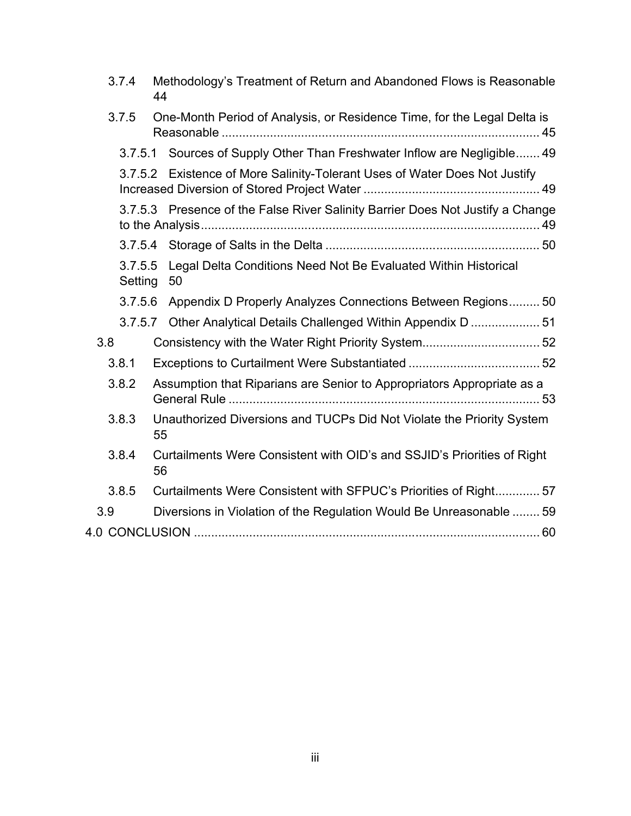| 3.7.4              | Methodology's Treatment of Return and Abandoned Flows is Reasonable<br>44      |
|--------------------|--------------------------------------------------------------------------------|
| 3.7.5              | One-Month Period of Analysis, or Residence Time, for the Legal Delta is        |
|                    | 3.7.5.1 Sources of Supply Other Than Freshwater Inflow are Negligible 49       |
|                    | 3.7.5.2 Existence of More Salinity-Tolerant Uses of Water Does Not Justify     |
|                    | 3.7.5.3 Presence of the False River Salinity Barrier Does Not Justify a Change |
|                    |                                                                                |
| 3.7.5.5<br>Setting | Legal Delta Conditions Need Not Be Evaluated Within Historical<br>50           |
| 3.7.5.6            | Appendix D Properly Analyzes Connections Between Regions50                     |
| 3.7.5.7            | Other Analytical Details Challenged Within Appendix D  51                      |
| 3.8                | Consistency with the Water Right Priority System 52                            |
| 3.8.1              |                                                                                |
| 3.8.2              | Assumption that Riparians are Senior to Appropriators Appropriate as a         |
| 3.8.3              | Unauthorized Diversions and TUCPs Did Not Violate the Priority System<br>55    |
| 3.8.4              | Curtailments Were Consistent with OID's and SSJID's Priorities of Right<br>56  |
| 3.8.5              | Curtailments Were Consistent with SFPUC's Priorities of Right 57               |
| 3.9                | Diversions in Violation of the Regulation Would Be Unreasonable  59            |
|                    |                                                                                |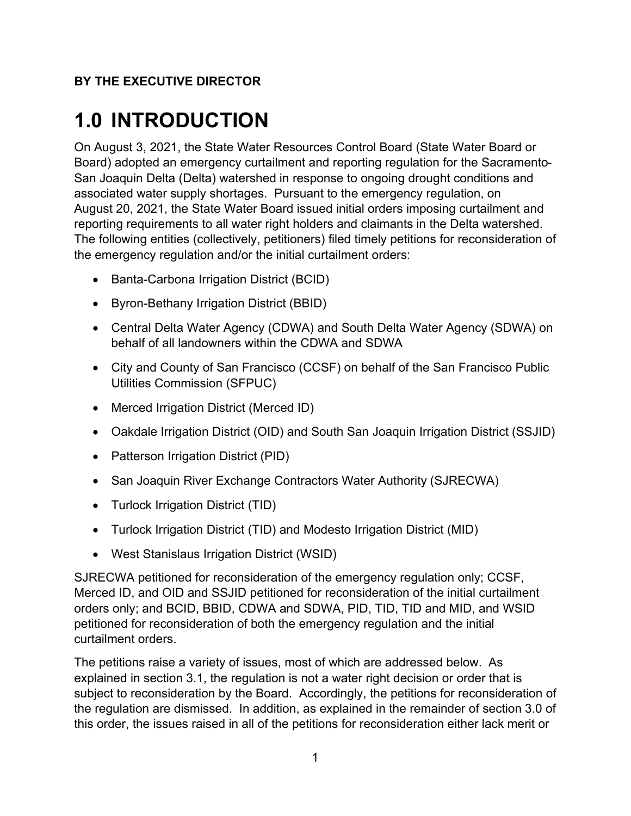#### **BY THE EXECUTIVE DIRECTOR**

# <span id="page-4-0"></span>**1.0 INTRODUCTION**

On August 3, 2021, the State Water Resources Control Board (State Water Board or Board) adopted an emergency curtailment and reporting regulation for the Sacramento-San Joaquin Delta (Delta) watershed in response to ongoing drought conditions and associated water supply shortages. Pursuant to the emergency regulation, on August 20, 2021, the State Water Board issued initial orders imposing curtailment and reporting requirements to all water right holders and claimants in the Delta watershed. The following entities (collectively, petitioners) filed timely petitions for reconsideration of the emergency regulation and/or the initial curtailment orders:

- · Banta-Carbona Irrigation District (BCID)
- · Byron-Bethany Irrigation District (BBID)
- · Central Delta Water Agency (CDWA) and South Delta Water Agency (SDWA) on behalf of all landowners within the CDWA and SDWA
- City and County of San Francisco (CCSF) on behalf of the San Francisco Public Utilities Commission (SFPUC)
- · Merced Irrigation District (Merced ID)
- · Oakdale Irrigation District (OID) and South San Joaquin Irrigation District (SSJID)
- Patterson Irrigation District (PID)
- San Joaquin River Exchange Contractors Water Authority (SJRECWA)
- · Turlock Irrigation District (TID)
- · Turlock Irrigation District (TID) and Modesto Irrigation District (MID)
- · West Stanislaus Irrigation District (WSID)

SJRECWA petitioned for reconsideration of the emergency regulation only; CCSF, Merced ID, and OID and SSJID petitioned for reconsideration of the initial curtailment orders only; and BCID, BBID, CDWA and SDWA, PID, TID, TID and MID, and WSID petitioned for reconsideration of both the emergency regulation and the initial curtailment orders.

The petitions raise a variety of issues, most of which are addressed below. As explained in section [3.1](#page-23-1), the regulation is not a water right decision or order that is subject to reconsideration by the Board. Accordingly, the petitions for reconsideration of the regulation are dismissed. In addition, as explained in the remainder of section [3.0](#page-23-0) of this order, the issues raised in all of the petitions for reconsideration either lack merit or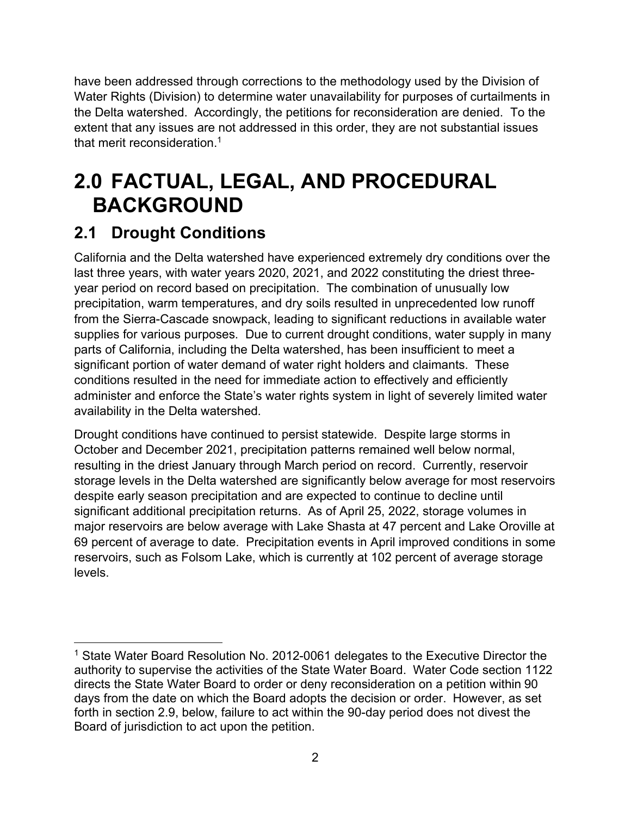have been addressed through corrections to the methodology used by the Division of Water Rights (Division) to determine water unavailability for purposes of curtailments in the Delta watershed. Accordingly, the petitions for reconsideration are denied. To the extent that any issues are not addressed in this order, they are not substantial issues that merit reconsideration.<sup>[1](#page-5-2)</sup>

# <span id="page-5-0"></span>**2.0 FACTUAL, LEGAL, AND PROCEDURAL BACKGROUND**

# <span id="page-5-1"></span>**2.1 Drought Conditions**

California and the Delta watershed have experienced extremely dry conditions over the last three years, with water years 2020, 2021, and 2022 constituting the driest threeyear period on record based on precipitation. The combination of unusually low precipitation, warm temperatures, and dry soils resulted in unprecedented low runoff from the Sierra-Cascade snowpack, leading to significant reductions in available water supplies for various purposes. Due to current drought conditions, water supply in many parts of California, including the Delta watershed, has been insufficient to meet a significant portion of water demand of water right holders and claimants. These conditions resulted in the need for immediate action to effectively and efficiently administer and enforce the State's water rights system in light of severely limited water availability in the Delta watershed.

Drought conditions have continued to persist statewide. Despite large storms in October and December 2021, precipitation patterns remained well below normal, resulting in the driest January through March period on record. Currently, reservoir storage levels in the Delta watershed are significantly below average for most reservoirs despite early season precipitation and are expected to continue to decline until significant additional precipitation returns. As of April 25, 2022, storage volumes in major reservoirs are below average with Lake Shasta at 47 percent and Lake Oroville at 69 percent of average to date. Precipitation events in April improved conditions in some reservoirs, such as Folsom Lake, which is currently at 102 percent of average storage levels.

<span id="page-5-2"></span><sup>&</sup>lt;sup>1</sup> State Water Board Resolution No. 2012-0061 delegates to the Executive Director the authority to supervise the activities of the State Water Board. Water Code section 1122 directs the State Water Board to order or deny reconsideration on a petition within 90 days from the date on which the Board adopts the decision or order. However, as set forth in section 2.9, below, failure to act within the 90-day period does not divest the Board of jurisdiction to act upon the petition.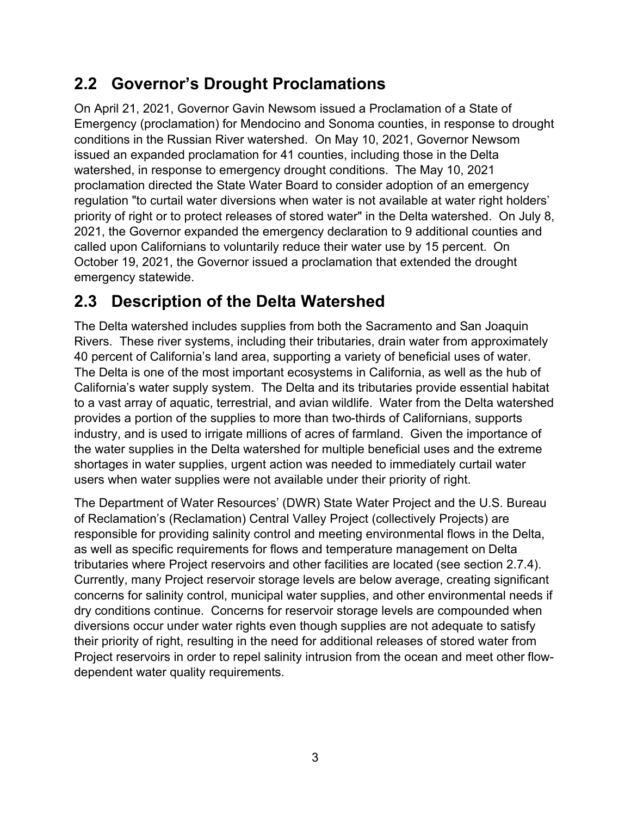# <span id="page-6-0"></span>**2.2 Governor's Drought Proclamations**

On April 21, 2021, Governor Gavin Newsom issued a Proclamation of a State of Emergency (proclamation) for Mendocino and Sonoma counties, in response to drought conditions in the Russian River watershed. On May 10, 2021, Governor Newsom issued an expanded proclamation for 41 counties, including those in the Delta watershed, in response to emergency drought conditions. The May 10, 2021 proclamation directed the State Water Board to consider adoption of an emergency regulation "to curtail water diversions when water is not available at water right holders' priority of right or to protect releases of stored water" in the Delta watershed. On July 8, 2021, the Governor expanded the emergency declaration to 9 additional counties and called upon Californians to voluntarily reduce their water use by 15 percent. On October 19, 2021, the Governor issued a proclamation that extended the drought emergency statewide.

# <span id="page-6-1"></span>**2.3 Description of the Delta Watershed**

The Delta watershed includes supplies from both the Sacramento and San Joaquin Rivers. These river systems, including their tributaries, drain water from approximately 40 percent of California's land area, supporting a variety of beneficial uses of water. The Delta is one of the most important ecosystems in California, as well as the hub of California's water supply system. The Delta and its tributaries provide essential habitat to a vast array of aquatic, terrestrial, and avian wildlife. Water from the Delta watershed provides a portion of the supplies to more than two-thirds of Californians, supports industry, and is used to irrigate millions of acres of farmland. Given the importance of the water supplies in the Delta watershed for multiple beneficial uses and the extreme shortages in water supplies, urgent action was needed to immediately curtail water users when water supplies were not available under their priority of right.

The Department of Water Resources' (DWR) State Water Project and the U.S. Bureau of Reclamation's (Reclamation) Central Valley Project (collectively Projects) are responsible for providing salinity control and meeting environmental flows in the Delta, as well as specific requirements for flows and temperature management on Delta tributaries where Project reservoirs and other facilities are located (see section [2.7.4](#page-18-0)). Currently, many Project reservoir storage levels are below average, creating significant concerns for salinity control, municipal water supplies, and other environmental needs if dry conditions continue. Concerns for reservoir storage levels are compounded when diversions occur under water rights even though supplies are not adequate to satisfy their priority of right, resulting in the need for additional releases of stored water from Project reservoirs in order to repel salinity intrusion from the ocean and meet other flowdependent water quality requirements.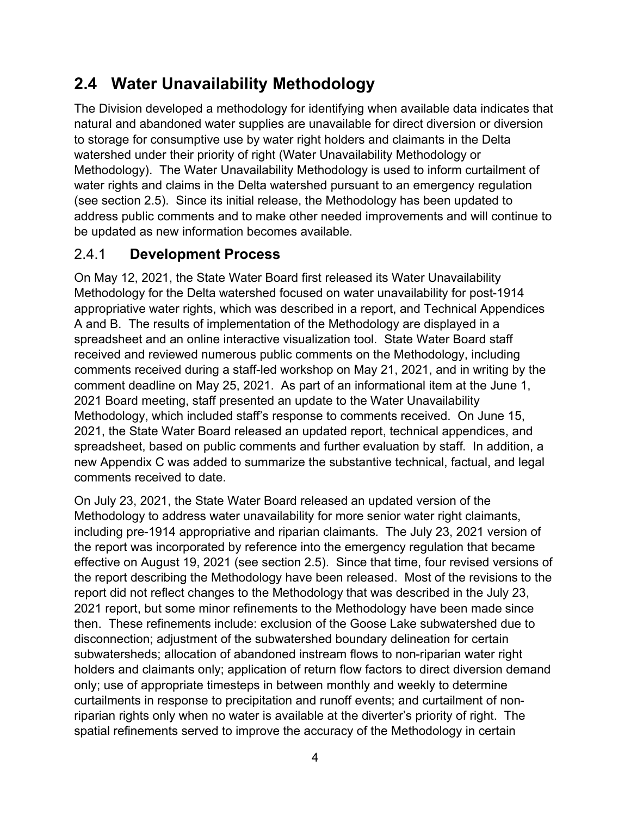# <span id="page-7-0"></span>**2.4 Water Unavailability Methodology**

The Division developed a methodology for identifying when available data indicates that natural and abandoned water supplies are unavailable for direct diversion or diversion to storage for consumptive use by water right holders and claimants in the Delta watershed under their priority of right (Water Unavailability Methodology or Methodology). The Water Unavailability Methodology is used to inform curtailment of water rights and claims in the Delta watershed pursuant to an emergency regulation (see section [2.5\)](#page-10-0). Since its initial release, the Methodology has been updated to address public comments and to make other needed improvements and will continue to be updated as new information becomes available.

## <span id="page-7-1"></span>2.4.1 **Development Process**

On May 12, 2021, the State Water Board first released its Water Unavailability Methodology for the Delta watershed focused on water unavailability for post-1914 appropriative water rights, which was described in a report, and Technical Appendices A and B. The results of implementation of the Methodology are displayed in a spreadsheet and an online interactive visualization tool. State Water Board staff received and reviewed numerous public comments on the Methodology, including comments received during a staff-led workshop on May 21, 2021, and in writing by the comment deadline on May 25, 2021. As part of an informational item at the June 1, 2021 Board meeting, staff presented an update to the Water Unavailability Methodology, which included staff's response to comments received. On June 15, 2021, the State Water Board released an updated report, technical appendices, and spreadsheet, based on public comments and further evaluation by staff. In addition, a new Appendix C was added to summarize the substantive technical, factual, and legal comments received to date.

On July 23, 2021, the State Water Board released an updated version of the Methodology to address water unavailability for more senior water right claimants, including pre-1914 appropriative and riparian claimants. The July 23, 2021 version of the report was incorporated by reference into the emergency regulation that became effective on August 19, 2021 (see section 2.5). Since that time, four revised versions of the report describing the Methodology have been released. Most of the revisions to the report did not reflect changes to the Methodology that was described in the July 23, 2021 report, but some minor refinements to the Methodology have been made since then. These refinements include: exclusion of the Goose Lake subwatershed due to disconnection; adjustment of the subwatershed boundary delineation for certain subwatersheds; allocation of abandoned instream flows to non-riparian water right holders and claimants only; application of return flow factors to direct diversion demand only; use of appropriate timesteps in between monthly and weekly to determine curtailments in response to precipitation and runoff events; and curtailment of nonriparian rights only when no water is available at the diverter's priority of right. The spatial refinements served to improve the accuracy of the Methodology in certain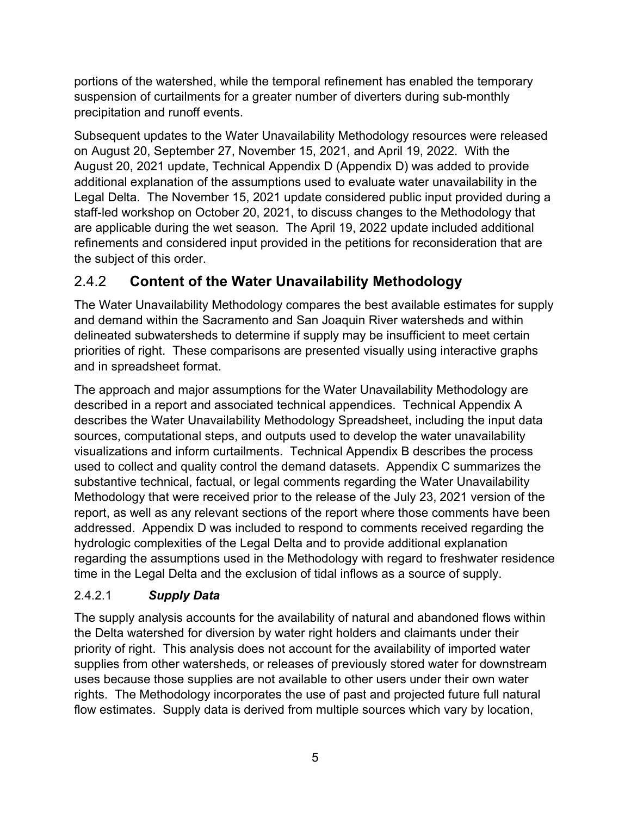portions of the watershed, while the temporal refinement has enabled the temporary suspension of curtailments for a greater number of diverters during sub-monthly precipitation and runoff events.

Subsequent updates to the Water Unavailability Methodology resources were released on August 20, September 27, November 15, 2021, and April 19, 2022. With the August 20, 2021 update, Technical Appendix D (Appendix D) was added to provide additional explanation of the assumptions used to evaluate water unavailability in the Legal Delta. The November 15, 2021 update considered public input provided during a staff-led workshop on October 20, 2021, to discuss changes to the Methodology that are applicable during the wet season. The April 19, 2022 update included additional refinements and considered input provided in the petitions for reconsideration that are the subject of this order.

## <span id="page-8-0"></span>2.4.2 **Content of the Water Unavailability Methodology**

The Water Unavailability Methodology compares the best available estimates for supply and demand within the Sacramento and San Joaquin River watersheds and within delineated subwatersheds to determine if supply may be insufficient to meet certain priorities of right. These comparisons are presented visually using interactive graphs and in spreadsheet format.

The approach and major assumptions for the Water Unavailability Methodology are described in a report and associated technical appendices. Technical Appendix A describes the Water Unavailability Methodology Spreadsheet, including the input data sources, computational steps, and outputs used to develop the water unavailability visualizations and inform curtailments. Technical Appendix B describes the process used to collect and quality control the demand datasets. Appendix C summarizes the substantive technical, factual, or legal comments regarding the Water Unavailability Methodology that were received prior to the release of the July 23, 2021 version of the report, as well as any relevant sections of the report where those comments have been addressed. Appendix D was included to respond to comments received regarding the hydrologic complexities of the Legal Delta and to provide additional explanation regarding the assumptions used in the Methodology with regard to freshwater residence time in the Legal Delta and the exclusion of tidal inflows as a source of supply.

### <span id="page-8-1"></span>2.4.2.1 *Supply Data*

The supply analysis accounts for the availability of natural and abandoned flows within the Delta watershed for diversion by water right holders and claimants under their priority of right. This analysis does not account for the availability of imported water supplies from other watersheds, or releases of previously stored water for downstream uses because those supplies are not available to other users under their own water rights. The Methodology incorporates the use of past and projected future full natural flow estimates. Supply data is derived from multiple sources which vary by location,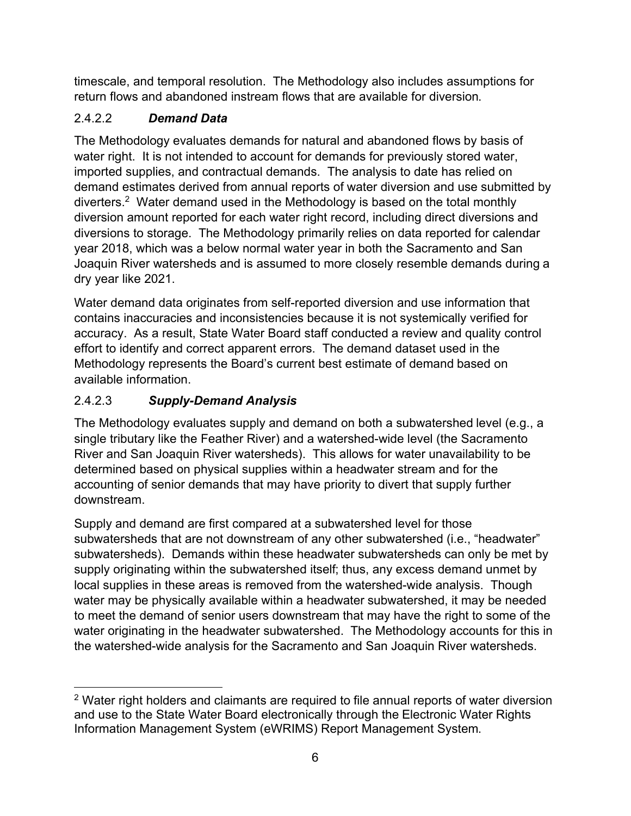timescale, and temporal resolution. The Methodology also includes assumptions for return flows and abandoned instream flows that are available for diversion.

### <span id="page-9-0"></span>2.4.2.2 *Demand Data*

The Methodology evaluates demands for natural and abandoned flows by basis of water right. It is not intended to account for demands for previously stored water, imported supplies, and contractual demands. The analysis to date has relied on demand estimates derived from annual reports of water diversion and use submitted by diverters. [2](#page-9-2) Water demand used in the Methodology is based on the total monthly diversion amount reported for each water right record, including direct diversions and diversions to storage. The Methodology primarily relies on data reported for calendar year 2018, which was a below normal water year in both the Sacramento and San Joaquin River watersheds and is assumed to more closely resemble demands during a dry year like 2021.

Water demand data originates from self-reported diversion and use information that contains inaccuracies and inconsistencies because it is not systemically verified for accuracy. As a result, State Water Board staff conducted a review and quality control effort to identify and correct apparent errors. The demand dataset used in the Methodology represents the Board's current best estimate of demand based on available information.

### <span id="page-9-1"></span>2.4.2.3 *Supply-Demand Analysis*

The Methodology evaluates supply and demand on both a subwatershed level (e.g., a single tributary like the Feather River) and a watershed-wide level (the Sacramento River and San Joaquin River watersheds). This allows for water unavailability to be determined based on physical supplies within a headwater stream and for the accounting of senior demands that may have priority to divert that supply further downstream.

Supply and demand are first compared at a subwatershed level for those subwatersheds that are not downstream of any other subwatershed (i.e., "headwater" subwatersheds). Demands within these headwater subwatersheds can only be met by supply originating within the subwatershed itself; thus, any excess demand unmet by local supplies in these areas is removed from the watershed-wide analysis. Though water may be physically available within a headwater subwatershed, it may be needed to meet the demand of senior users downstream that may have the right to some of the water originating in the headwater subwatershed. The Methodology accounts for this in the watershed-wide analysis for the Sacramento and San Joaquin River watersheds.

<span id="page-9-2"></span> $2$  Water right holders and claimants are required to file annual reports of water diversion and use to the State Water Board electronically through the Electronic Water Rights Information Management System (eWRIMS) Report Management System.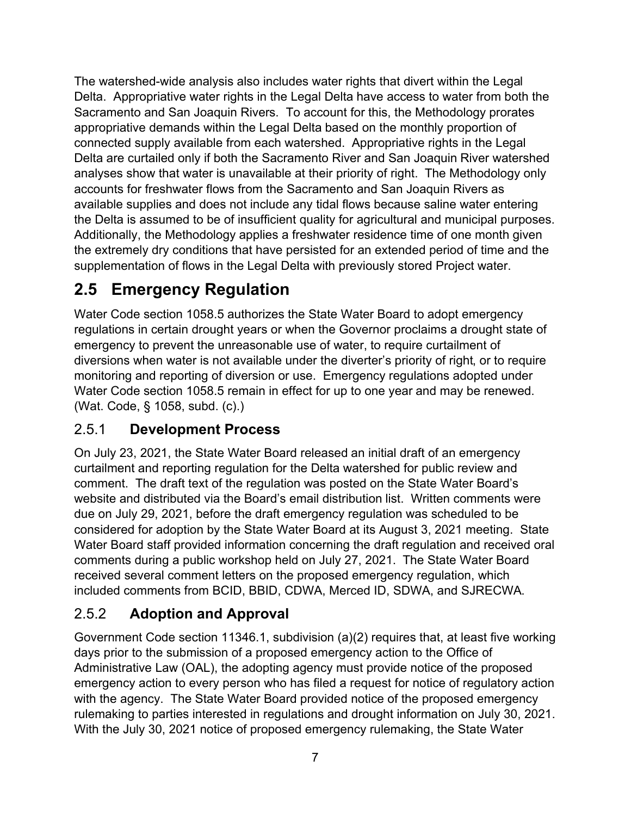The watershed-wide analysis also includes water rights that divert within the Legal Delta. Appropriative water rights in the Legal Delta have access to water from both the Sacramento and San Joaquin Rivers. To account for this, the Methodology prorates appropriative demands within the Legal Delta based on the monthly proportion of connected supply available from each watershed. Appropriative rights in the Legal Delta are curtailed only if both the Sacramento River and San Joaquin River watershed analyses show that water is unavailable at their priority of right. The Methodology only accounts for freshwater flows from the Sacramento and San Joaquin Rivers as available supplies and does not include any tidal flows because saline water entering the Delta is assumed to be of insufficient quality for agricultural and municipal purposes. Additionally, the Methodology applies a freshwater residence time of one month given the extremely dry conditions that have persisted for an extended period of time and the supplementation of flows in the Legal Delta with previously stored Project water.

# <span id="page-10-0"></span>**2.5 Emergency Regulation**

Water Code section 1058.5 authorizes the State Water Board to adopt emergency regulations in certain drought years or when the Governor proclaims a drought state of emergency to prevent the unreasonable use of water, to require curtailment of diversions when water is not available under the diverter's priority of right, or to require monitoring and reporting of diversion or use. Emergency regulations adopted under Water Code section 1058.5 remain in effect for up to one year and may be renewed. (Wat. Code, § 1058, subd. (c).)

## <span id="page-10-1"></span>2.5.1 **Development Process**

On July 23, 2021, the State Water Board released an initial draft of an emergency curtailment and reporting regulation for the Delta watershed for public review and comment. The draft text of the regulation was posted on the State Water Board's website and distributed via the Board's email distribution list. Written comments were due on July 29, 2021, before the draft emergency regulation was scheduled to be considered for adoption by the State Water Board at its August 3, 2021 meeting. State Water Board staff provided information concerning the draft regulation and received oral comments during a public workshop held on July 27, 2021. The State Water Board received several comment letters on the proposed emergency regulation, which included comments from BCID, BBID, CDWA, Merced ID, SDWA, and SJRECWA.

### <span id="page-10-2"></span>2.5.2 **Adoption and Approval**

Government Code section 11346.1, subdivision (a)(2) requires that, at least five working days prior to the submission of a proposed emergency action to the Office of Administrative Law (OAL), the adopting agency must provide notice of the proposed emergency action to every person who has filed a request for notice of regulatory action with the agency. The State Water Board provided notice of the proposed emergency rulemaking to parties interested in regulations and drought information on July 30, 2021. With the July 30, 2021 notice of proposed emergency rulemaking, the State Water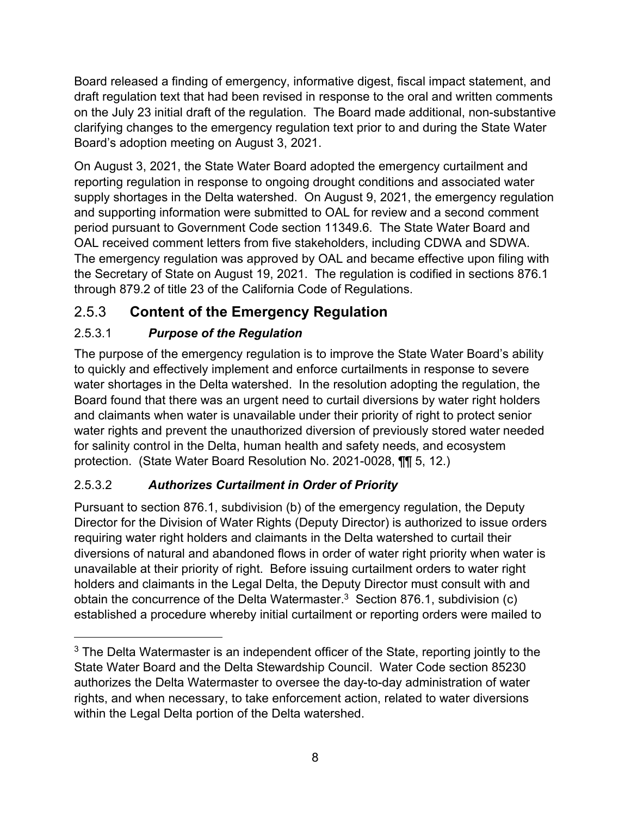Board released a finding of emergency, informative digest, fiscal impact statement, and draft regulation text that had been revised in response to the oral and written comments on the July 23 initial draft of the regulation. The Board made additional, non-substantive clarifying changes to the emergency regulation text prior to and during the State Water Board's adoption meeting on August 3, 2021.

On August 3, 2021, the State Water Board adopted the emergency curtailment and reporting regulation in response to ongoing drought conditions and associated water supply shortages in the Delta watershed. On August 9, 2021, the emergency regulation and supporting information were submitted to OAL for review and a second comment period pursuant to Government Code section 11349.6. The State Water Board and OAL received comment letters from five stakeholders, including CDWA and SDWA. The emergency regulation was approved by OAL and became effective upon filing with the Secretary of State on August 19, 2021. The regulation is codified in sections 876.1 through 879.2 of title 23 of the California Code of Regulations.

## <span id="page-11-0"></span>2.5.3 **Content of the Emergency Regulation**

### <span id="page-11-1"></span>2.5.3.1 *Purpose of the Regulation*

The purpose of the emergency regulation is to improve the State Water Board's ability to quickly and effectively implement and enforce curtailments in response to severe water shortages in the Delta watershed. In the resolution adopting the regulation, the Board found that there was an urgent need to curtail diversions by water right holders and claimants when water is unavailable under their priority of right to protect senior water rights and prevent the unauthorized diversion of previously stored water needed for salinity control in the Delta, human health and safety needs, and ecosystem protection. (State Water Board Resolution No. 2021-0028, ¶¶ 5, 12.)

### <span id="page-11-2"></span>2.5.3.2 *Authorizes Curtailment in Order of Priority*

Pursuant to section 876.1, subdivision (b) of the emergency regulation, the Deputy Director for the Division of Water Rights (Deputy Director) is authorized to issue orders requiring water right holders and claimants in the Delta watershed to curtail their diversions of natural and abandoned flows in order of water right priority when water is unavailable at their priority of right. Before issuing curtailment orders to water right holders and claimants in the Legal Delta, the Deputy Director must consult with and obtain the concurrence of the Delta Watermaster. $3$  Section 876.1, subdivision (c) established a procedure whereby initial curtailment or reporting orders were mailed to

<span id="page-11-3"></span> $3$  The Delta Watermaster is an independent officer of the State, reporting jointly to the State Water Board and the Delta Stewardship Council. Water Code section 85230 authorizes the Delta Watermaster to oversee the day-to-day administration of water rights, and when necessary, to take enforcement action, related to water diversions within the Legal Delta portion of the Delta watershed.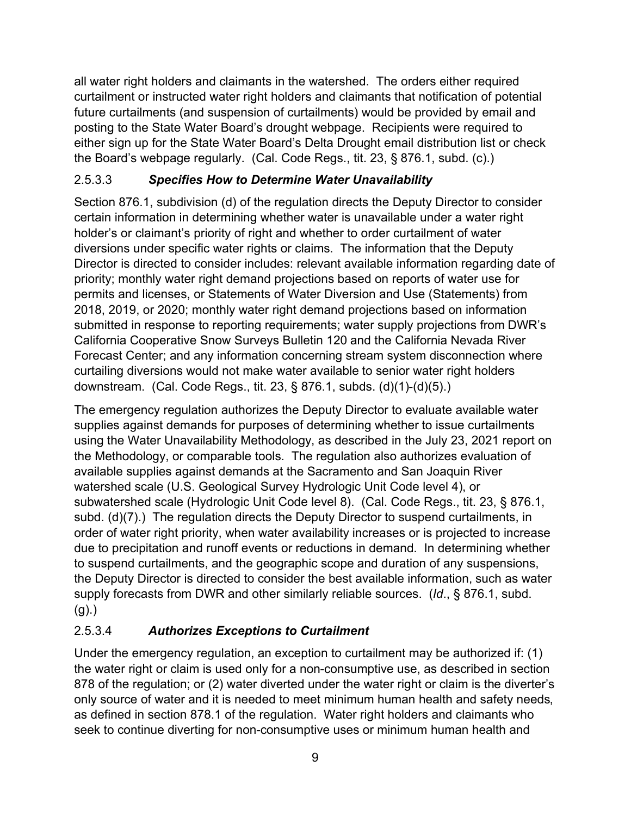all water right holders and claimants in the watershed. The orders either required curtailment or instructed water right holders and claimants that notification of potential future curtailments (and suspension of curtailments) would be provided by email and posting to the State Water Board's drought webpage. Recipients were required to either sign up for the State Water Board's Delta Drought email distribution list or check the Board's webpage regularly. (Cal. Code Regs., tit. 23, § 876.1, subd. (c).)

#### <span id="page-12-0"></span>2.5.3.3 *Specifies How to Determine Water Unavailability*

Section 876.1, subdivision (d) of the regulation directs the Deputy Director to consider certain information in determining whether water is unavailable under a water right holder's or claimant's priority of right and whether to order curtailment of water diversions under specific water rights or claims. The information that the Deputy Director is directed to consider includes: relevant available information regarding date of priority; monthly water right demand projections based on reports of water use for permits and licenses, or Statements of Water Diversion and Use (Statements) from 2018, 2019, or 2020; monthly water right demand projections based on information submitted in response to reporting requirements; water supply projections from DWR's California Cooperative Snow Surveys Bulletin 120 and the California Nevada River Forecast Center; and any information concerning stream system disconnection where curtailing diversions would not make water available to senior water right holders downstream. (Cal. Code Regs., tit. 23, § 876.1, subds. (d)(1)-(d)(5).)

The emergency regulation authorizes the Deputy Director to evaluate available water supplies against demands for purposes of determining whether to issue curtailments using the Water Unavailability Methodology, as described in the July 23, 2021 report on the Methodology, or comparable tools. The regulation also authorizes evaluation of available supplies against demands at the Sacramento and San Joaquin River watershed scale (U.S. Geological Survey Hydrologic Unit Code level 4), or subwatershed scale (Hydrologic Unit Code level 8). (Cal. Code Regs., tit. 23, § 876.1, subd. (d)(7).) The regulation directs the Deputy Director to suspend curtailments, in order of water right priority, when water availability increases or is projected to increase due to precipitation and runoff events or reductions in demand. In determining whether to suspend curtailments, and the geographic scope and duration of any suspensions, the Deputy Director is directed to consider the best available information, such as water supply forecasts from DWR and other similarly reliable sources. (*Id*., § 876.1, subd.  $(g)$ .)

### <span id="page-12-1"></span>2.5.3.4 *Authorizes Exceptions to Curtailment*

Under the emergency regulation, an exception to curtailment may be authorized if: (1) the water right or claim is used only for a non-consumptive use, as described in section 878 of the regulation; or (2) water diverted under the water right or claim is the diverter's only source of water and it is needed to meet minimum human health and safety needs, as defined in section 878.1 of the regulation. Water right holders and claimants who seek to continue diverting for non-consumptive uses or minimum human health and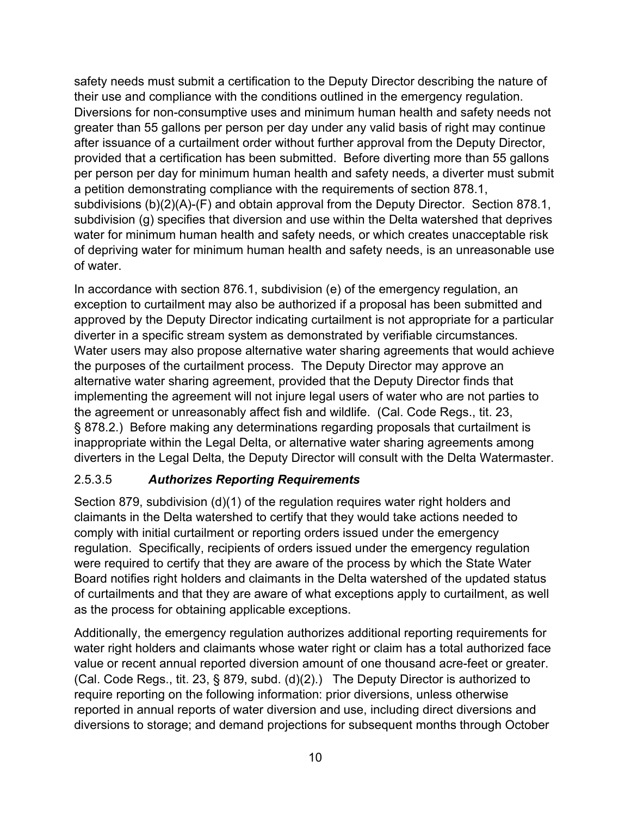safety needs must submit a certification to the Deputy Director describing the nature of their use and compliance with the conditions outlined in the emergency regulation. Diversions for non-consumptive uses and minimum human health and safety needs not greater than 55 gallons per person per day under any valid basis of right may continue after issuance of a curtailment order without further approval from the Deputy Director, provided that a certification has been submitted. Before diverting more than 55 gallons per person per day for minimum human health and safety needs, a diverter must submit a petition demonstrating compliance with the requirements of section 878.1, subdivisions (b)(2)(A)-(F) and obtain approval from the Deputy Director. Section 878.1, subdivision (g) specifies that diversion and use within the Delta watershed that deprives water for minimum human health and safety needs, or which creates unacceptable risk of depriving water for minimum human health and safety needs, is an unreasonable use of water.

In accordance with section 876.1, subdivision (e) of the emergency regulation, an exception to curtailment may also be authorized if a proposal has been submitted and approved by the Deputy Director indicating curtailment is not appropriate for a particular diverter in a specific stream system as demonstrated by verifiable circumstances. Water users may also propose alternative water sharing agreements that would achieve the purposes of the curtailment process. The Deputy Director may approve an alternative water sharing agreement, provided that the Deputy Director finds that implementing the agreement will not injure legal users of water who are not parties to the agreement or unreasonably affect fish and wildlife. (Cal. Code Regs., tit. 23, § 878.2.) Before making any determinations regarding proposals that curtailment is inappropriate within the Legal Delta, or alternative water sharing agreements among diverters in the Legal Delta, the Deputy Director will consult with the Delta Watermaster.

### <span id="page-13-0"></span>2.5.3.5 *Authorizes Reporting Requirements*

Section 879, subdivision (d)(1) of the regulation requires water right holders and claimants in the Delta watershed to certify that they would take actions needed to comply with initial curtailment or reporting orders issued under the emergency regulation. Specifically, recipients of orders issued under the emergency regulation were required to certify that they are aware of the process by which the State Water Board notifies right holders and claimants in the Delta watershed of the updated status of curtailments and that they are aware of what exceptions apply to curtailment, as well as the process for obtaining applicable exceptions.

Additionally, the emergency regulation authorizes additional reporting requirements for water right holders and claimants whose water right or claim has a total authorized face value or recent annual reported diversion amount of one thousand acre-feet or greater. (Cal. Code Regs., tit. 23, § 879, subd. (d)(2).) The Deputy Director is authorized to require reporting on the following information: prior diversions, unless otherwise reported in annual reports of water diversion and use, including direct diversions and diversions to storage; and demand projections for subsequent months through October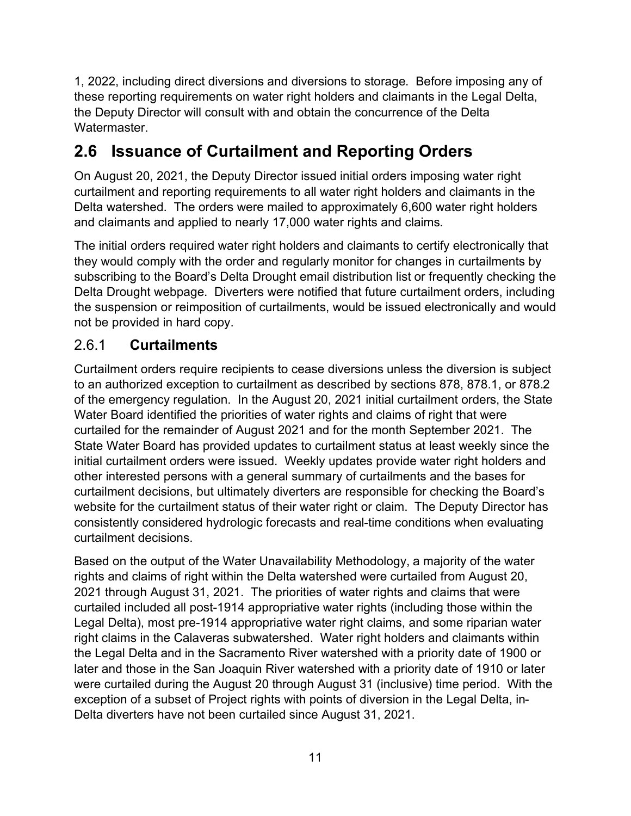1, 2022, including direct diversions and diversions to storage. Before imposing any of these reporting requirements on water right holders and claimants in the Legal Delta, the Deputy Director will consult with and obtain the concurrence of the Delta Watermaster.

# <span id="page-14-0"></span>**2.6 Issuance of Curtailment and Reporting Orders**

On August 20, 2021, the Deputy Director issued initial orders imposing water right curtailment and reporting requirements to all water right holders and claimants in the Delta watershed. The orders were mailed to approximately 6,600 water right holders and claimants and applied to nearly 17,000 water rights and claims.

The initial orders required water right holders and claimants to certify electronically that they would comply with the order and regularly monitor for changes in curtailments by subscribing to the Board's Delta Drought email distribution list or frequently checking the Delta Drought webpage. Diverters were notified that future curtailment orders, including the suspension or reimposition of curtailments, would be issued electronically and would not be provided in hard copy.

### <span id="page-14-1"></span>2.6.1 **Curtailments**

Curtailment orders require recipients to cease diversions unless the diversion is subject to an authorized exception to curtailment as described by sections 878, 878.1, or 878.2 of the emergency regulation. In the August 20, 2021 initial curtailment orders, the State Water Board identified the priorities of water rights and claims of right that were curtailed for the remainder of August 2021 and for the month September 2021. The State Water Board has provided updates to curtailment status at least weekly since the initial curtailment orders were issued. Weekly updates provide water right holders and other interested persons with a general summary of curtailments and the bases for curtailment decisions, but ultimately diverters are responsible for checking the Board's website for the curtailment status of their water right or claim. The Deputy Director has consistently considered hydrologic forecasts and real-time conditions when evaluating curtailment decisions.

Based on the output of the Water Unavailability Methodology, a majority of the water rights and claims of right within the Delta watershed were curtailed from August 20, 2021 through August 31, 2021. The priorities of water rights and claims that were curtailed included all post-1914 appropriative water rights (including those within the Legal Delta), most pre-1914 appropriative water right claims, and some riparian water right claims in the Calaveras subwatershed. Water right holders and claimants within the Legal Delta and in the Sacramento River watershed with a priority date of 1900 or later and those in the San Joaquin River watershed with a priority date of 1910 or later were curtailed during the August 20 through August 31 (inclusive) time period. With the exception of a subset of Project rights with points of diversion in the Legal Delta, in-Delta diverters have not been curtailed since August 31, 2021.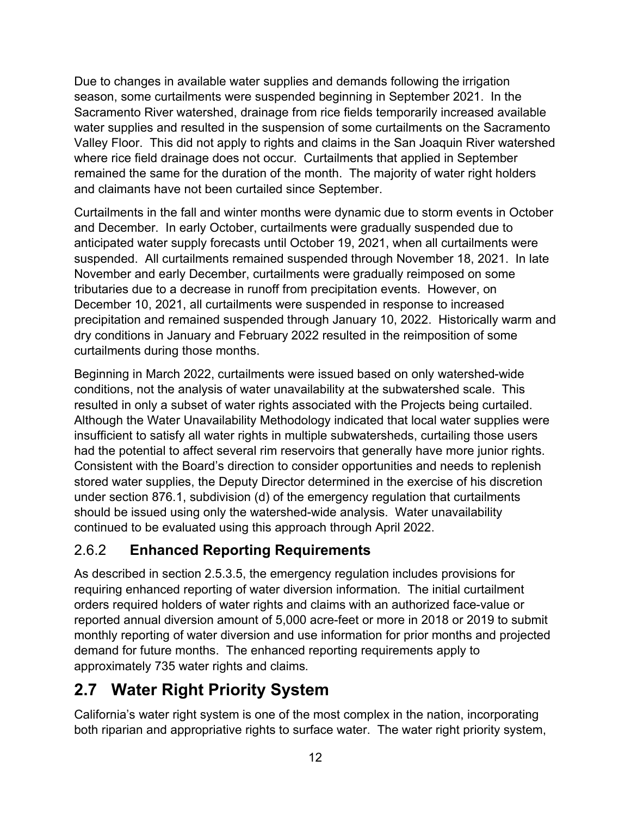Due to changes in available water supplies and demands following the irrigation season, some curtailments were suspended beginning in September 2021. In the Sacramento River watershed, drainage from rice fields temporarily increased available water supplies and resulted in the suspension of some curtailments on the Sacramento Valley Floor. This did not apply to rights and claims in the San Joaquin River watershed where rice field drainage does not occur. Curtailments that applied in September remained the same for the duration of the month. The majority of water right holders and claimants have not been curtailed since September.

Curtailments in the fall and winter months were dynamic due to storm events in October and December. In early October, curtailments were gradually suspended due to anticipated water supply forecasts until October 19, 2021, when all curtailments were suspended. All curtailments remained suspended through November 18, 2021. In late November and early December, curtailments were gradually reimposed on some tributaries due to a decrease in runoff from precipitation events. However, on December 10, 2021, all curtailments were suspended in response to increased precipitation and remained suspended through January 10, 2022. Historically warm and dry conditions in January and February 2022 resulted in the reimposition of some curtailments during those months.

Beginning in March 2022, curtailments were issued based on only watershed-wide conditions, not the analysis of water unavailability at the subwatershed scale. This resulted in only a subset of water rights associated with the Projects being curtailed. Although the Water Unavailability Methodology indicated that local water supplies were insufficient to satisfy all water rights in multiple subwatersheds, curtailing those users had the potential to affect several rim reservoirs that generally have more junior rights. Consistent with the Board's direction to consider opportunities and needs to replenish stored water supplies, the Deputy Director determined in the exercise of his discretion under section 876.1, subdivision (d) of the emergency regulation that curtailments should be issued using only the watershed-wide analysis. Water unavailability continued to be evaluated using this approach through April 2022.

## <span id="page-15-0"></span>2.6.2 **Enhanced Reporting Requirements**

As described in section [2.5.3.5](#page-13-0), the emergency regulation includes provisions for requiring enhanced reporting of water diversion information. The initial curtailment orders required holders of water rights and claims with an authorized face-value or reported annual diversion amount of 5,000 acre-feet or more in 2018 or 2019 to submit monthly reporting of water diversion and use information for prior months and projected demand for future months. The enhanced reporting requirements apply to approximately 735 water rights and claims.

# <span id="page-15-1"></span>**2.7 Water Right Priority System**

California's water right system is one of the most complex in the nation, incorporating both riparian and appropriative rights to surface water. The water right priority system,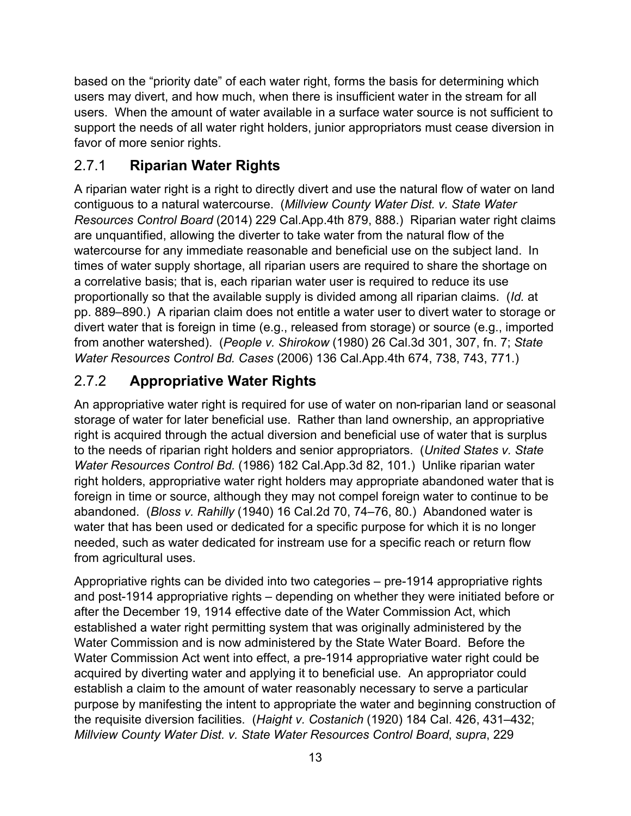based on the "priority date" of each water right, forms the basis for determining which users may divert, and how much, when there is insufficient water in the stream for all users. When the amount of water available in a surface water source is not sufficient to support the needs of all water right holders, junior appropriators must cease diversion in favor of more senior rights.

## <span id="page-16-0"></span>2.7.1 **Riparian Water Rights**

A riparian water right is a right to directly divert and use the natural flow of water on land contiguous to a natural watercourse. (*Millview County Water Dist. v. State Water Resources Control Board* (2014) 229 Cal.App.4th 879, 888.) Riparian water right claims are unquantified, allowing the diverter to take water from the natural flow of the watercourse for any immediate reasonable and beneficial use on the subject land. In times of water supply shortage, all riparian users are required to share the shortage on a correlative basis; that is, each riparian water user is required to reduce its use proportionally so that the available supply is divided among all riparian claims. (*Id.* at pp. 889–890.) A riparian claim does not entitle a water user to divert water to storage or divert water that is foreign in time (e.g., released from storage) or source (e.g., imported from another watershed). (*People v. Shirokow* (1980) 26 Cal.3d 301, 307, fn. 7; *State Water Resources Control Bd. Cases* (2006) 136 Cal.App.4th 674, 738, 743, 771.)

# <span id="page-16-1"></span>2.7.2 **Appropriative Water Rights**

An appropriative water right is required for use of water on non-riparian land or seasonal storage of water for later beneficial use. Rather than land ownership, an appropriative right is acquired through the actual diversion and beneficial use of water that is surplus to the needs of riparian right holders and senior appropriators. (*United States v. State Water Resources Control Bd.* (1986) 182 Cal.App.3d 82, 101.) Unlike riparian water right holders, appropriative water right holders may appropriate abandoned water that is foreign in time or source, although they may not compel foreign water to continue to be abandoned. (*Bloss v. Rahilly* (1940) 16 Cal.2d 70, 74–76, 80.) Abandoned water is water that has been used or dedicated for a specific purpose for which it is no longer needed, such as water dedicated for instream use for a specific reach or return flow from agricultural uses.

Appropriative rights can be divided into two categories – pre-1914 appropriative rights and post-1914 appropriative rights – depending on whether they were initiated before or after the December 19, 1914 effective date of the Water Commission Act, which established a water right permitting system that was originally administered by the Water Commission and is now administered by the State Water Board. Before the Water Commission Act went into effect, a pre-1914 appropriative water right could be acquired by diverting water and applying it to beneficial use. An appropriator could establish a claim to the amount of water reasonably necessary to serve a particular purpose by manifesting the intent to appropriate the water and beginning construction of the requisite diversion facilities. (*Haight v. Costanich* (1920) 184 Cal. 426, 431–432; *Millview County Water Dist. v. State Water Resources Control Board*, *supra*, 229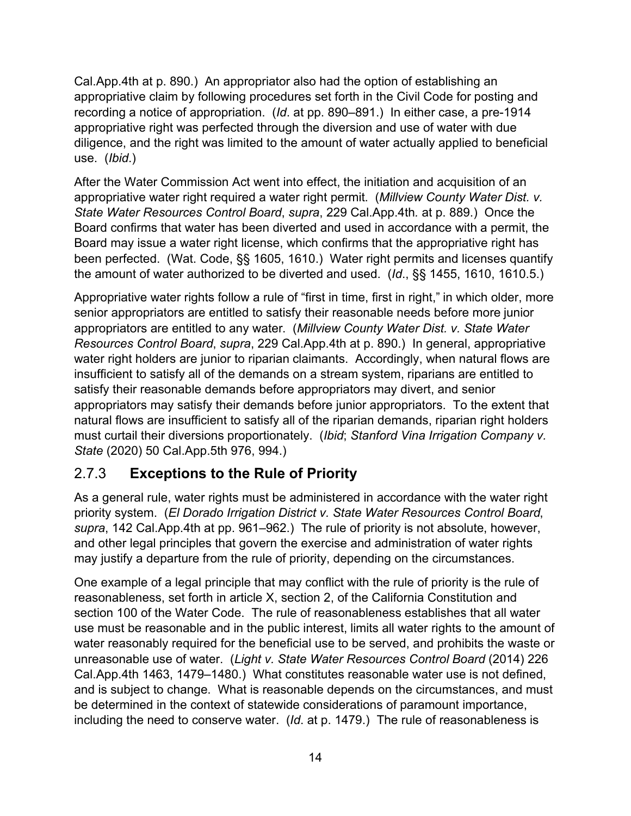Cal.App.4th at p. 890.) An appropriator also had the option of establishing an appropriative claim by following procedures set forth in the Civil Code for posting and recording a notice of appropriation. (*Id*. at pp. 890–891.) In either case, a pre-1914 appropriative right was perfected through the diversion and use of water with due diligence, and the right was limited to the amount of water actually applied to beneficial use. (*Ibid*.)

After the Water Commission Act went into effect, the initiation and acquisition of an appropriative water right required a water right permit. (*Millview County Water Dist. v. State Water Resources Control Board*, *supra*, 229 Cal.App.4th*.* at p. 889.) Once the Board confirms that water has been diverted and used in accordance with a permit, the Board may issue a water right license, which confirms that the appropriative right has been perfected. (Wat. Code, §§ 1605, 1610.) Water right permits and licenses quantify the amount of water authorized to be diverted and used. (*Id*., §§ 1455, 1610, 1610.5.)

Appropriative water rights follow a rule of "first in time, first in right," in which older, more senior appropriators are entitled to satisfy their reasonable needs before more junior appropriators are entitled to any water. (*Millview County Water Dist. v. State Water Resources Control Board*, *supra*, 229 Cal.App.4th at p. 890.) In general, appropriative water right holders are junior to riparian claimants. Accordingly, when natural flows are insufficient to satisfy all of the demands on a stream system, riparians are entitled to satisfy their reasonable demands before appropriators may divert, and senior appropriators may satisfy their demands before junior appropriators. To the extent that natural flows are insufficient to satisfy all of the riparian demands, riparian right holders must curtail their diversions proportionately. (*Ibid*; *Stanford Vina Irrigation Company v. State* (2020) 50 Cal.App.5th 976, 994.)

### <span id="page-17-0"></span>2.7.3 **Exceptions to the Rule of Priority**

As a general rule, water rights must be administered in accordance with the water right priority system. (*El Dorado Irrigation District v. State Water Resources Control Board*, *supra*, 142 Cal.App.4th at pp. 961–962.) The rule of priority is not absolute, however, and other legal principles that govern the exercise and administration of water rights may justify a departure from the rule of priority, depending on the circumstances.

One example of a legal principle that may conflict with the rule of priority is the rule of reasonableness, set forth in article X, section 2, of the California Constitution and section 100 of the Water Code. The rule of reasonableness establishes that all water use must be reasonable and in the public interest, limits all water rights to the amount of water reasonably required for the beneficial use to be served, and prohibits the waste or unreasonable use of water. (*Light v. State Water Resources Control Board* (2014) 226 Cal.App.4th 1463, 1479–1480.) What constitutes reasonable water use is not defined, and is subject to change. What is reasonable depends on the circumstances, and must be determined in the context of statewide considerations of paramount importance, including the need to conserve water. (*Id*. at p. 1479.) The rule of reasonableness is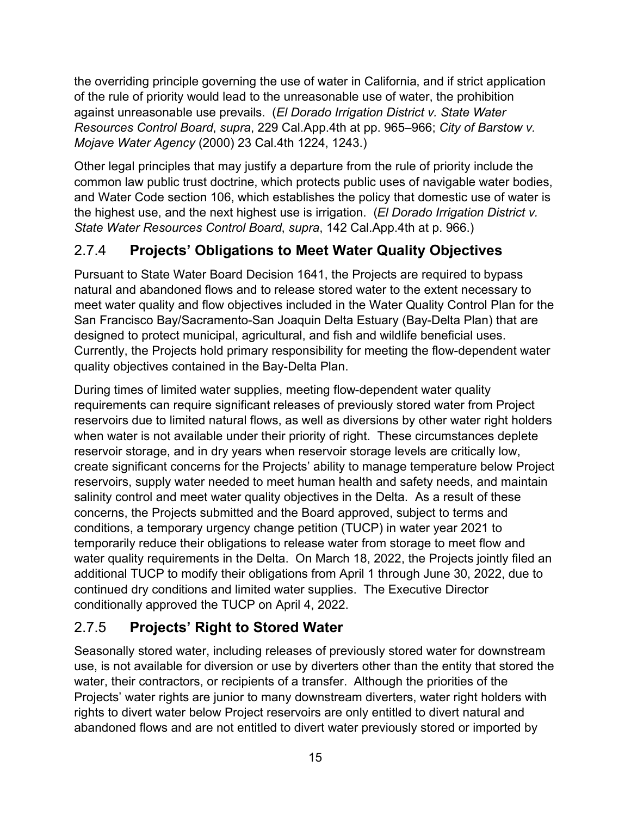the overriding principle governing the use of water in California, and if strict application of the rule of priority would lead to the unreasonable use of water, the prohibition against unreasonable use prevails. (*El Dorado Irrigation District v. State Water Resources Control Board*, *supra*, 229 Cal.App.4th at pp. 965–966; *City of Barstow v. Mojave Water Agency* (2000) 23 Cal.4th 1224, 1243.)

Other legal principles that may justify a departure from the rule of priority include the common law public trust doctrine, which protects public uses of navigable water bodies, and Water Code section 106, which establishes the policy that domestic use of water is the highest use, and the next highest use is irrigation. (*El Dorado Irrigation District v. State Water Resources Control Board*, *supra*, 142 Cal.App.4th at p. 966.)

## <span id="page-18-0"></span>2.7.4 **Projects' Obligations to Meet Water Quality Objectives**

Pursuant to State Water Board Decision 1641, the Projects are required to bypass natural and abandoned flows and to release stored water to the extent necessary to meet water quality and flow objectives included in the Water Quality Control Plan for the San Francisco Bay/Sacramento-San Joaquin Delta Estuary (Bay-Delta Plan) that are designed to protect municipal, agricultural, and fish and wildlife beneficial uses. Currently, the Projects hold primary responsibility for meeting the flow-dependent water quality objectives contained in the Bay-Delta Plan.

During times of limited water supplies, meeting flow-dependent water quality requirements can require significant releases of previously stored water from Project reservoirs due to limited natural flows, as well as diversions by other water right holders when water is not available under their priority of right. These circumstances deplete reservoir storage, and in dry years when reservoir storage levels are critically low, create significant concerns for the Projects' ability to manage temperature below Project reservoirs, supply water needed to meet human health and safety needs, and maintain salinity control and meet water quality objectives in the Delta. As a result of these concerns, the Projects submitted and the Board approved, subject to terms and conditions, a temporary urgency change petition (TUCP) in water year 2021 to temporarily reduce their obligations to release water from storage to meet flow and water quality requirements in the Delta. On March 18, 2022, the Projects jointly filed an additional TUCP to modify their obligations from April 1 through June 30, 2022, due to continued dry conditions and limited water supplies. The Executive Director conditionally approved the TUCP on April 4, 2022.

## <span id="page-18-1"></span>2.7.5 **Projects' Right to Stored Water**

Seasonally stored water, including releases of previously stored water for downstream use, is not available for diversion or use by diverters other than the entity that stored the water, their contractors, or recipients of a transfer. Although the priorities of the Projects' water rights are junior to many downstream diverters, water right holders with rights to divert water below Project reservoirs are only entitled to divert natural and abandoned flows and are not entitled to divert water previously stored or imported by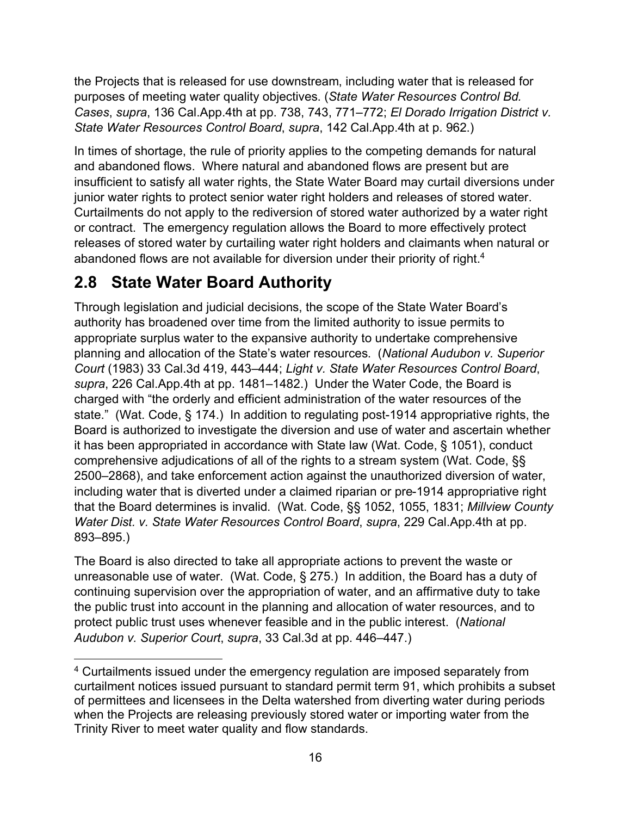the Projects that is released for use downstream, including water that is released for purposes of meeting water quality objectives. (*State Water Resources Control Bd. Cases*, *supra*, 136 Cal.App.4th at pp. 738, 743, 771–772; *El Dorado Irrigation District v. State Water Resources Control Board*, *supra*, 142 Cal.App.4th at p. 962.)

In times of shortage, the rule of priority applies to the competing demands for natural and abandoned flows. Where natural and abandoned flows are present but are insufficient to satisfy all water rights, the State Water Board may curtail diversions under junior water rights to protect senior water right holders and releases of stored water. Curtailments do not apply to the rediversion of stored water authorized by a water right or contract. The emergency regulation allows the Board to more effectively protect releases of stored water by curtailing water right holders and claimants when natural or abandoned flows are not available for diversion under their priority of right.<sup>[4](#page-19-1)</sup>

# <span id="page-19-0"></span>**2.8 State Water Board Authority**

Through legislation and judicial decisions, the scope of the State Water Board's authority has broadened over time from the limited authority to issue permits to appropriate surplus water to the expansive authority to undertake comprehensive planning and allocation of the State's water resources. (*National Audubon v. Superior Court* (1983) 33 Cal.3d 419, 443–444; *Light v. State Water Resources Control Board*, *supra*, 226 Cal.App.4th at pp. 1481–1482.) Under the Water Code, the Board is charged with "the orderly and efficient administration of the water resources of the state." (Wat. Code, § 174.) In addition to regulating post-1914 appropriative rights, the Board is authorized to investigate the diversion and use of water and ascertain whether it has been appropriated in accordance with State law (Wat. Code, § 1051), conduct comprehensive adjudications of all of the rights to a stream system (Wat. Code, §§ 2500–2868), and take enforcement action against the unauthorized diversion of water, including water that is diverted under a claimed riparian or pre-1914 appropriative right that the Board determines is invalid. (Wat. Code, §§ 1052, 1055, 1831; *Millview County Water Dist. v. State Water Resources Control Board*, *supra*, 229 Cal.App.4th at pp. 893–895.)

The Board is also directed to take all appropriate actions to prevent the waste or unreasonable use of water. (Wat. Code, § 275.) In addition, the Board has a duty of continuing supervision over the appropriation of water, and an affirmative duty to take the public trust into account in the planning and allocation of water resources, and to protect public trust uses whenever feasible and in the public interest. (*National Audubon v. Superior Court*, *supra*, 33 Cal.3d at pp. 446–447.)

<span id="page-19-1"></span><sup>&</sup>lt;sup>4</sup> Curtailments issued under the emergency regulation are imposed separately from curtailment notices issued pursuant to standard permit term 91, which prohibits a subset of permittees and licensees in the Delta watershed from diverting water during periods when the Projects are releasing previously stored water or importing water from the Trinity River to meet water quality and flow standards.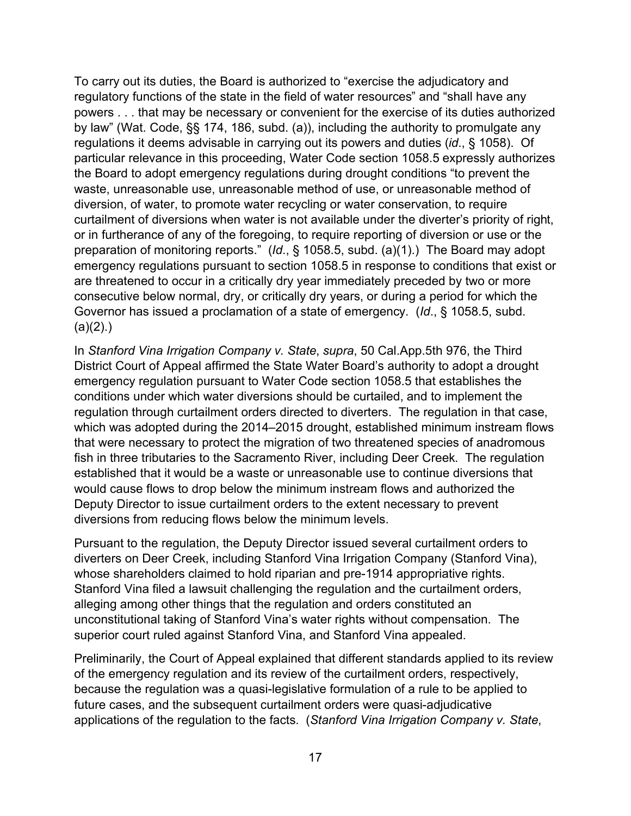To carry out its duties, the Board is authorized to "exercise the adjudicatory and regulatory functions of the state in the field of water resources" and "shall have any powers . . . that may be necessary or convenient for the exercise of its duties authorized by law" (Wat. Code, §§ 174, 186, subd. (a)), including the authority to promulgate any regulations it deems advisable in carrying out its powers and duties (*id*., § 1058). Of particular relevance in this proceeding, Water Code section 1058.5 expressly authorizes the Board to adopt emergency regulations during drought conditions "to prevent the waste, unreasonable use, unreasonable method of use, or unreasonable method of diversion, of water, to promote water recycling or water conservation, to require curtailment of diversions when water is not available under the diverter's priority of right, or in furtherance of any of the foregoing, to require reporting of diversion or use or the preparation of monitoring reports." (*Id*., § 1058.5, subd. (a)(1).) The Board may adopt emergency regulations pursuant to section 1058.5 in response to conditions that exist or are threatened to occur in a critically dry year immediately preceded by two or more consecutive below normal, dry, or critically dry years, or during a period for which the Governor has issued a proclamation of a state of emergency. (*Id*., § 1058.5, subd.  $(a)(2)$ .)

In *Stanford Vina Irrigation Company v. State*, *supra*, 50 Cal.App.5th 976, the Third District Court of Appeal affirmed the State Water Board's authority to adopt a drought emergency regulation pursuant to Water Code section 1058.5 that establishes the conditions under which water diversions should be curtailed, and to implement the regulation through curtailment orders directed to diverters. The regulation in that case, which was adopted during the 2014–2015 drought, established minimum instream flows that were necessary to protect the migration of two threatened species of anadromous fish in three tributaries to the Sacramento River, including Deer Creek. The regulation established that it would be a waste or unreasonable use to continue diversions that would cause flows to drop below the minimum instream flows and authorized the Deputy Director to issue curtailment orders to the extent necessary to prevent diversions from reducing flows below the minimum levels.

Pursuant to the regulation, the Deputy Director issued several curtailment orders to diverters on Deer Creek, including Stanford Vina Irrigation Company (Stanford Vina), whose shareholders claimed to hold riparian and pre-1914 appropriative rights. Stanford Vina filed a lawsuit challenging the regulation and the curtailment orders, alleging among other things that the regulation and orders constituted an unconstitutional taking of Stanford Vina's water rights without compensation. The superior court ruled against Stanford Vina, and Stanford Vina appealed.

Preliminarily, the Court of Appeal explained that different standards applied to its review of the emergency regulation and its review of the curtailment orders, respectively, because the regulation was a quasi-legislative formulation of a rule to be applied to future cases, and the subsequent curtailment orders were quasi-adjudicative applications of the regulation to the facts. (*Stanford Vina Irrigation Company v. State*,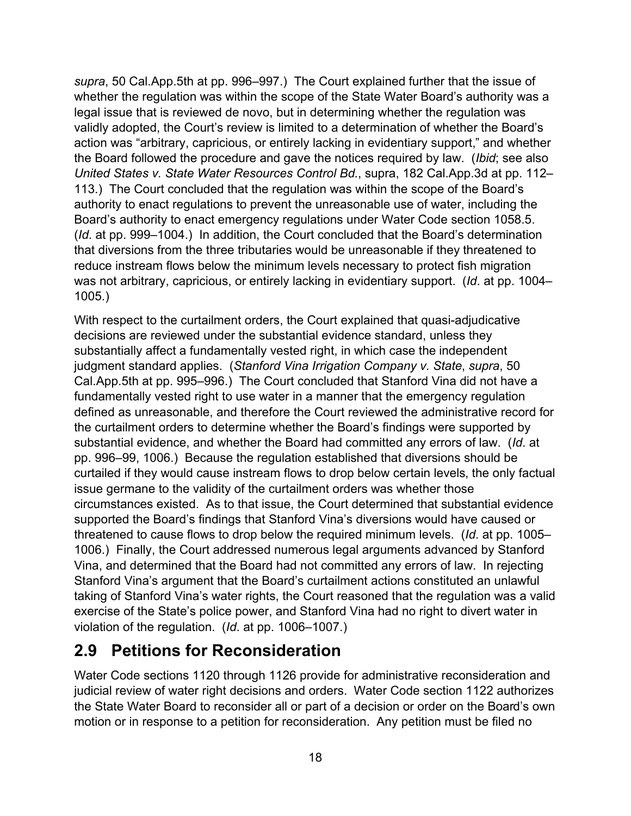*supra*, 50 Cal.App.5th at pp. 996–997.) The Court explained further that the issue of whether the regulation was within the scope of the State Water Board's authority was a legal issue that is reviewed de novo, but in determining whether the regulation was validly adopted, the Court's review is limited to a determination of whether the Board's action was "arbitrary, capricious, or entirely lacking in evidentiary support," and whether the Board followed the procedure and gave the notices required by law. (*Ibid*; see also *United States v. State Water Resources Control Bd*., supra, 182 Cal.App.3d at pp. 112– 113.) The Court concluded that the regulation was within the scope of the Board's authority to enact regulations to prevent the unreasonable use of water, including the Board's authority to enact emergency regulations under Water Code section 1058.5. (*Id*. at pp. 999–1004.) In addition, the Court concluded that the Board's determination that diversions from the three tributaries would be unreasonable if they threatened to reduce instream flows below the minimum levels necessary to protect fish migration was not arbitrary, capricious, or entirely lacking in evidentiary support. (*Id*. at pp. 1004– 1005.)

With respect to the curtailment orders, the Court explained that quasi-adjudicative decisions are reviewed under the substantial evidence standard, unless they substantially affect a fundamentally vested right, in which case the independent judgment standard applies. (*Stanford Vina Irrigation Company v. State*, *supra*, 50 Cal.App.5th at pp. 995–996.) The Court concluded that Stanford Vina did not have a fundamentally vested right to use water in a manner that the emergency regulation defined as unreasonable, and therefore the Court reviewed the administrative record for the curtailment orders to determine whether the Board's findings were supported by substantial evidence, and whether the Board had committed any errors of law. (*Id*. at pp. 996–99, 1006.) Because the regulation established that diversions should be curtailed if they would cause instream flows to drop below certain levels, the only factual issue germane to the validity of the curtailment orders was whether those circumstances existed. As to that issue, the Court determined that substantial evidence supported the Board's findings that Stanford Vina's diversions would have caused or threatened to cause flows to drop below the required minimum levels. (*Id*. at pp. 1005– 1006.) Finally, the Court addressed numerous legal arguments advanced by Stanford Vina, and determined that the Board had not committed any errors of law. In rejecting Stanford Vina's argument that the Board's curtailment actions constituted an unlawful taking of Stanford Vina's water rights, the Court reasoned that the regulation was a valid exercise of the State's police power, and Stanford Vina had no right to divert water in violation of the regulation. (*Id*. at pp. 1006–1007.)

# <span id="page-21-0"></span>**2.9 Petitions for Reconsideration**

Water Code sections 1120 through 1126 provide for administrative reconsideration and judicial review of water right decisions and orders. Water Code section 1122 authorizes the State Water Board to reconsider all or part of a decision or order on the Board's own motion or in response to a petition for reconsideration. Any petition must be filed no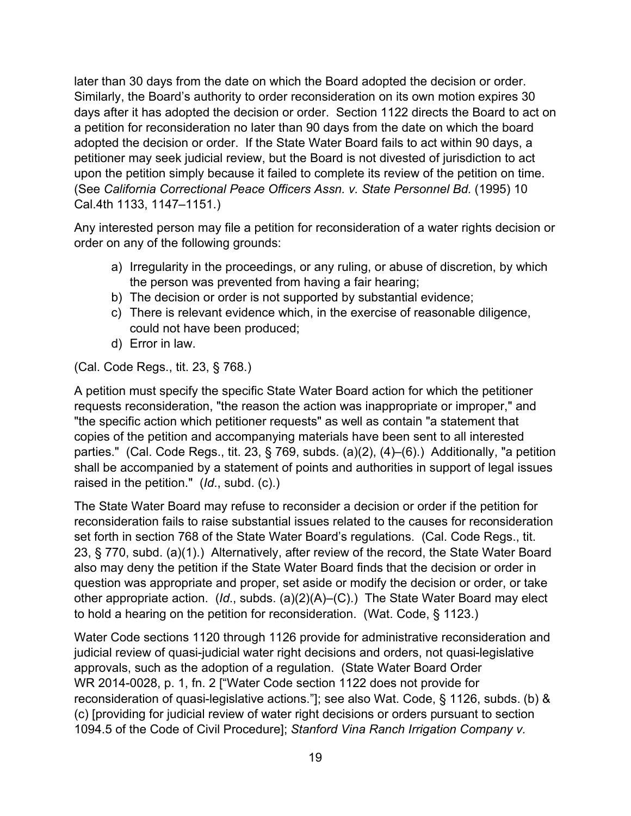later than 30 days from the date on which the Board adopted the decision or order. Similarly, the Board's authority to order reconsideration on its own motion expires 30 days after it has adopted the decision or order. Section 1122 directs the Board to act on a petition for reconsideration no later than 90 days from the date on which the board adopted the decision or order. If the State Water Board fails to act within 90 days, a petitioner may seek judicial review, but the Board is not divested of jurisdiction to act upon the petition simply because it failed to complete its review of the petition on time. (See *California Correctional Peace Officers Assn. v. State Personnel Bd.* (1995) 10 Cal.4th 1133, 1147–1151.)

Any interested person may file a petition for reconsideration of a water rights decision or order on any of the following grounds:

- a) Irregularity in the proceedings, or any ruling, or abuse of discretion, by which the person was prevented from having a fair hearing;
- b) The decision or order is not supported by substantial evidence;
- c) There is relevant evidence which, in the exercise of reasonable diligence, could not have been produced;
- d) Error in law.

(Cal. Code Regs., tit. 23, § 768.)

A petition must specify the specific State Water Board action for which the petitioner requests reconsideration, "the reason the action was inappropriate or improper," and "the specific action which petitioner requests" as well as contain "a statement that copies of the petition and accompanying materials have been sent to all interested parties." (Cal. Code Regs., tit. 23, § 769, subds. (a)(2), (4)–(6).) Additionally, "a petition shall be accompanied by a statement of points and authorities in support of legal issues raised in the petition." (*Id*., subd. (c).)

The State Water Board may refuse to reconsider a decision or order if the petition for reconsideration fails to raise substantial issues related to the causes for reconsideration set forth in section 768 of the State Water Board's regulations. (Cal. Code Regs., tit. 23, § 770, subd. (a)(1).) Alternatively, after review of the record, the State Water Board also may deny the petition if the State Water Board finds that the decision or order in question was appropriate and proper, set aside or modify the decision or order, or take other appropriate action. (*Id*., subds. (a)(2)(A)–(C).) The State Water Board may elect to hold a hearing on the petition for reconsideration. (Wat. Code, § 1123.)

Water Code sections 1120 through 1126 provide for administrative reconsideration and judicial review of quasi-judicial water right decisions and orders, not quasi-legislative approvals, such as the adoption of a regulation. (State Water Board Order WR 2014-0028, p. 1, fn. 2 ["Water Code section 1122 does not provide for reconsideration of quasi-legislative actions."]; see also Wat. Code, § 1126, subds. (b) & (c) [providing for judicial review of water right decisions or orders pursuant to section 1094.5 of the Code of Civil Procedure]; *Stanford Vina Ranch Irrigation Company v.*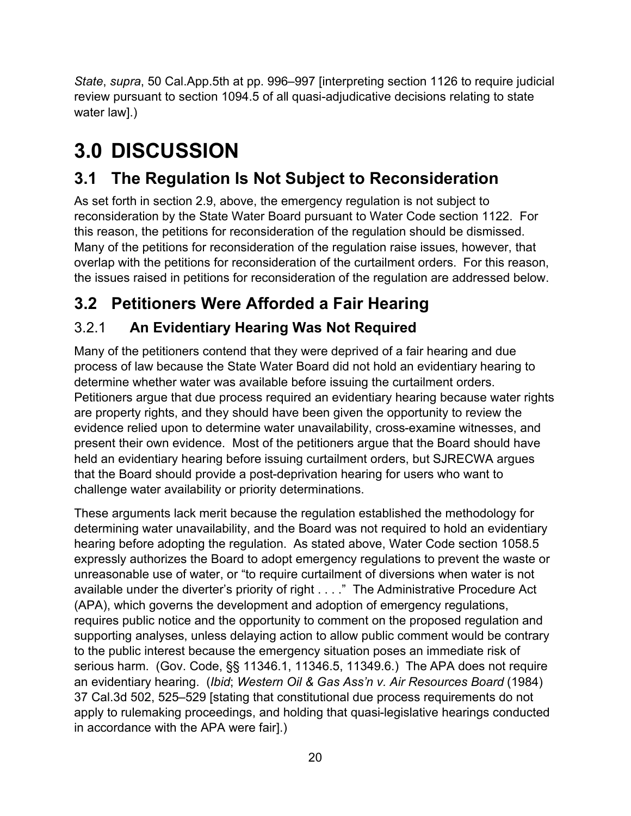*State*, *supra*, 50 Cal.App.5th at pp. 996–997 [interpreting section 1126 to require judicial review pursuant to section 1094.5 of all quasi-adjudicative decisions relating to state water law].)

# <span id="page-23-0"></span>**3.0 DISCUSSION**

# <span id="page-23-1"></span>**3.1 The Regulation Is Not Subject to Reconsideration**

As set forth in section [2.9,](#page-21-0) above, the emergency regulation is not subject to reconsideration by the State Water Board pursuant to Water Code section 1122. For this reason, the petitions for reconsideration of the regulation should be dismissed. Many of the petitions for reconsideration of the regulation raise issues, however, that overlap with the petitions for reconsideration of the curtailment orders. For this reason, the issues raised in petitions for reconsideration of the regulation are addressed below.

# <span id="page-23-2"></span>**3.2 Petitioners Were Afforded a Fair Hearing**

# <span id="page-23-3"></span>3.2.1 **An Evidentiary Hearing Was Not Required**

Many of the petitioners contend that they were deprived of a fair hearing and due process of law because the State Water Board did not hold an evidentiary hearing to determine whether water was available before issuing the curtailment orders. Petitioners argue that due process required an evidentiary hearing because water rights are property rights, and they should have been given the opportunity to review the evidence relied upon to determine water unavailability, cross-examine witnesses, and present their own evidence. Most of the petitioners argue that the Board should have held an evidentiary hearing before issuing curtailment orders, but SJRECWA argues that the Board should provide a post-deprivation hearing for users who want to challenge water availability or priority determinations.

These arguments lack merit because the regulation established the methodology for determining water unavailability, and the Board was not required to hold an evidentiary hearing before adopting the regulation. As stated above, Water Code section 1058.5 expressly authorizes the Board to adopt emergency regulations to prevent the waste or unreasonable use of water, or "to require curtailment of diversions when water is not available under the diverter's priority of right . . . ." The Administrative Procedure Act (APA), which governs the development and adoption of emergency regulations, requires public notice and the opportunity to comment on the proposed regulation and supporting analyses, unless delaying action to allow public comment would be contrary to the public interest because the emergency situation poses an immediate risk of serious harm. (Gov. Code, §§ 11346.1, 11346.5, 11349.6.) The APA does not require an evidentiary hearing. (*Ibid*; *Western Oil & Gas Ass'n v. Air Resources Board* (1984) 37 Cal.3d 502, 525–529 [stating that constitutional due process requirements do not apply to rulemaking proceedings, and holding that quasi-legislative hearings conducted in accordance with the APA were fair].)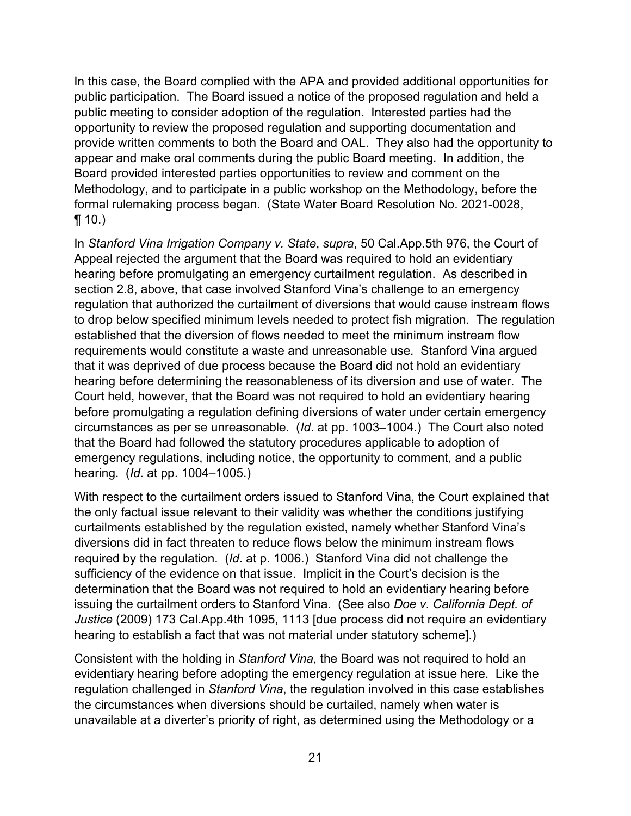In this case, the Board complied with the APA and provided additional opportunities for public participation. The Board issued a notice of the proposed regulation and held a public meeting to consider adoption of the regulation. Interested parties had the opportunity to review the proposed regulation and supporting documentation and provide written comments to both the Board and OAL. They also had the opportunity to appear and make oral comments during the public Board meeting. In addition, the Board provided interested parties opportunities to review and comment on the Methodology, and to participate in a public workshop on the Methodology, before the formal rulemaking process began. (State Water Board Resolution No. 2021-0028,  $\P(10.)$ 

In *Stanford Vina Irrigation Company v. State*, *supra*, 50 Cal.App.5th 976, the Court of Appeal rejected the argument that the Board was required to hold an evidentiary hearing before promulgating an emergency curtailment regulation. As described in section [2.8](#page-19-0), above, that case involved Stanford Vina's challenge to an emergency regulation that authorized the curtailment of diversions that would cause instream flows to drop below specified minimum levels needed to protect fish migration. The regulation established that the diversion of flows needed to meet the minimum instream flow requirements would constitute a waste and unreasonable use. Stanford Vina argued that it was deprived of due process because the Board did not hold an evidentiary hearing before determining the reasonableness of its diversion and use of water. The Court held, however, that the Board was not required to hold an evidentiary hearing before promulgating a regulation defining diversions of water under certain emergency circumstances as per se unreasonable. (*Id*. at pp. 1003–1004.) The Court also noted that the Board had followed the statutory procedures applicable to adoption of emergency regulations, including notice, the opportunity to comment, and a public hearing. (*Id*. at pp. 1004–1005.)

With respect to the curtailment orders issued to Stanford Vina, the Court explained that the only factual issue relevant to their validity was whether the conditions justifying curtailments established by the regulation existed, namely whether Stanford Vina's diversions did in fact threaten to reduce flows below the minimum instream flows required by the regulation. (*Id*. at p. 1006.) Stanford Vina did not challenge the sufficiency of the evidence on that issue. Implicit in the Court's decision is the determination that the Board was not required to hold an evidentiary hearing before issuing the curtailment orders to Stanford Vina. (See also *Doe v. California Dept. of Justice* (2009) 173 Cal.App.4th 1095, 1113 [due process did not require an evidentiary hearing to establish a fact that was not material under statutory scheme].)

Consistent with the holding in *Stanford Vina*, the Board was not required to hold an evidentiary hearing before adopting the emergency regulation at issue here. Like the regulation challenged in *Stanford Vina*, the regulation involved in this case establishes the circumstances when diversions should be curtailed, namely when water is unavailable at a diverter's priority of right, as determined using the Methodology or a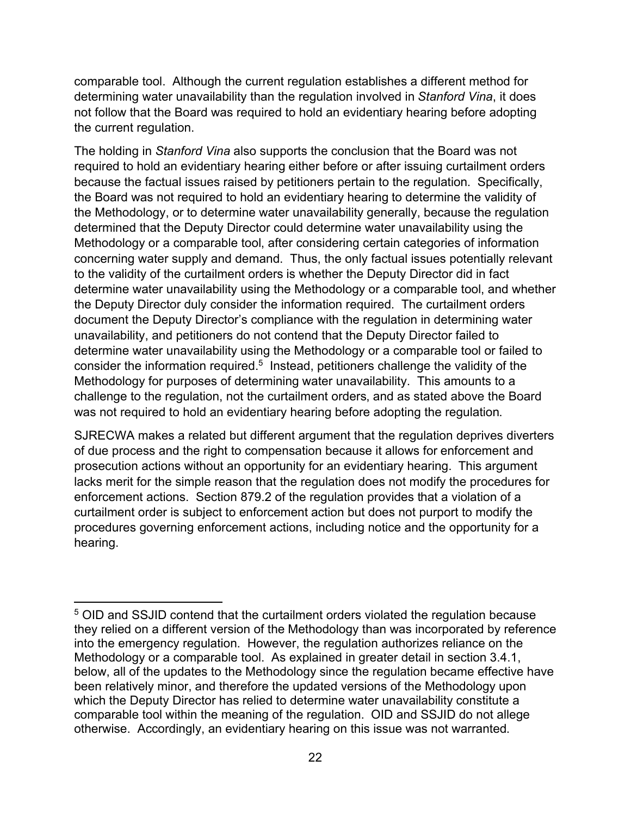comparable tool. Although the current regulation establishes a different method for determining water unavailability than the regulation involved in *Stanford Vina*, it does not follow that the Board was required to hold an evidentiary hearing before adopting the current regulation.

The holding in *Stanford Vina* also supports the conclusion that the Board was not required to hold an evidentiary hearing either before or after issuing curtailment orders because the factual issues raised by petitioners pertain to the regulation. Specifically, the Board was not required to hold an evidentiary hearing to determine the validity of the Methodology, or to determine water unavailability generally, because the regulation determined that the Deputy Director could determine water unavailability using the Methodology or a comparable tool, after considering certain categories of information concerning water supply and demand. Thus, the only factual issues potentially relevant to the validity of the curtailment orders is whether the Deputy Director did in fact determine water unavailability using the Methodology or a comparable tool, and whether the Deputy Director duly consider the information required. The curtailment orders document the Deputy Director's compliance with the regulation in determining water unavailability, and petitioners do not contend that the Deputy Director failed to determine water unavailability using the Methodology or a comparable tool or failed to consider the information required.<sup>[5](#page-25-0)</sup> Instead, petitioners challenge the validity of the Methodology for purposes of determining water unavailability. This amounts to a challenge to the regulation, not the curtailment orders, and as stated above the Board was not required to hold an evidentiary hearing before adopting the regulation.

SJRECWA makes a related but different argument that the regulation deprives diverters of due process and the right to compensation because it allows for enforcement and prosecution actions without an opportunity for an evidentiary hearing. This argument lacks merit for the simple reason that the regulation does not modify the procedures for enforcement actions. Section 879.2 of the regulation provides that a violation of a curtailment order is subject to enforcement action but does not purport to modify the procedures governing enforcement actions, including notice and the opportunity for a hearing.

<span id="page-25-0"></span><sup>5</sup> OID and SSJID contend that the curtailment orders violated the regulation because they relied on a different version of the Methodology than was incorporated by reference into the emergency regulation. However, the regulation authorizes reliance on the Methodology or a comparable tool. As explained in greater detail in section 3.4.1, below, all of the updates to the Methodology since the regulation became effective have been relatively minor, and therefore the updated versions of the Methodology upon which the Deputy Director has relied to determine water unavailability constitute a comparable tool within the meaning of the regulation. OID and SSJID do not allege otherwise. Accordingly, an evidentiary hearing on this issue was not warranted.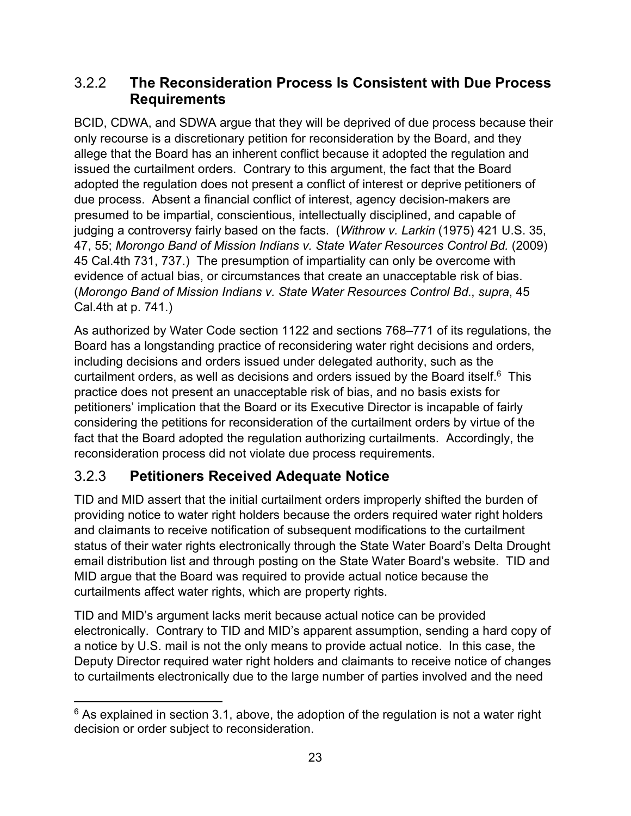### <span id="page-26-0"></span>3.2.2 **The Reconsideration Process Is Consistent with Due Process Requirements**

BCID, CDWA, and SDWA argue that they will be deprived of due process because their only recourse is a discretionary petition for reconsideration by the Board, and they allege that the Board has an inherent conflict because it adopted the regulation and issued the curtailment orders. Contrary to this argument, the fact that the Board adopted the regulation does not present a conflict of interest or deprive petitioners of due process. Absent a financial conflict of interest, agency decision-makers are presumed to be impartial, conscientious, intellectually disciplined, and capable of judging a controversy fairly based on the facts. (*Withrow v. Larkin* (1975) 421 U.S. 35, 47, 55; *Morongo Band of Mission Indians v. State Water Resources Control Bd.* (2009) 45 Cal.4th 731, 737.) The presumption of impartiality can only be overcome with evidence of actual bias, or circumstances that create an unacceptable risk of bias. (*Morongo Band of Mission Indians v. State Water Resources Control Bd*., *supra*, 45 Cal.4th at p. 741.)

As authorized by Water Code section 1122 and sections 768–771 of its regulations, the Board has a longstanding practice of reconsidering water right decisions and orders, including decisions and orders issued under delegated authority, such as the curtailment orders, as well as decisions and orders issued by the Board itself. $^6$  $^6$  This practice does not present an unacceptable risk of bias, and no basis exists for petitioners' implication that the Board or its Executive Director is incapable of fairly considering the petitions for reconsideration of the curtailment orders by virtue of the fact that the Board adopted the regulation authorizing curtailments. Accordingly, the reconsideration process did not violate due process requirements.

## <span id="page-26-1"></span>3.2.3 **Petitioners Received Adequate Notice**

TID and MID assert that the initial curtailment orders improperly shifted the burden of providing notice to water right holders because the orders required water right holders and claimants to receive notification of subsequent modifications to the curtailment status of their water rights electronically through the State Water Board's Delta Drought email distribution list and through posting on the State Water Board's website. TID and MID argue that the Board was required to provide actual notice because the curtailments affect water rights, which are property rights.

TID and MID's argument lacks merit because actual notice can be provided electronically. Contrary to TID and MID's apparent assumption, sending a hard copy of a notice by U.S. mail is not the only means to provide actual notice. In this case, the Deputy Director required water right holders and claimants to receive notice of changes to curtailments electronically due to the large number of parties involved and the need

<span id="page-26-2"></span> $6$  As explained in section 3.1, above, the adoption of the regulation is not a water right decision or order subject to reconsideration.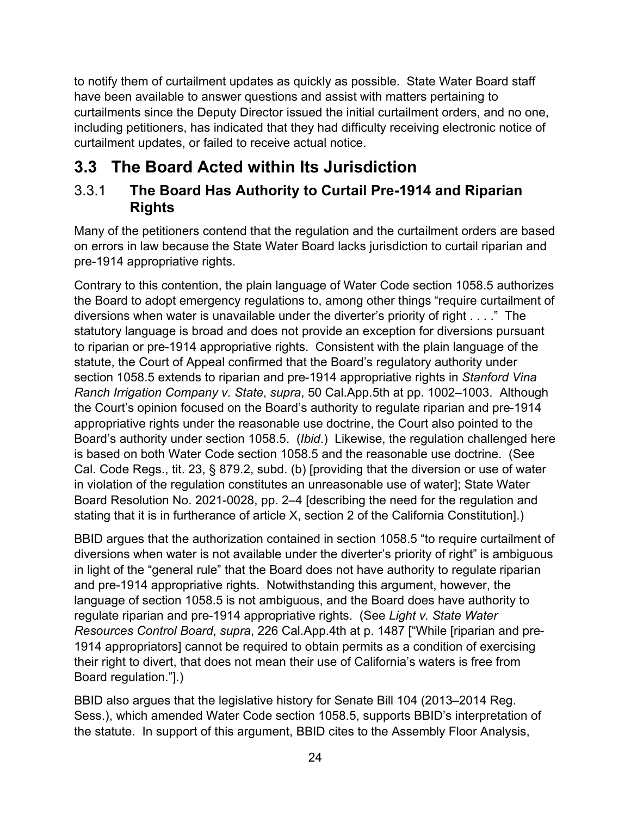to notify them of curtailment updates as quickly as possible. State Water Board staff have been available to answer questions and assist with matters pertaining to curtailments since the Deputy Director issued the initial curtailment orders, and no one, including petitioners, has indicated that they had difficulty receiving electronic notice of curtailment updates, or failed to receive actual notice.

# <span id="page-27-0"></span>**3.3 The Board Acted within Its Jurisdiction**

### <span id="page-27-1"></span>3.3.1 **The Board Has Authority to Curtail Pre-1914 and Riparian Rights**

Many of the petitioners contend that the regulation and the curtailment orders are based on errors in law because the State Water Board lacks jurisdiction to curtail riparian and pre-1914 appropriative rights.

Contrary to this contention, the plain language of Water Code section 1058.5 authorizes the Board to adopt emergency regulations to, among other things "require curtailment of diversions when water is unavailable under the diverter's priority of right . . . ." The statutory language is broad and does not provide an exception for diversions pursuant to riparian or pre-1914 appropriative rights. Consistent with the plain language of the statute, the Court of Appeal confirmed that the Board's regulatory authority under section 1058.5 extends to riparian and pre-1914 appropriative rights in *Stanford Vina Ranch Irrigation Company v. State*, *supra*, 50 Cal.App.5th at pp. 1002–1003. Although the Court's opinion focused on the Board's authority to regulate riparian and pre-1914 appropriative rights under the reasonable use doctrine, the Court also pointed to the Board's authority under section 1058.5. (*Ibid*.) Likewise, the regulation challenged here is based on both Water Code section 1058.5 and the reasonable use doctrine. (See Cal. Code Regs., tit. 23, § 879.2, subd. (b) [providing that the diversion or use of water in violation of the regulation constitutes an unreasonable use of water]; State Water Board Resolution No. 2021-0028, pp. 2–4 [describing the need for the regulation and stating that it is in furtherance of article X, section 2 of the California Constitution].)

BBID argues that the authorization contained in section 1058.5 "to require curtailment of diversions when water is not available under the diverter's priority of right" is ambiguous in light of the "general rule" that the Board does not have authority to regulate riparian and pre-1914 appropriative rights. Notwithstanding this argument, however, the language of section 1058.5 is not ambiguous, and the Board does have authority to regulate riparian and pre-1914 appropriative rights. (See *Light v. State Water Resources Control Board*, *supra*, 226 Cal.App.4th at p. 1487 ["While [riparian and pre-1914 appropriators] cannot be required to obtain permits as a condition of exercising their right to divert, that does not mean their use of California's waters is free from Board regulation."].)

BBID also argues that the legislative history for Senate Bill 104 (2013–2014 Reg. Sess.), which amended Water Code section 1058.5, supports BBID's interpretation of the statute. In support of this argument, BBID cites to the Assembly Floor Analysis,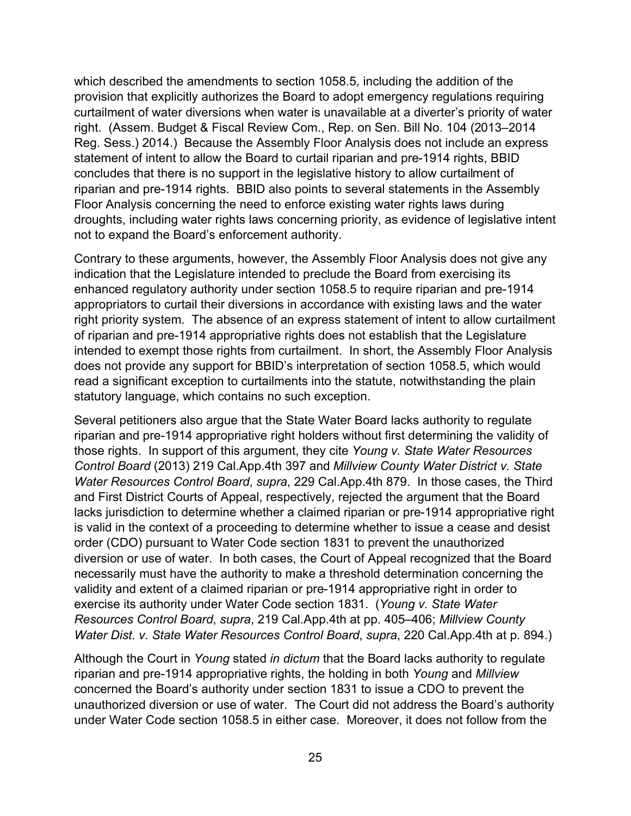which described the amendments to section 1058.5, including the addition of the provision that explicitly authorizes the Board to adopt emergency regulations requiring curtailment of water diversions when water is unavailable at a diverter's priority of water right. (Assem. Budget & Fiscal Review Com., Rep. on Sen. Bill No. 104 (2013–2014 Reg. Sess.) 2014.) Because the Assembly Floor Analysis does not include an express statement of intent to allow the Board to curtail riparian and pre-1914 rights, BBID concludes that there is no support in the legislative history to allow curtailment of riparian and pre-1914 rights. BBID also points to several statements in the Assembly Floor Analysis concerning the need to enforce existing water rights laws during droughts, including water rights laws concerning priority, as evidence of legislative intent not to expand the Board's enforcement authority.

Contrary to these arguments, however, the Assembly Floor Analysis does not give any indication that the Legislature intended to preclude the Board from exercising its enhanced regulatory authority under section 1058.5 to require riparian and pre-1914 appropriators to curtail their diversions in accordance with existing laws and the water right priority system. The absence of an express statement of intent to allow curtailment of riparian and pre-1914 appropriative rights does not establish that the Legislature intended to exempt those rights from curtailment. In short, the Assembly Floor Analysis does not provide any support for BBID's interpretation of section 1058.5, which would read a significant exception to curtailments into the statute, notwithstanding the plain statutory language, which contains no such exception.

Several petitioners also argue that the State Water Board lacks authority to regulate riparian and pre-1914 appropriative right holders without first determining the validity of those rights. In support of this argument, they cite *Young v. State Water Resources Control Board* (2013) 219 Cal.App.4th 397 and *Millview County Water District v. State Water Resources Control Board*, *supra*, 229 Cal.App.4th 879. In those cases, the Third and First District Courts of Appeal, respectively, rejected the argument that the Board lacks jurisdiction to determine whether a claimed riparian or pre-1914 appropriative right is valid in the context of a proceeding to determine whether to issue a cease and desist order (CDO) pursuant to Water Code section 1831 to prevent the unauthorized diversion or use of water. In both cases, the Court of Appeal recognized that the Board necessarily must have the authority to make a threshold determination concerning the validity and extent of a claimed riparian or pre-1914 appropriative right in order to exercise its authority under Water Code section 1831. (*Young v. State Water Resources Control Board*, *supra*, 219 Cal.App.4th at pp. 405–406; *Millview County Water Dist. v. State Water Resources Control Board*, *supra*, 220 Cal.App.4th at p. 894.)

Although the Court in *Young* stated *in dictum* that the Board lacks authority to regulate riparian and pre-1914 appropriative rights, the holding in both *Young* and *Millview* concerned the Board's authority under section 1831 to issue a CDO to prevent the unauthorized diversion or use of water. The Court did not address the Board's authority under Water Code section 1058.5 in either case. Moreover, it does not follow from the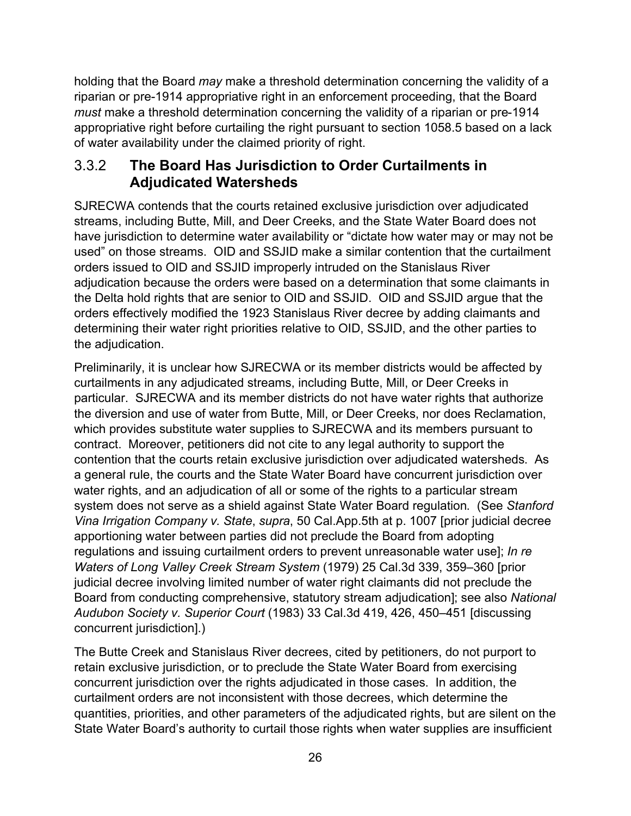holding that the Board *may* make a threshold determination concerning the validity of a riparian or pre-1914 appropriative right in an enforcement proceeding, that the Board *must* make a threshold determination concerning the validity of a riparian or pre-1914 appropriative right before curtailing the right pursuant to section 1058.5 based on a lack of water availability under the claimed priority of right.

### <span id="page-29-0"></span>3.3.2 **The Board Has Jurisdiction to Order Curtailments in Adjudicated Watersheds**

SJRECWA contends that the courts retained exclusive jurisdiction over adjudicated streams, including Butte, Mill, and Deer Creeks, and the State Water Board does not have jurisdiction to determine water availability or "dictate how water may or may not be used" on those streams. OID and SSJID make a similar contention that the curtailment orders issued to OID and SSJID improperly intruded on the Stanislaus River adjudication because the orders were based on a determination that some claimants in the Delta hold rights that are senior to OID and SSJID. OID and SSJID argue that the orders effectively modified the 1923 Stanislaus River decree by adding claimants and determining their water right priorities relative to OID, SSJID, and the other parties to the adjudication.

Preliminarily, it is unclear how SJRECWA or its member districts would be affected by curtailments in any adjudicated streams, including Butte, Mill, or Deer Creeks in particular. SJRECWA and its member districts do not have water rights that authorize the diversion and use of water from Butte, Mill, or Deer Creeks, nor does Reclamation, which provides substitute water supplies to SJRECWA and its members pursuant to contract. Moreover, petitioners did not cite to any legal authority to support the contention that the courts retain exclusive jurisdiction over adjudicated watersheds. As a general rule, the courts and the State Water Board have concurrent jurisdiction over water rights, and an adjudication of all or some of the rights to a particular stream system does not serve as a shield against State Water Board regulation. (See *Stanford Vina Irrigation Company v. State*, *supra*, 50 Cal.App.5th at p. 1007 [prior judicial decree apportioning water between parties did not preclude the Board from adopting regulations and issuing curtailment orders to prevent unreasonable water use]; *In re Waters of Long Valley Creek Stream System* (1979) 25 Cal.3d 339, 359–360 [prior judicial decree involving limited number of water right claimants did not preclude the Board from conducting comprehensive, statutory stream adjudication]; see also *National Audubon Society v. Superior Court* (1983) 33 Cal.3d 419, 426, 450–451 [discussing concurrent jurisdiction].)

The Butte Creek and Stanislaus River decrees, cited by petitioners, do not purport to retain exclusive jurisdiction, or to preclude the State Water Board from exercising concurrent jurisdiction over the rights adjudicated in those cases. In addition, the curtailment orders are not inconsistent with those decrees, which determine the quantities, priorities, and other parameters of the adjudicated rights, but are silent on the State Water Board's authority to curtail those rights when water supplies are insufficient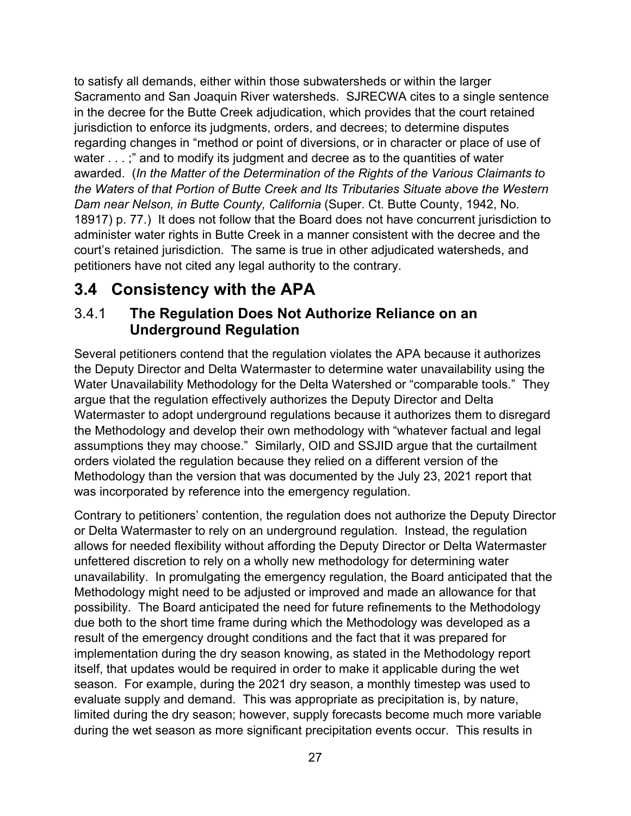to satisfy all demands, either within those subwatersheds or within the larger Sacramento and San Joaquin River watersheds. SJRECWA cites to a single sentence in the decree for the Butte Creek adjudication, which provides that the court retained jurisdiction to enforce its judgments, orders, and decrees; to determine disputes regarding changes in "method or point of diversions, or in character or place of use of water . . . ;" and to modify its judgment and decree as to the quantities of water awarded. (*In the Matter of the Determination of the Rights of the Various Claimants to the Waters of that Portion of Butte Creek and Its Tributaries Situate above the Western Dam near Nelson, in Butte County, California* (Super. Ct. Butte County, 1942, No. 18917) p. 77.) It does not follow that the Board does not have concurrent jurisdiction to administer water rights in Butte Creek in a manner consistent with the decree and the court's retained jurisdiction. The same is true in other adjudicated watersheds, and petitioners have not cited any legal authority to the contrary.

# <span id="page-30-0"></span>**3.4 Consistency with the APA**

### <span id="page-30-1"></span>3.4.1 **The Regulation Does Not Authorize Reliance on an Underground Regulation**

Several petitioners contend that the regulation violates the APA because it authorizes the Deputy Director and Delta Watermaster to determine water unavailability using the Water Unavailability Methodology for the Delta Watershed or "comparable tools." They argue that the regulation effectively authorizes the Deputy Director and Delta Watermaster to adopt underground regulations because it authorizes them to disregard the Methodology and develop their own methodology with "whatever factual and legal assumptions they may choose." Similarly, OID and SSJID argue that the curtailment orders violated the regulation because they relied on a different version of the Methodology than the version that was documented by the July 23, 2021 report that was incorporated by reference into the emergency regulation.

Contrary to petitioners' contention, the regulation does not authorize the Deputy Director or Delta Watermaster to rely on an underground regulation. Instead, the regulation allows for needed flexibility without affording the Deputy Director or Delta Watermaster unfettered discretion to rely on a wholly new methodology for determining water unavailability. In promulgating the emergency regulation, the Board anticipated that the Methodology might need to be adjusted or improved and made an allowance for that possibility. The Board anticipated the need for future refinements to the Methodology due both to the short time frame during which the Methodology was developed as a result of the emergency drought conditions and the fact that it was prepared for implementation during the dry season knowing, as stated in the Methodology report itself, that updates would be required in order to make it applicable during the wet season. For example, during the 2021 dry season, a monthly timestep was used to evaluate supply and demand. This was appropriate as precipitation is, by nature, limited during the dry season; however, supply forecasts become much more variable during the wet season as more significant precipitation events occur. This results in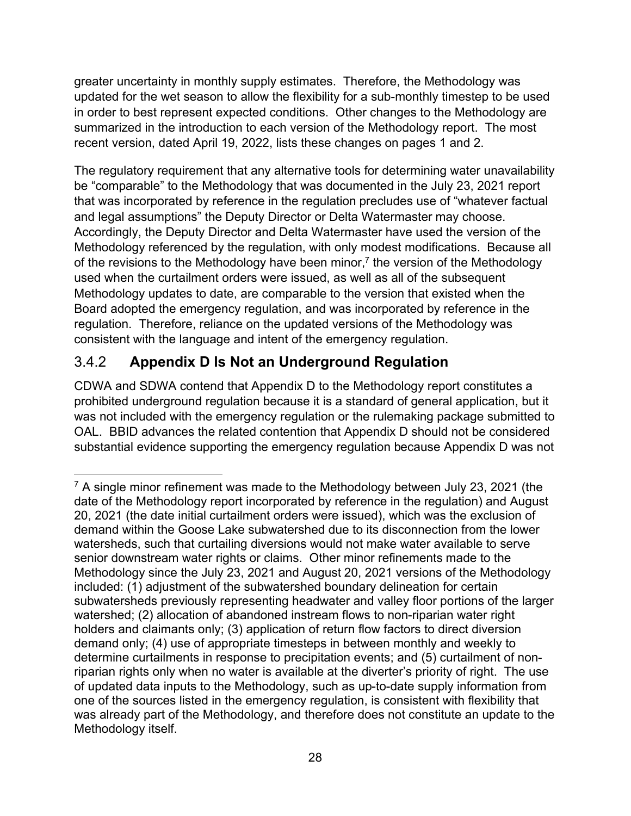greater uncertainty in monthly supply estimates. Therefore, the Methodology was updated for the wet season to allow the flexibility for a sub-monthly timestep to be used in order to best represent expected conditions. Other changes to the Methodology are summarized in the introduction to each version of the Methodology report. The most recent version, dated April 19, 2022, lists these changes on pages 1 and 2.

The regulatory requirement that any alternative tools for determining water unavailability be "comparable" to the Methodology that was documented in the July 23, 2021 report that was incorporated by reference in the regulation precludes use of "whatever factual and legal assumptions" the Deputy Director or Delta Watermaster may choose. Accordingly, the Deputy Director and Delta Watermaster have used the version of the Methodology referenced by the regulation, with only modest modifications. Because all of the revisions to the Methodology have been minor,<sup>[7](#page-31-1)</sup> the version of the Methodology used when the curtailment orders were issued, as well as all of the subsequent Methodology updates to date, are comparable to the version that existed when the Board adopted the emergency regulation, and was incorporated by reference in the regulation. Therefore, reliance on the updated versions of the Methodology was consistent with the language and intent of the emergency regulation.

# <span id="page-31-0"></span>3.4.2 **Appendix D Is Not an Underground Regulation**

CDWA and SDWA contend that Appendix D to the Methodology report constitutes a prohibited underground regulation because it is a standard of general application, but it was not included with the emergency regulation or the rulemaking package submitted to OAL. BBID advances the related contention that Appendix D should not be considered substantial evidence supporting the emergency regulation because Appendix D was not

<span id="page-31-1"></span> $7$  A single minor refinement was made to the Methodology between July 23, 2021 (the date of the Methodology report incorporated by reference in the regulation) and August 20, 2021 (the date initial curtailment orders were issued), which was the exclusion of demand within the Goose Lake subwatershed due to its disconnection from the lower watersheds, such that curtailing diversions would not make water available to serve senior downstream water rights or claims. Other minor refinements made to the Methodology since the July 23, 2021 and August 20, 2021 versions of the Methodology included: (1) adjustment of the subwatershed boundary delineation for certain subwatersheds previously representing headwater and valley floor portions of the larger watershed; (2) allocation of abandoned instream flows to non-riparian water right holders and claimants only; (3) application of return flow factors to direct diversion demand only; (4) use of appropriate timesteps in between monthly and weekly to determine curtailments in response to precipitation events; and (5) curtailment of nonriparian rights only when no water is available at the diverter's priority of right. The use of updated data inputs to the Methodology, such as up-to-date supply information from one of the sources listed in the emergency regulation, is consistent with flexibility that was already part of the Methodology, and therefore does not constitute an update to the Methodology itself.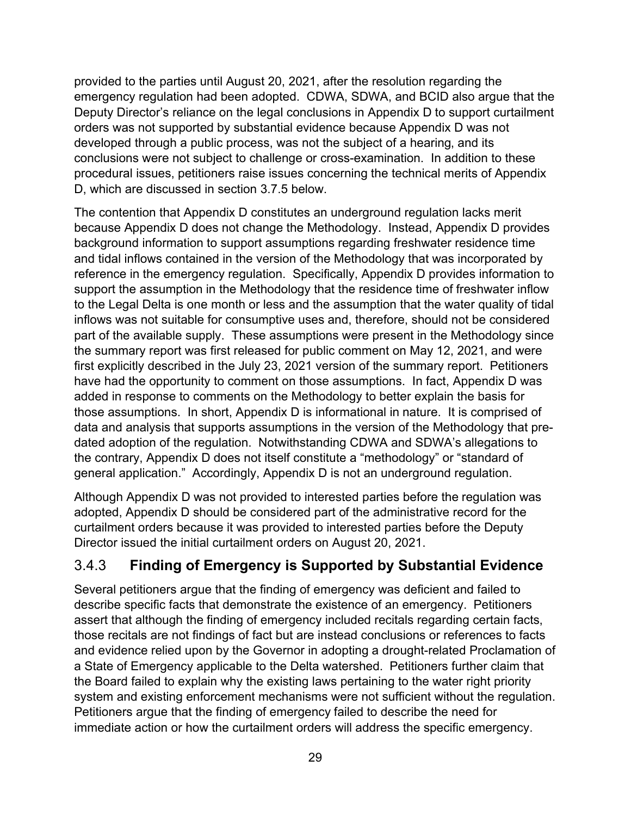provided to the parties until August 20, 2021, after the resolution regarding the emergency regulation had been adopted. CDWA, SDWA, and BCID also argue that the Deputy Director's reliance on the legal conclusions in Appendix D to support curtailment orders was not supported by substantial evidence because Appendix D was not developed through a public process, was not the subject of a hearing, and its conclusions were not subject to challenge or cross-examination. In addition to these procedural issues, petitioners raise issues concerning the technical merits of Appendix D, which are discussed in section [3.7.5](#page-48-0) below.

The contention that Appendix D constitutes an underground regulation lacks merit because Appendix D does not change the Methodology. Instead, Appendix D provides background information to support assumptions regarding freshwater residence time and tidal inflows contained in the version of the Methodology that was incorporated by reference in the emergency regulation. Specifically, Appendix D provides information to support the assumption in the Methodology that the residence time of freshwater inflow to the Legal Delta is one month or less and the assumption that the water quality of tidal inflows was not suitable for consumptive uses and, therefore, should not be considered part of the available supply. These assumptions were present in the Methodology since the summary report was first released for public comment on May 12, 2021, and were first explicitly described in the July 23, 2021 version of the summary report. Petitioners have had the opportunity to comment on those assumptions. In fact, Appendix D was added in response to comments on the Methodology to better explain the basis for those assumptions. In short, Appendix D is informational in nature. It is comprised of data and analysis that supports assumptions in the version of the Methodology that predated adoption of the regulation. Notwithstanding CDWA and SDWA's allegations to the contrary, Appendix D does not itself constitute a "methodology" or "standard of general application." Accordingly, Appendix D is not an underground regulation.

Although Appendix D was not provided to interested parties before the regulation was adopted, Appendix D should be considered part of the administrative record for the curtailment orders because it was provided to interested parties before the Deputy Director issued the initial curtailment orders on August 20, 2021.

## <span id="page-32-0"></span>3.4.3 **Finding of Emergency is Supported by Substantial Evidence**

Several petitioners argue that the finding of emergency was deficient and failed to describe specific facts that demonstrate the existence of an emergency. Petitioners assert that although the finding of emergency included recitals regarding certain facts, those recitals are not findings of fact but are instead conclusions or references to facts and evidence relied upon by the Governor in adopting a drought-related Proclamation of a State of Emergency applicable to the Delta watershed. Petitioners further claim that the Board failed to explain why the existing laws pertaining to the water right priority system and existing enforcement mechanisms were not sufficient without the regulation. Petitioners argue that the finding of emergency failed to describe the need for immediate action or how the curtailment orders will address the specific emergency.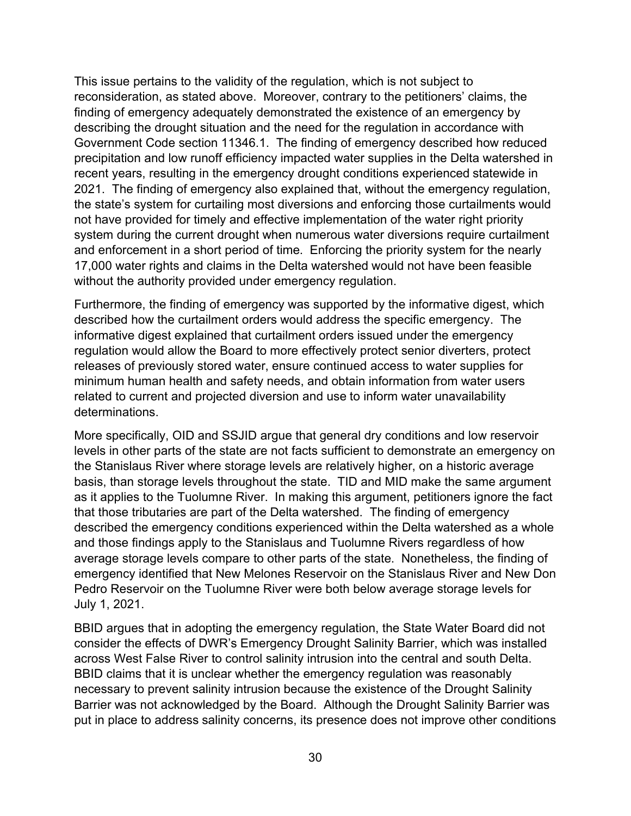This issue pertains to the validity of the regulation, which is not subject to reconsideration, as stated above. Moreover, contrary to the petitioners' claims, the finding of emergency adequately demonstrated the existence of an emergency by describing the drought situation and the need for the regulation in accordance with Government Code section 11346.1. The finding of emergency described how reduced precipitation and low runoff efficiency impacted water supplies in the Delta watershed in recent years, resulting in the emergency drought conditions experienced statewide in 2021. The finding of emergency also explained that, without the emergency regulation, the state's system for curtailing most diversions and enforcing those curtailments would not have provided for timely and effective implementation of the water right priority system during the current drought when numerous water diversions require curtailment and enforcement in a short period of time. Enforcing the priority system for the nearly 17,000 water rights and claims in the Delta watershed would not have been feasible without the authority provided under emergency regulation.

Furthermore, the finding of emergency was supported by the informative digest, which described how the curtailment orders would address the specific emergency. The informative digest explained that curtailment orders issued under the emergency regulation would allow the Board to more effectively protect senior diverters, protect releases of previously stored water, ensure continued access to water supplies for minimum human health and safety needs, and obtain information from water users related to current and projected diversion and use to inform water unavailability determinations.

More specifically, OID and SSJID argue that general dry conditions and low reservoir levels in other parts of the state are not facts sufficient to demonstrate an emergency on the Stanislaus River where storage levels are relatively higher, on a historic average basis, than storage levels throughout the state. TID and MID make the same argument as it applies to the Tuolumne River. In making this argument, petitioners ignore the fact that those tributaries are part of the Delta watershed. The finding of emergency described the emergency conditions experienced within the Delta watershed as a whole and those findings apply to the Stanislaus and Tuolumne Rivers regardless of how average storage levels compare to other parts of the state. Nonetheless, the finding of emergency identified that New Melones Reservoir on the Stanislaus River and New Don Pedro Reservoir on the Tuolumne River were both below average storage levels for July 1, 2021.

BBID argues that in adopting the emergency regulation, the State Water Board did not consider the effects of DWR's Emergency Drought Salinity Barrier, which was installed across West False River to control salinity intrusion into the central and south Delta. BBID claims that it is unclear whether the emergency regulation was reasonably necessary to prevent salinity intrusion because the existence of the Drought Salinity Barrier was not acknowledged by the Board. Although the Drought Salinity Barrier was put in place to address salinity concerns, its presence does not improve other conditions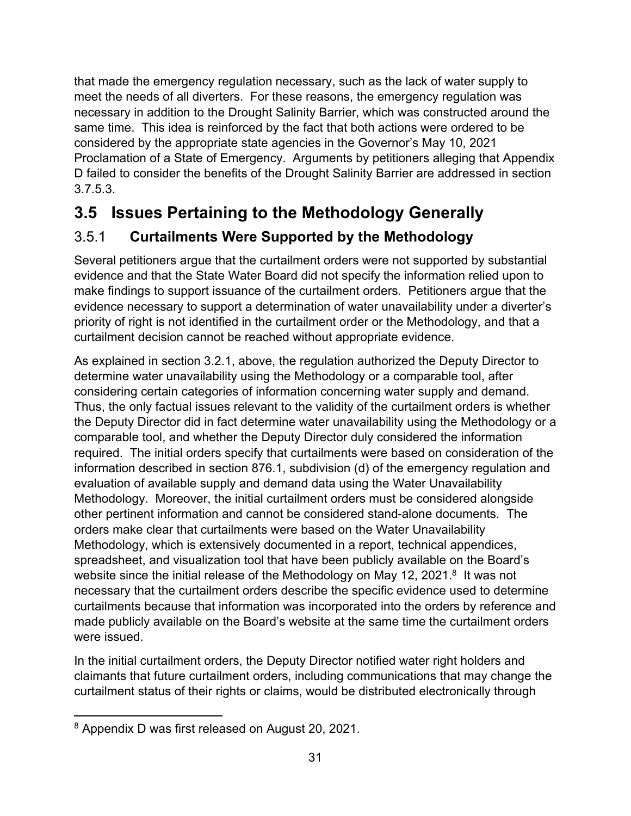that made the emergency regulation necessary, such as the lack of water supply to meet the needs of all diverters. For these reasons, the emergency regulation was necessary in addition to the Drought Salinity Barrier, which was constructed around the same time. This idea is reinforced by the fact that both actions were ordered to be considered by the appropriate state agencies in the Governor's May 10, 2021 Proclamation of a State of Emergency. Arguments by petitioners alleging that Appendix D failed to consider the benefits of the Drought Salinity Barrier are addressed in section [3.7.5.3.](#page-52-2)

# <span id="page-34-0"></span>**3.5 Issues Pertaining to the Methodology Generally**

# <span id="page-34-1"></span>3.5.1 **Curtailments Were Supported by the Methodology**

Several petitioners argue that the curtailment orders were not supported by substantial evidence and that the State Water Board did not specify the information relied upon to make findings to support issuance of the curtailment orders. Petitioners argue that the evidence necessary to support a determination of water unavailability under a diverter's priority of right is not identified in the curtailment order or the Methodology, and that a curtailment decision cannot be reached without appropriate evidence.

As explained in section [3.2.1,](#page-23-3) above, the regulation authorized the Deputy Director to determine water unavailability using the Methodology or a comparable tool, after considering certain categories of information concerning water supply and demand. Thus, the only factual issues relevant to the validity of the curtailment orders is whether the Deputy Director did in fact determine water unavailability using the Methodology or a comparable tool, and whether the Deputy Director duly considered the information required. The initial orders specify that curtailments were based on consideration of the information described in section 876.1, subdivision (d) of the emergency regulation and evaluation of available supply and demand data using the Water Unavailability Methodology. Moreover, the initial curtailment orders must be considered alongside other pertinent information and cannot be considered stand-alone documents. The orders make clear that curtailments were based on the Water Unavailability Methodology, which is extensively documented in a report, technical appendices, spreadsheet, and visualization tool that have been publicly available on the Board's website since the initial release of the Methodology on May 12, 2021. $^8\,$  $^8\,$  $^8\,$  It was not necessary that the curtailment orders describe the specific evidence used to determine curtailments because that information was incorporated into the orders by reference and made publicly available on the Board's website at the same time the curtailment orders were issued.

In the initial curtailment orders, the Deputy Director notified water right holders and claimants that future curtailment orders, including communications that may change the curtailment status of their rights or claims, would be distributed electronically through

<span id="page-34-2"></span><sup>8</sup> Appendix D was first released on August 20, 2021.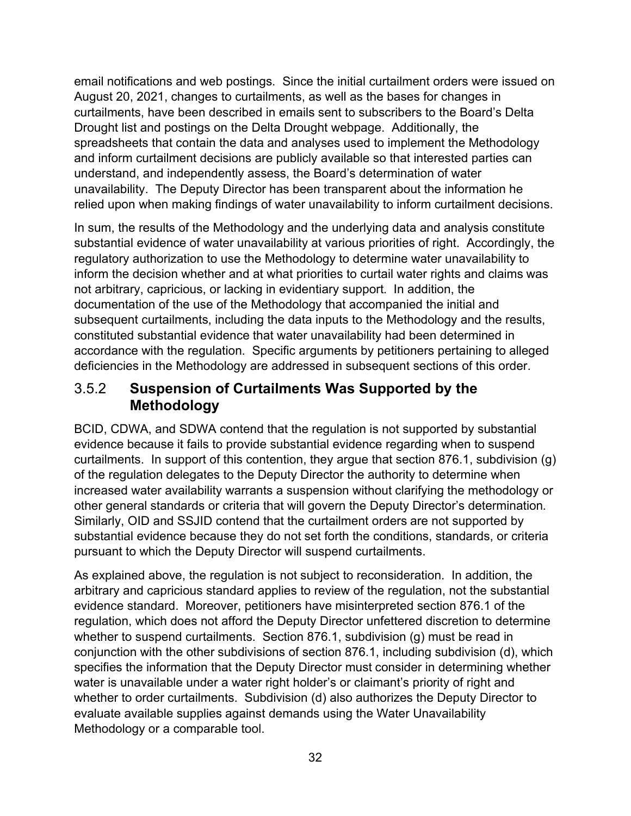email notifications and web postings. Since the initial curtailment orders were issued on August 20, 2021, changes to curtailments, as well as the bases for changes in curtailments, have been described in emails sent to subscribers to the Board's Delta Drought list and postings on the Delta Drought webpage. Additionally, the spreadsheets that contain the data and analyses used to implement the Methodology and inform curtailment decisions are publicly available so that interested parties can understand, and independently assess, the Board's determination of water unavailability. The Deputy Director has been transparent about the information he relied upon when making findings of water unavailability to inform curtailment decisions.

In sum, the results of the Methodology and the underlying data and analysis constitute substantial evidence of water unavailability at various priorities of right. Accordingly, the regulatory authorization to use the Methodology to determine water unavailability to inform the decision whether and at what priorities to curtail water rights and claims was not arbitrary, capricious, or lacking in evidentiary support. In addition, the documentation of the use of the Methodology that accompanied the initial and subsequent curtailments, including the data inputs to the Methodology and the results, constituted substantial evidence that water unavailability had been determined in accordance with the regulation. Specific arguments by petitioners pertaining to alleged deficiencies in the Methodology are addressed in subsequent sections of this order.

### <span id="page-35-0"></span>3.5.2 **Suspension of Curtailments Was Supported by the Methodology**

BCID, CDWA, and SDWA contend that the regulation is not supported by substantial evidence because it fails to provide substantial evidence regarding when to suspend curtailments. In support of this contention, they argue that section 876.1, subdivision (g) of the regulation delegates to the Deputy Director the authority to determine when increased water availability warrants a suspension without clarifying the methodology or other general standards or criteria that will govern the Deputy Director's determination. Similarly, OID and SSJID contend that the curtailment orders are not supported by substantial evidence because they do not set forth the conditions, standards, or criteria pursuant to which the Deputy Director will suspend curtailments.

As explained above, the regulation is not subject to reconsideration. In addition, the arbitrary and capricious standard applies to review of the regulation, not the substantial evidence standard. Moreover, petitioners have misinterpreted section 876.1 of the regulation, which does not afford the Deputy Director unfettered discretion to determine whether to suspend curtailments. Section 876.1, subdivision (q) must be read in conjunction with the other subdivisions of section 876.1, including subdivision (d), which specifies the information that the Deputy Director must consider in determining whether water is unavailable under a water right holder's or claimant's priority of right and whether to order curtailments. Subdivision (d) also authorizes the Deputy Director to evaluate available supplies against demands using the Water Unavailability Methodology or a comparable tool.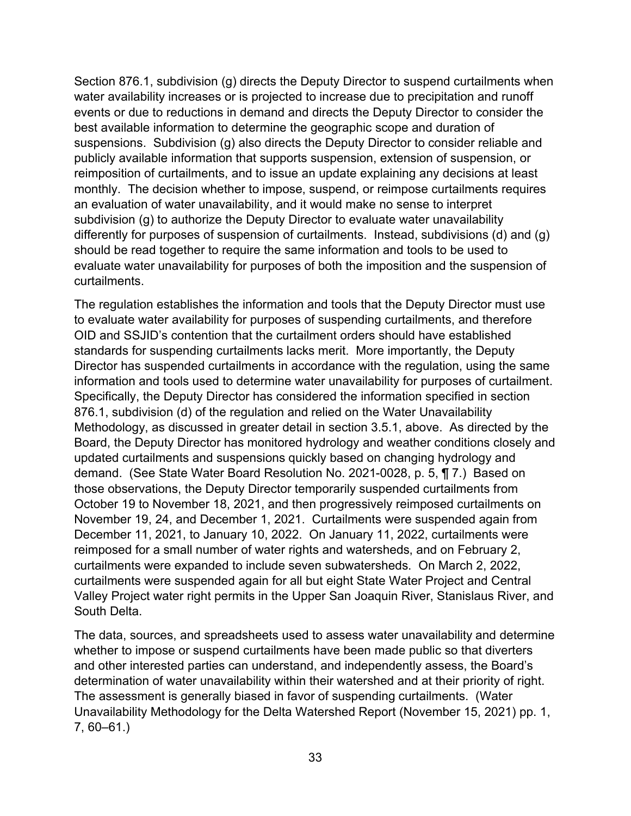Section 876.1, subdivision (g) directs the Deputy Director to suspend curtailments when water availability increases or is projected to increase due to precipitation and runoff events or due to reductions in demand and directs the Deputy Director to consider the best available information to determine the geographic scope and duration of suspensions. Subdivision (g) also directs the Deputy Director to consider reliable and publicly available information that supports suspension, extension of suspension, or reimposition of curtailments, and to issue an update explaining any decisions at least monthly. The decision whether to impose, suspend, or reimpose curtailments requires an evaluation of water unavailability, and it would make no sense to interpret subdivision (g) to authorize the Deputy Director to evaluate water unavailability differently for purposes of suspension of curtailments. Instead, subdivisions (d) and (g) should be read together to require the same information and tools to be used to evaluate water unavailability for purposes of both the imposition and the suspension of curtailments.

The regulation establishes the information and tools that the Deputy Director must use to evaluate water availability for purposes of suspending curtailments, and therefore OID and SSJID's contention that the curtailment orders should have established standards for suspending curtailments lacks merit. More importantly, the Deputy Director has suspended curtailments in accordance with the regulation, using the same information and tools used to determine water unavailability for purposes of curtailment. Specifically, the Deputy Director has considered the information specified in section 876.1, subdivision (d) of the regulation and relied on the Water Unavailability Methodology, as discussed in greater detail in section [3.5.1,](#page-34-1) above. As directed by the Board, the Deputy Director has monitored hydrology and weather conditions closely and updated curtailments and suspensions quickly based on changing hydrology and demand. (See State Water Board Resolution No. 2021-0028, p. 5, ¶ 7.) Based on those observations, the Deputy Director temporarily suspended curtailments from October 19 to November 18, 2021, and then progressively reimposed curtailments on November 19, 24, and December 1, 2021. Curtailments were suspended again from December 11, 2021, to January 10, 2022. On January 11, 2022, curtailments were reimposed for a small number of water rights and watersheds, and on February 2, curtailments were expanded to include seven subwatersheds. On March 2, 2022, curtailments were suspended again for all but eight State Water Project and Central Valley Project water right permits in the Upper San Joaquin River, Stanislaus River, and South Delta.

The data, sources, and spreadsheets used to assess water unavailability and determine whether to impose or suspend curtailments have been made public so that diverters and other interested parties can understand, and independently assess, the Board's determination of water unavailability within their watershed and at their priority of right. The assessment is generally biased in favor of suspending curtailments. (Water Unavailability Methodology for the Delta Watershed Report (November 15, 2021) pp. 1, 7, 60–61.)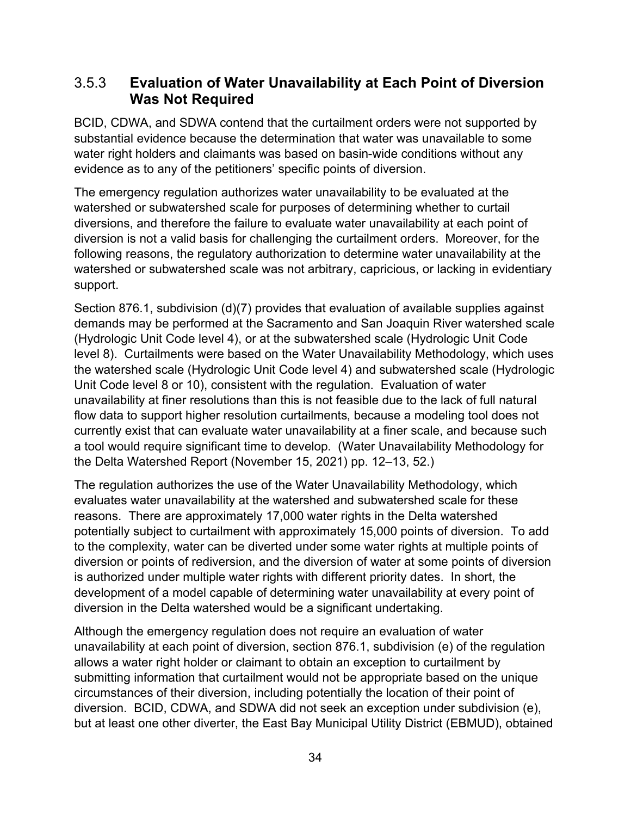#### <span id="page-37-0"></span>3.5.3 **Evaluation of Water Unavailability at Each Point of Diversion Was Not Required**

BCID, CDWA, and SDWA contend that the curtailment orders were not supported by substantial evidence because the determination that water was unavailable to some water right holders and claimants was based on basin-wide conditions without any evidence as to any of the petitioners' specific points of diversion.

The emergency regulation authorizes water unavailability to be evaluated at the watershed or subwatershed scale for purposes of determining whether to curtail diversions, and therefore the failure to evaluate water unavailability at each point of diversion is not a valid basis for challenging the curtailment orders. Moreover, for the following reasons, the regulatory authorization to determine water unavailability at the watershed or subwatershed scale was not arbitrary, capricious, or lacking in evidentiary support.

Section 876.1, subdivision (d)(7) provides that evaluation of available supplies against demands may be performed at the Sacramento and San Joaquin River watershed scale (Hydrologic Unit Code level 4), or at the subwatershed scale (Hydrologic Unit Code level 8). Curtailments were based on the Water Unavailability Methodology, which uses the watershed scale (Hydrologic Unit Code level 4) and subwatershed scale (Hydrologic Unit Code level 8 or 10), consistent with the regulation. Evaluation of water unavailability at finer resolutions than this is not feasible due to the lack of full natural flow data to support higher resolution curtailments, because a modeling tool does not currently exist that can evaluate water unavailability at a finer scale, and because such a tool would require significant time to develop. (Water Unavailability Methodology for the Delta Watershed Report (November 15, 2021) pp. 12–13, 52.)

The regulation authorizes the use of the Water Unavailability Methodology, which evaluates water unavailability at the watershed and subwatershed scale for these reasons. There are approximately 17,000 water rights in the Delta watershed potentially subject to curtailment with approximately 15,000 points of diversion. To add to the complexity, water can be diverted under some water rights at multiple points of diversion or points of rediversion, and the diversion of water at some points of diversion is authorized under multiple water rights with different priority dates. In short, the development of a model capable of determining water unavailability at every point of diversion in the Delta watershed would be a significant undertaking.

Although the emergency regulation does not require an evaluation of water unavailability at each point of diversion, section 876.1, subdivision (e) of the regulation allows a water right holder or claimant to obtain an exception to curtailment by submitting information that curtailment would not be appropriate based on the unique circumstances of their diversion, including potentially the location of their point of diversion. BCID, CDWA, and SDWA did not seek an exception under subdivision (e), but at least one other diverter, the East Bay Municipal Utility District (EBMUD), obtained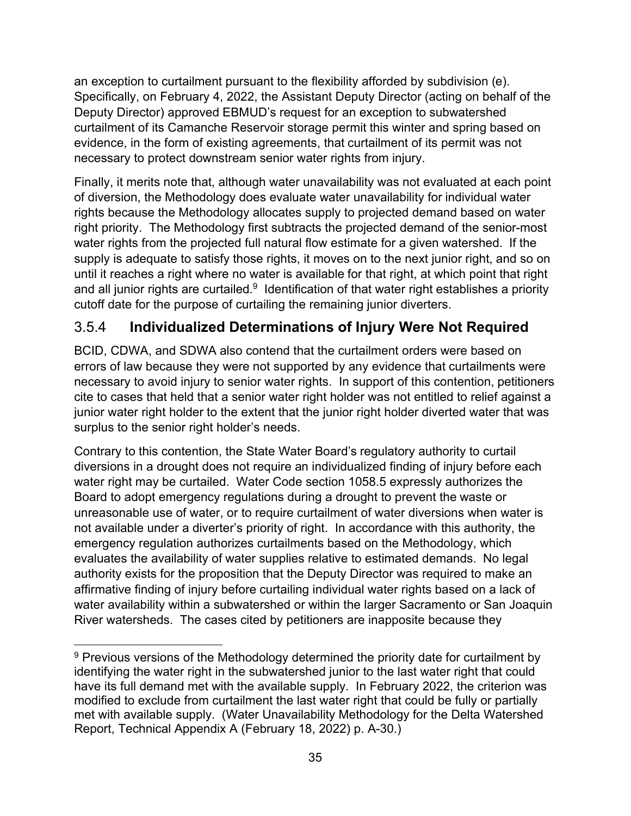an exception to curtailment pursuant to the flexibility afforded by subdivision (e). Specifically, on February 4, 2022, the Assistant Deputy Director (acting on behalf of the Deputy Director) approved EBMUD's request for an exception to subwatershed curtailment of its Camanche Reservoir storage permit this winter and spring based on evidence, in the form of existing agreements, that curtailment of its permit was not necessary to protect downstream senior water rights from injury.

Finally, it merits note that, although water unavailability was not evaluated at each point of diversion, the Methodology does evaluate water unavailability for individual water rights because the Methodology allocates supply to projected demand based on water right priority. The Methodology first subtracts the projected demand of the senior-most water rights from the projected full natural flow estimate for a given watershed. If the supply is adequate to satisfy those rights, it moves on to the next junior right, and so on until it reaches a right where no water is available for that right, at which point that right and all junior rights are curtailed. $9$  Identification of that water right establishes a priority cutoff date for the purpose of curtailing the remaining junior diverters.

### <span id="page-38-0"></span>3.5.4 **Individualized Determinations of Injury Were Not Required**

BCID, CDWA, and SDWA also contend that the curtailment orders were based on errors of law because they were not supported by any evidence that curtailments were necessary to avoid injury to senior water rights. In support of this contention, petitioners cite to cases that held that a senior water right holder was not entitled to relief against a junior water right holder to the extent that the junior right holder diverted water that was surplus to the senior right holder's needs.

Contrary to this contention, the State Water Board's regulatory authority to curtail diversions in a drought does not require an individualized finding of injury before each water right may be curtailed. Water Code section 1058.5 expressly authorizes the Board to adopt emergency regulations during a drought to prevent the waste or unreasonable use of water, or to require curtailment of water diversions when water is not available under a diverter's priority of right. In accordance with this authority, the emergency regulation authorizes curtailments based on the Methodology, which evaluates the availability of water supplies relative to estimated demands. No legal authority exists for the proposition that the Deputy Director was required to make an affirmative finding of injury before curtailing individual water rights based on a lack of water availability within a subwatershed or within the larger Sacramento or San Joaquin River watersheds. The cases cited by petitioners are inapposite because they

<span id="page-38-1"></span> $9$  Previous versions of the Methodology determined the priority date for curtailment by identifying the water right in the subwatershed junior to the last water right that could have its full demand met with the available supply. In February 2022, the criterion was modified to exclude from curtailment the last water right that could be fully or partially met with available supply. (Water Unavailability Methodology for the Delta Watershed Report, Technical Appendix A (February 18, 2022) p. A-30.)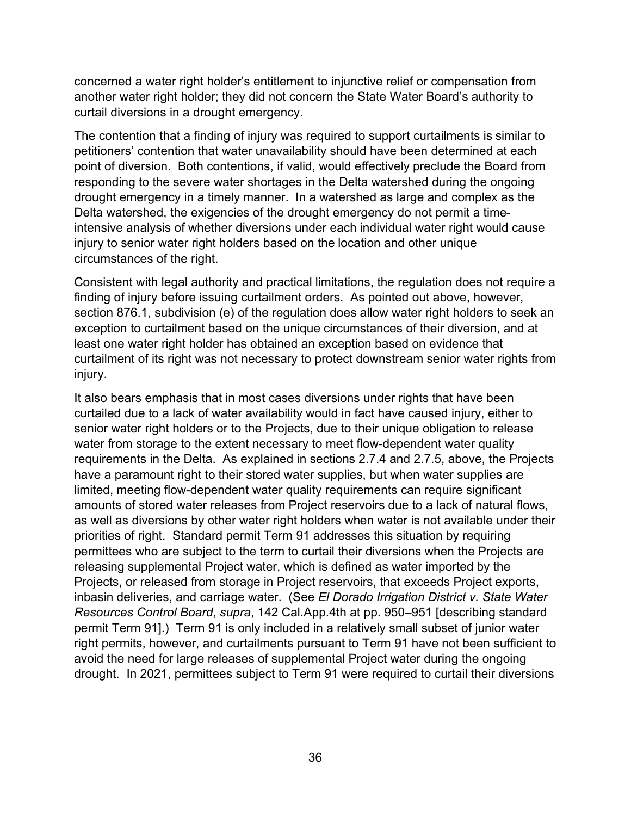concerned a water right holder's entitlement to injunctive relief or compensation from another water right holder; they did not concern the State Water Board's authority to curtail diversions in a drought emergency.

The contention that a finding of injury was required to support curtailments is similar to petitioners' contention that water unavailability should have been determined at each point of diversion. Both contentions, if valid, would effectively preclude the Board from responding to the severe water shortages in the Delta watershed during the ongoing drought emergency in a timely manner. In a watershed as large and complex as the Delta watershed, the exigencies of the drought emergency do not permit a timeintensive analysis of whether diversions under each individual water right would cause injury to senior water right holders based on the location and other unique circumstances of the right.

Consistent with legal authority and practical limitations, the regulation does not require a finding of injury before issuing curtailment orders. As pointed out above, however, section 876.1, subdivision (e) of the regulation does allow water right holders to seek an exception to curtailment based on the unique circumstances of their diversion, and at least one water right holder has obtained an exception based on evidence that curtailment of its right was not necessary to protect downstream senior water rights from injury.

It also bears emphasis that in most cases diversions under rights that have been curtailed due to a lack of water availability would in fact have caused injury, either to senior water right holders or to the Projects, due to their unique obligation to release water from storage to the extent necessary to meet flow-dependent water quality requirements in the Delta. As explained in sections 2.7.4 and [2.7.5](#page-18-1), above, the Projects have a paramount right to their stored water supplies, but when water supplies are limited, meeting flow-dependent water quality requirements can require significant amounts of stored water releases from Project reservoirs due to a lack of natural flows, as well as diversions by other water right holders when water is not available under their priorities of right. Standard permit Term 91 addresses this situation by requiring permittees who are subject to the term to curtail their diversions when the Projects are releasing supplemental Project water, which is defined as water imported by the Projects, or released from storage in Project reservoirs, that exceeds Project exports, inbasin deliveries, and carriage water. (See *El Dorado Irrigation District v. State Water Resources Control Board*, *supra*, 142 Cal.App.4th at pp. 950–951 [describing standard permit Term 91].) Term 91 is only included in a relatively small subset of junior water right permits, however, and curtailments pursuant to Term 91 have not been sufficient to avoid the need for large releases of supplemental Project water during the ongoing drought. In 2021, permittees subject to Term 91 were required to curtail their diversions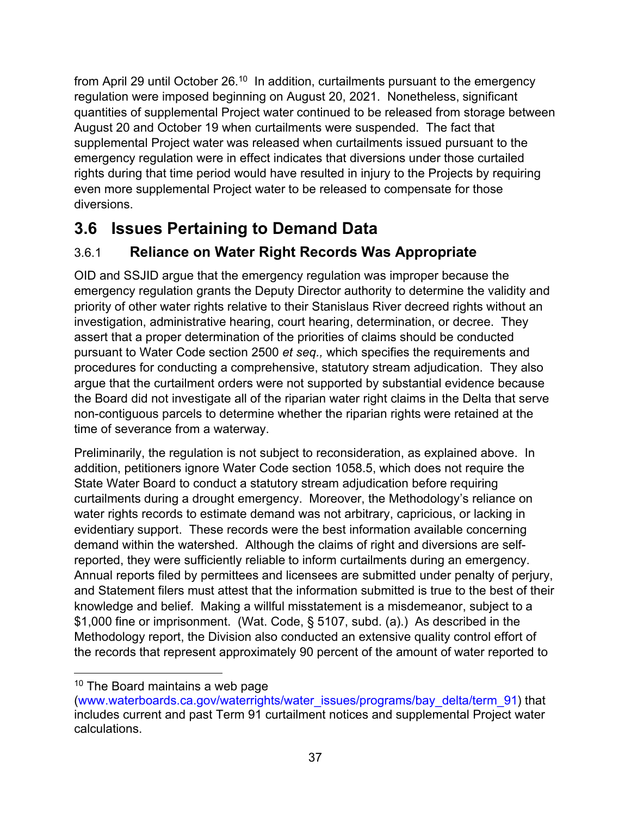from April 29 until October 26. $^{\rm 10}$  $^{\rm 10}$  $^{\rm 10}$  In addition, curtailments pursuant to the emergency regulation were imposed beginning on August 20, 2021. Nonetheless, significant quantities of supplemental Project water continued to be released from storage between August 20 and October 19 when curtailments were suspended. The fact that supplemental Project water was released when curtailments issued pursuant to the emergency regulation were in effect indicates that diversions under those curtailed rights during that time period would have resulted in injury to the Projects by requiring even more supplemental Project water to be released to compensate for those diversions.

# <span id="page-40-0"></span>**3.6 Issues Pertaining to Demand Data**

# <span id="page-40-1"></span>3.6.1 **Reliance on Water Right Records Was Appropriate**

OID and SSJID argue that the emergency regulation was improper because the emergency regulation grants the Deputy Director authority to determine the validity and priority of other water rights relative to their Stanislaus River decreed rights without an investigation, administrative hearing, court hearing, determination, or decree. They assert that a proper determination of the priorities of claims should be conducted pursuant to Water Code section 2500 *et seq.,* which specifies the requirements and procedures for conducting a comprehensive, statutory stream adjudication. They also argue that the curtailment orders were not supported by substantial evidence because the Board did not investigate all of the riparian water right claims in the Delta that serve non-contiguous parcels to determine whether the riparian rights were retained at the time of severance from a waterway.

Preliminarily, the regulation is not subject to reconsideration, as explained above. In addition, petitioners ignore Water Code section 1058.5, which does not require the State Water Board to conduct a statutory stream adjudication before requiring curtailments during a drought emergency. Moreover, the Methodology's reliance on water rights records to estimate demand was not arbitrary, capricious, or lacking in evidentiary support. These records were the best information available concerning demand within the watershed. Although the claims of right and diversions are selfreported, they were sufficiently reliable to inform curtailments during an emergency. Annual reports filed by permittees and licensees are submitted under penalty of perjury, and Statement filers must attest that the information submitted is true to the best of their knowledge and belief. Making a willful misstatement is a misdemeanor, subject to a \$1,000 fine or imprisonment. (Wat. Code, § 5107, subd. (a).) As described in the Methodology report, the Division also conducted an extensive quality control effort of the records that represent approximately 90 percent of the amount of water reported to

<span id="page-40-2"></span><sup>&</sup>lt;sup>10</sup> The Board maintains a web page

<sup>(</sup>[www.waterboards.ca.gov/waterrights/water\\_issues/programs/bay\\_delta/term\\_91](http://www.waterboards.ca.gov/waterrights/water_issues/programs/bay_delta/term_91/)) that includes current and past Term 91 curtailment notices and supplemental Project water calculations.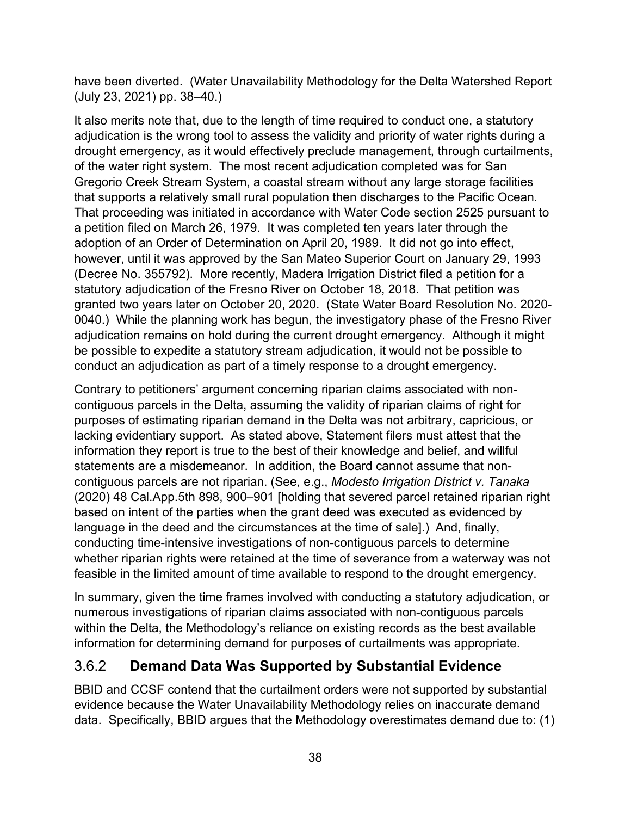have been diverted. (Water Unavailability Methodology for the Delta Watershed Report (July 23, 2021) pp. 38–40.)

It also merits note that, due to the length of time required to conduct one, a statutory adjudication is the wrong tool to assess the validity and priority of water rights during a drought emergency, as it would effectively preclude management, through curtailments, of the water right system. The most recent adjudication completed was for San Gregorio Creek Stream System, a coastal stream without any large storage facilities that supports a relatively small rural population then discharges to the Pacific Ocean. That proceeding was initiated in accordance with Water Code section 2525 pursuant to a petition filed on March 26, 1979. It was completed ten years later through the adoption of an Order of Determination on April 20, 1989. It did not go into effect, however, until it was approved by the San Mateo Superior Court on January 29, 1993 (Decree No. 355792). More recently, Madera Irrigation District filed a petition for a statutory adjudication of the Fresno River on October 18, 2018. That petition was granted two years later on October 20, 2020. (State Water Board Resolution No. 2020- 0040.) While the planning work has begun, the investigatory phase of the Fresno River adjudication remains on hold during the current drought emergency. Although it might be possible to expedite a statutory stream adjudication, it would not be possible to conduct an adjudication as part of a timely response to a drought emergency.

Contrary to petitioners' argument concerning riparian claims associated with noncontiguous parcels in the Delta, assuming the validity of riparian claims of right for purposes of estimating riparian demand in the Delta was not arbitrary, capricious, or lacking evidentiary support. As stated above, Statement filers must attest that the information they report is true to the best of their knowledge and belief, and willful statements are a misdemeanor. In addition, the Board cannot assume that noncontiguous parcels are not riparian. (See, e.g., *Modesto Irrigation District v. Tanaka* (2020) 48 Cal.App.5th 898, 900–901 [holding that severed parcel retained riparian right based on intent of the parties when the grant deed was executed as evidenced by language in the deed and the circumstances at the time of sale].) And, finally, conducting time-intensive investigations of non-contiguous parcels to determine whether riparian rights were retained at the time of severance from a waterway was not feasible in the limited amount of time available to respond to the drought emergency.

In summary, given the time frames involved with conducting a statutory adjudication, or numerous investigations of riparian claims associated with non-contiguous parcels within the Delta, the Methodology's reliance on existing records as the best available information for determining demand for purposes of curtailments was appropriate.

## <span id="page-41-0"></span>3.6.2 **Demand Data Was Supported by Substantial Evidence**

BBID and CCSF contend that the curtailment orders were not supported by substantial evidence because the Water Unavailability Methodology relies on inaccurate demand data. Specifically, BBID argues that the Methodology overestimates demand due to: (1)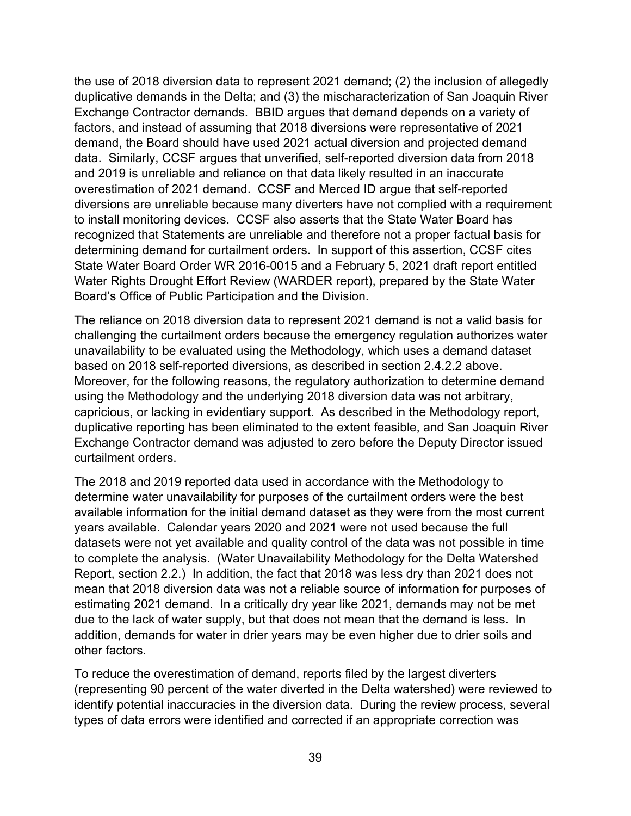the use of 2018 diversion data to represent 2021 demand; (2) the inclusion of allegedly duplicative demands in the Delta; and (3) the mischaracterization of San Joaquin River Exchange Contractor demands. BBID argues that demand depends on a variety of factors, and instead of assuming that 2018 diversions were representative of 2021 demand, the Board should have used 2021 actual diversion and projected demand data. Similarly, CCSF argues that unverified, self-reported diversion data from 2018 and 2019 is unreliable and reliance on that data likely resulted in an inaccurate overestimation of 2021 demand. CCSF and Merced ID argue that self-reported diversions are unreliable because many diverters have not complied with a requirement to install monitoring devices. CCSF also asserts that the State Water Board has recognized that Statements are unreliable and therefore not a proper factual basis for determining demand for curtailment orders. In support of this assertion, CCSF cites State Water Board Order WR 2016-0015 and a February 5, 2021 draft report entitled Water Rights Drought Effort Review (WARDER report), prepared by the State Water Board's Office of Public Participation and the Division.

The reliance on 2018 diversion data to represent 2021 demand is not a valid basis for challenging the curtailment orders because the emergency regulation authorizes water unavailability to be evaluated using the Methodology, which uses a demand dataset based on 2018 self-reported diversions, as described in section [2.4.2.2](#page-9-0) above. Moreover, for the following reasons, the regulatory authorization to determine demand using the Methodology and the underlying 2018 diversion data was not arbitrary, capricious, or lacking in evidentiary support. As described in the Methodology report, duplicative reporting has been eliminated to the extent feasible, and San Joaquin River Exchange Contractor demand was adjusted to zero before the Deputy Director issued curtailment orders.

The 2018 and 2019 reported data used in accordance with the Methodology to determine water unavailability for purposes of the curtailment orders were the best available information for the initial demand dataset as they were from the most current years available. Calendar years 2020 and 2021 were not used because the full datasets were not yet available and quality control of the data was not possible in time to complete the analysis. (Water Unavailability Methodology for the Delta Watershed Report, section 2.2.) In addition, the fact that 2018 was less dry than 2021 does not mean that 2018 diversion data was not a reliable source of information for purposes of estimating 2021 demand. In a critically dry year like 2021, demands may not be met due to the lack of water supply, but that does not mean that the demand is less. In addition, demands for water in drier years may be even higher due to drier soils and other factors.

To reduce the overestimation of demand, reports filed by the largest diverters (representing 90 percent of the water diverted in the Delta watershed) were reviewed to identify potential inaccuracies in the diversion data. During the review process, several types of data errors were identified and corrected if an appropriate correction was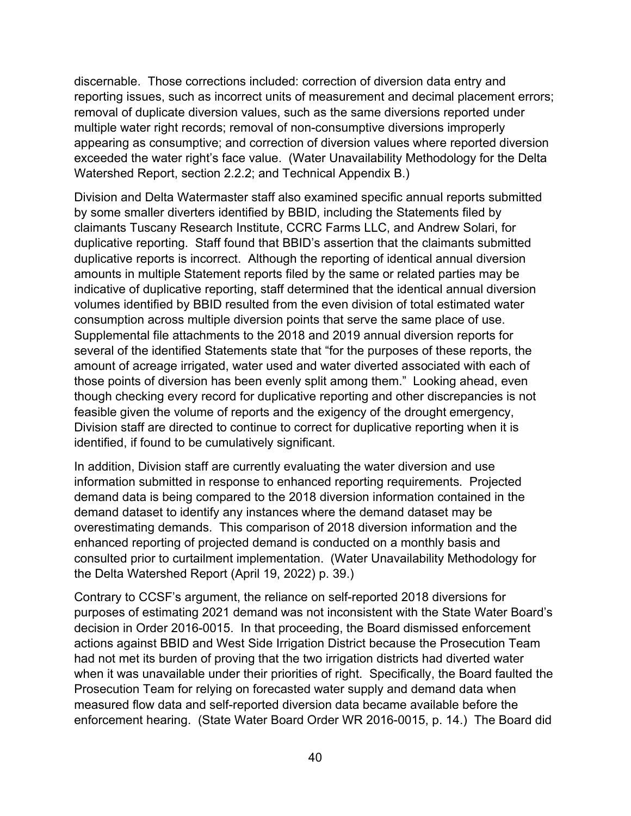discernable. Those corrections included: correction of diversion data entry and reporting issues, such as incorrect units of measurement and decimal placement errors; removal of duplicate diversion values, such as the same diversions reported under multiple water right records; removal of non-consumptive diversions improperly appearing as consumptive; and correction of diversion values where reported diversion exceeded the water right's face value. (Water Unavailability Methodology for the Delta Watershed Report, section 2.2.2; and Technical Appendix B.)

Division and Delta Watermaster staff also examined specific annual reports submitted by some smaller diverters identified by BBID, including the Statements filed by claimants Tuscany Research Institute, CCRC Farms LLC, and Andrew Solari, for duplicative reporting. Staff found that BBID's assertion that the claimants submitted duplicative reports is incorrect. Although the reporting of identical annual diversion amounts in multiple Statement reports filed by the same or related parties may be indicative of duplicative reporting, staff determined that the identical annual diversion volumes identified by BBID resulted from the even division of total estimated water consumption across multiple diversion points that serve the same place of use. Supplemental file attachments to the 2018 and 2019 annual diversion reports for several of the identified Statements state that "for the purposes of these reports, the amount of acreage irrigated, water used and water diverted associated with each of those points of diversion has been evenly split among them." Looking ahead, even though checking every record for duplicative reporting and other discrepancies is not feasible given the volume of reports and the exigency of the drought emergency, Division staff are directed to continue to correct for duplicative reporting when it is identified, if found to be cumulatively significant.

In addition, Division staff are currently evaluating the water diversion and use information submitted in response to enhanced reporting requirements. Projected demand data is being compared to the 2018 diversion information contained in the demand dataset to identify any instances where the demand dataset may be overestimating demands. This comparison of 2018 diversion information and the enhanced reporting of projected demand is conducted on a monthly basis and consulted prior to curtailment implementation. (Water Unavailability Methodology for the Delta Watershed Report (April 19, 2022) p. 39.)

Contrary to CCSF's argument, the reliance on self-reported 2018 diversions for purposes of estimating 2021 demand was not inconsistent with the State Water Board's decision in Order 2016-0015. In that proceeding, the Board dismissed enforcement actions against BBID and West Side Irrigation District because the Prosecution Team had not met its burden of proving that the two irrigation districts had diverted water when it was unavailable under their priorities of right. Specifically, the Board faulted the Prosecution Team for relying on forecasted water supply and demand data when measured flow data and self-reported diversion data became available before the enforcement hearing. (State Water Board Order WR 2016-0015, p. 14.) The Board did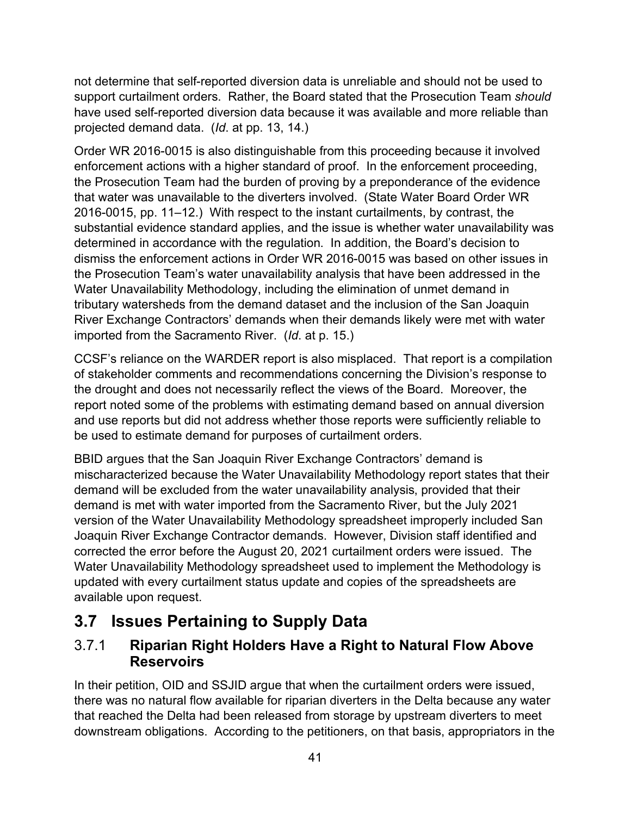not determine that self-reported diversion data is unreliable and should not be used to support curtailment orders. Rather, the Board stated that the Prosecution Team *should*  have used self-reported diversion data because it was available and more reliable than projected demand data. (*Id*. at pp. 13, 14.)

Order WR 2016-0015 is also distinguishable from this proceeding because it involved enforcement actions with a higher standard of proof. In the enforcement proceeding, the Prosecution Team had the burden of proving by a preponderance of the evidence that water was unavailable to the diverters involved. (State Water Board Order WR 2016-0015, pp. 11–12.) With respect to the instant curtailments, by contrast, the substantial evidence standard applies, and the issue is whether water unavailability was determined in accordance with the regulation. In addition, the Board's decision to dismiss the enforcement actions in Order WR 2016-0015 was based on other issues in the Prosecution Team's water unavailability analysis that have been addressed in the Water Unavailability Methodology, including the elimination of unmet demand in tributary watersheds from the demand dataset and the inclusion of the San Joaquin River Exchange Contractors' demands when their demands likely were met with water imported from the Sacramento River. (*Id*. at p. 15.)

CCSF's reliance on the WARDER report is also misplaced. That report is a compilation of stakeholder comments and recommendations concerning the Division's response to the drought and does not necessarily reflect the views of the Board. Moreover, the report noted some of the problems with estimating demand based on annual diversion and use reports but did not address whether those reports were sufficiently reliable to be used to estimate demand for purposes of curtailment orders.

BBID argues that the San Joaquin River Exchange Contractors' demand is mischaracterized because the Water Unavailability Methodology report states that their demand will be excluded from the water unavailability analysis, provided that their demand is met with water imported from the Sacramento River, but the July 2021 version of the Water Unavailability Methodology spreadsheet improperly included San Joaquin River Exchange Contractor demands. However, Division staff identified and corrected the error before the August 20, 2021 curtailment orders were issued. The Water Unavailability Methodology spreadsheet used to implement the Methodology is updated with every curtailment status update and copies of the spreadsheets are available upon request.

# <span id="page-44-0"></span>**3.7 Issues Pertaining to Supply Data**

### <span id="page-44-1"></span>3.7.1 **Riparian Right Holders Have a Right to Natural Flow Above Reservoirs**

In their petition, OID and SSJID argue that when the curtailment orders were issued, there was no natural flow available for riparian diverters in the Delta because any water that reached the Delta had been released from storage by upstream diverters to meet downstream obligations. According to the petitioners, on that basis, appropriators in the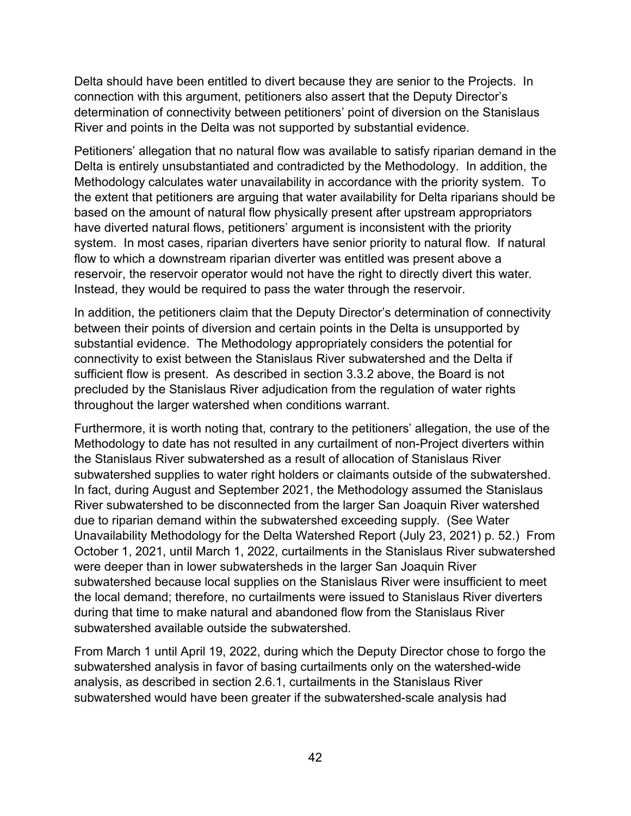Delta should have been entitled to divert because they are senior to the Projects. In connection with this argument, petitioners also assert that the Deputy Director's determination of connectivity between petitioners' point of diversion on the Stanislaus River and points in the Delta was not supported by substantial evidence.

Petitioners' allegation that no natural flow was available to satisfy riparian demand in the Delta is entirely unsubstantiated and contradicted by the Methodology. In addition, the Methodology calculates water unavailability in accordance with the priority system. To the extent that petitioners are arguing that water availability for Delta riparians should be based on the amount of natural flow physically present after upstream appropriators have diverted natural flows, petitioners' argument is inconsistent with the priority system. In most cases, riparian diverters have senior priority to natural flow. If natural flow to which a downstream riparian diverter was entitled was present above a reservoir, the reservoir operator would not have the right to directly divert this water. Instead, they would be required to pass the water through the reservoir.

In addition, the petitioners claim that the Deputy Director's determination of connectivity between their points of diversion and certain points in the Delta is unsupported by substantial evidence. The Methodology appropriately considers the potential for connectivity to exist between the Stanislaus River subwatershed and the Delta if sufficient flow is present. As described in section [3.3.2](#page-29-0) above, the Board is not precluded by the Stanislaus River adjudication from the regulation of water rights throughout the larger watershed when conditions warrant.

Furthermore, it is worth noting that, contrary to the petitioners' allegation, the use of the Methodology to date has not resulted in any curtailment of non-Project diverters within the Stanislaus River subwatershed as a result of allocation of Stanislaus River subwatershed supplies to water right holders or claimants outside of the subwatershed. In fact, during August and September 2021, the Methodology assumed the Stanislaus River subwatershed to be disconnected from the larger San Joaquin River watershed due to riparian demand within the subwatershed exceeding supply. (See Water Unavailability Methodology for the Delta Watershed Report (July 23, 2021) p. 52.) From October 1, 2021, until March 1, 2022, curtailments in the Stanislaus River subwatershed were deeper than in lower subwatersheds in the larger San Joaquin River subwatershed because local supplies on the Stanislaus River were insufficient to meet the local demand; therefore, no curtailments were issued to Stanislaus River diverters during that time to make natural and abandoned flow from the Stanislaus River subwatershed available outside the subwatershed.

From March 1 until April 19, 2022, during which the Deputy Director chose to forgo the subwatershed analysis in favor of basing curtailments only on the watershed-wide analysis, as described in section [2.6.1](#page-14-1), curtailments in the Stanislaus River subwatershed would have been greater if the subwatershed-scale analysis had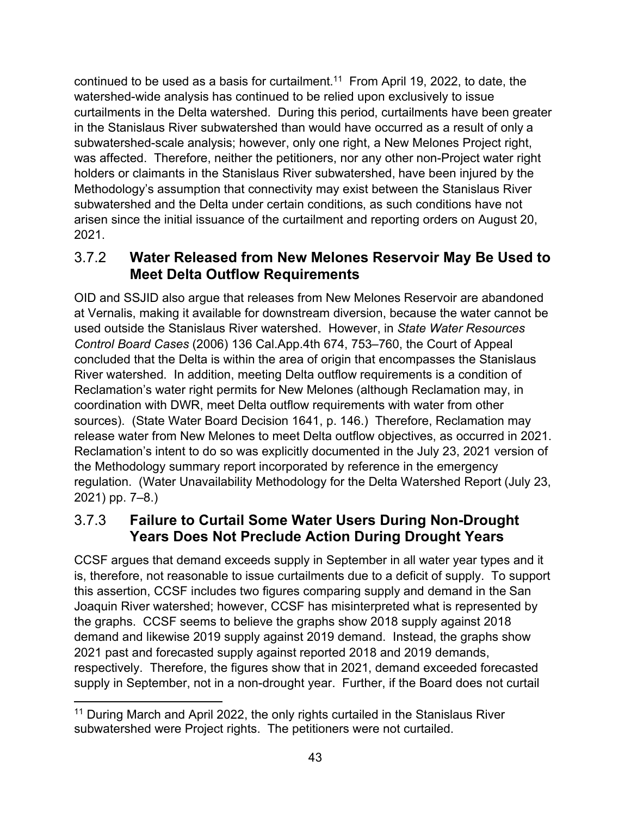continued to be used as a basis for curtailment. [11](#page-46-2) From April 19, 2022, to date, the watershed-wide analysis has continued to be relied upon exclusively to issue curtailments in the Delta watershed. During this period, curtailments have been greater in the Stanislaus River subwatershed than would have occurred as a result of only a subwatershed-scale analysis; however, only one right, a New Melones Project right, was affected. Therefore, neither the petitioners, nor any other non-Project water right holders or claimants in the Stanislaus River subwatershed, have been injured by the Methodology's assumption that connectivity may exist between the Stanislaus River subwatershed and the Delta under certain conditions, as such conditions have not arisen since the initial issuance of the curtailment and reporting orders on August 20, 2021.

### <span id="page-46-0"></span>3.7.2 **Water Released from New Melones Reservoir May Be Used to Meet Delta Outflow Requirements**

OID and SSJID also argue that releases from New Melones Reservoir are abandoned at Vernalis, making it available for downstream diversion, because the water cannot be used outside the Stanislaus River watershed. However, in *State Water Resources Control Board Cases* (2006) 136 Cal.App.4th 674, 753–760, the Court of Appeal concluded that the Delta is within the area of origin that encompasses the Stanislaus River watershed. In addition, meeting Delta outflow requirements is a condition of Reclamation's water right permits for New Melones (although Reclamation may, in coordination with DWR, meet Delta outflow requirements with water from other sources). (State Water Board Decision 1641, p. 146.) Therefore, Reclamation may release water from New Melones to meet Delta outflow objectives, as occurred in 2021. Reclamation's intent to do so was explicitly documented in the July 23, 2021 version of the Methodology summary report incorporated by reference in the emergency regulation. (Water Unavailability Methodology for the Delta Watershed Report (July 23, 2021) pp. 7–8.)

### <span id="page-46-1"></span>3.7.3 **Failure to Curtail Some Water Users During Non-Drought Years Does Not Preclude Action During Drought Years**

CCSF argues that demand exceeds supply in September in all water year types and it is, therefore, not reasonable to issue curtailments due to a deficit of supply. To support this assertion, CCSF includes two figures comparing supply and demand in the San Joaquin River watershed; however, CCSF has misinterpreted what is represented by the graphs. CCSF seems to believe the graphs show 2018 supply against 2018 demand and likewise 2019 supply against 2019 demand. Instead, the graphs show 2021 past and forecasted supply against reported 2018 and 2019 demands, respectively. Therefore, the figures show that in 2021, demand exceeded forecasted supply in September, not in a non-drought year. Further, if the Board does not curtail

<span id="page-46-2"></span><sup>&</sup>lt;sup>11</sup> During March and April 2022, the only rights curtailed in the Stanislaus River subwatershed were Project rights. The petitioners were not curtailed.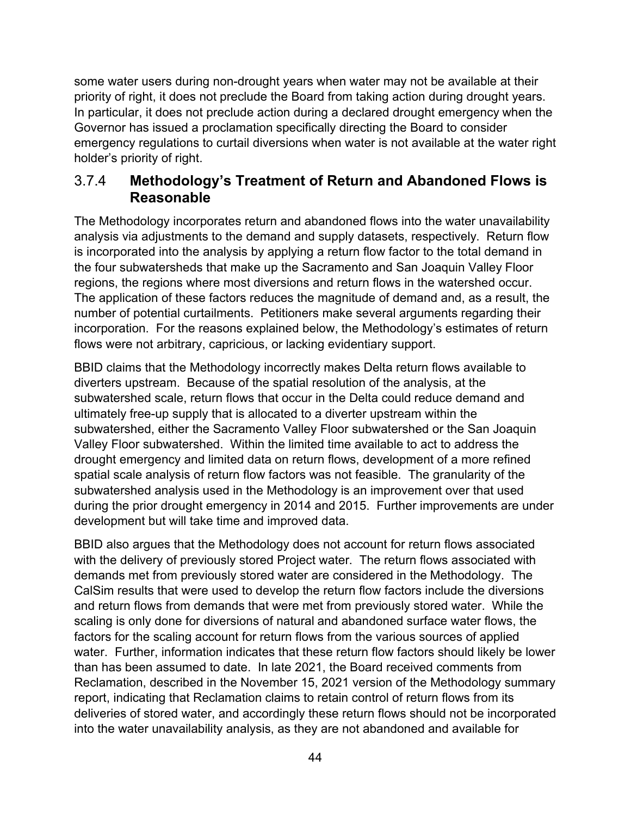some water users during non-drought years when water may not be available at their priority of right, it does not preclude the Board from taking action during drought years. In particular, it does not preclude action during a declared drought emergency when the Governor has issued a proclamation specifically directing the Board to consider emergency regulations to curtail diversions when water is not available at the water right holder's priority of right.

#### <span id="page-47-0"></span>3.7.4 **Methodology's Treatment of Return and Abandoned Flows is Reasonable**

The Methodology incorporates return and abandoned flows into the water unavailability analysis via adjustments to the demand and supply datasets, respectively. Return flow is incorporated into the analysis by applying a return flow factor to the total demand in the four subwatersheds that make up the Sacramento and San Joaquin Valley Floor regions, the regions where most diversions and return flows in the watershed occur. The application of these factors reduces the magnitude of demand and, as a result, the number of potential curtailments. Petitioners make several arguments regarding their incorporation. For the reasons explained below, the Methodology's estimates of return flows were not arbitrary, capricious, or lacking evidentiary support.

BBID claims that the Methodology incorrectly makes Delta return flows available to diverters upstream. Because of the spatial resolution of the analysis, at the subwatershed scale, return flows that occur in the Delta could reduce demand and ultimately free-up supply that is allocated to a diverter upstream within the subwatershed, either the Sacramento Valley Floor subwatershed or the San Joaquin Valley Floor subwatershed. Within the limited time available to act to address the drought emergency and limited data on return flows, development of a more refined spatial scale analysis of return flow factors was not feasible. The granularity of the subwatershed analysis used in the Methodology is an improvement over that used during the prior drought emergency in 2014 and 2015. Further improvements are under development but will take time and improved data.

BBID also argues that the Methodology does not account for return flows associated with the delivery of previously stored Project water. The return flows associated with demands met from previously stored water are considered in the Methodology. The CalSim results that were used to develop the return flow factors include the diversions and return flows from demands that were met from previously stored water. While the scaling is only done for diversions of natural and abandoned surface water flows, the factors for the scaling account for return flows from the various sources of applied water. Further, information indicates that these return flow factors should likely be lower than has been assumed to date. In late 2021, the Board received comments from Reclamation, described in the November 15, 2021 version of the Methodology summary report, indicating that Reclamation claims to retain control of return flows from its deliveries of stored water, and accordingly these return flows should not be incorporated into the water unavailability analysis, as they are not abandoned and available for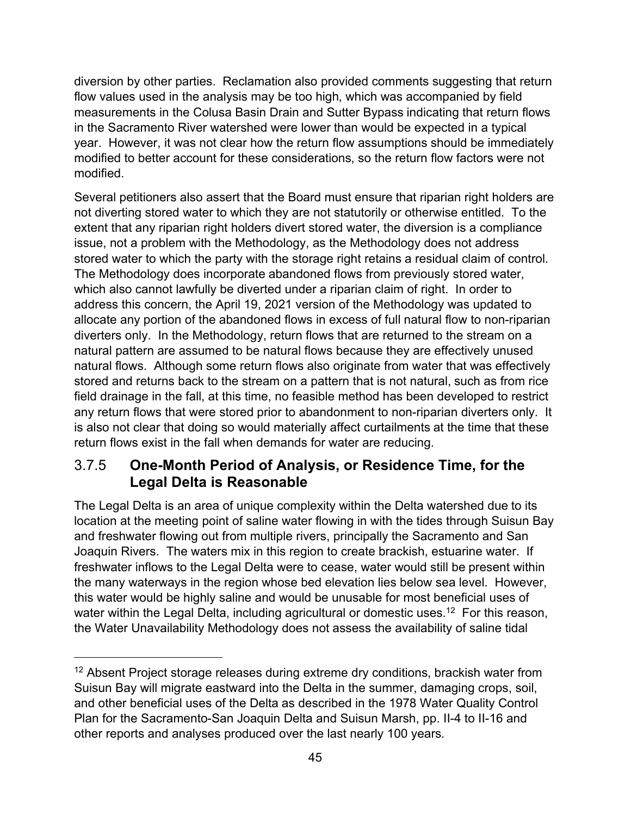diversion by other parties. Reclamation also provided comments suggesting that return flow values used in the analysis may be too high, which was accompanied by field measurements in the Colusa Basin Drain and Sutter Bypass indicating that return flows in the Sacramento River watershed were lower than would be expected in a typical year. However, it was not clear how the return flow assumptions should be immediately modified to better account for these considerations, so the return flow factors were not modified.

Several petitioners also assert that the Board must ensure that riparian right holders are not diverting stored water to which they are not statutorily or otherwise entitled. To the extent that any riparian right holders divert stored water, the diversion is a compliance issue, not a problem with the Methodology, as the Methodology does not address stored water to which the party with the storage right retains a residual claim of control. The Methodology does incorporate abandoned flows from previously stored water, which also cannot lawfully be diverted under a riparian claim of right. In order to address this concern, the April 19, 2021 version of the Methodology was updated to allocate any portion of the abandoned flows in excess of full natural flow to non-riparian diverters only. In the Methodology, return flows that are returned to the stream on a natural pattern are assumed to be natural flows because they are effectively unused natural flows. Although some return flows also originate from water that was effectively stored and returns back to the stream on a pattern that is not natural, such as from rice field drainage in the fall, at this time, no feasible method has been developed to restrict any return flows that were stored prior to abandonment to non-riparian diverters only. It is also not clear that doing so would materially affect curtailments at the time that these return flows exist in the fall when demands for water are reducing.

### <span id="page-48-0"></span>3.7.5 **One-Month Period of Analysis, or Residence Time, for the Legal Delta is Reasonable**

The Legal Delta is an area of unique complexity within the Delta watershed due to its location at the meeting point of saline water flowing in with the tides through Suisun Bay and freshwater flowing out from multiple rivers, principally the Sacramento and San Joaquin Rivers. The waters mix in this region to create brackish, estuarine water. If freshwater inflows to the Legal Delta were to cease, water would still be present within the many waterways in the region whose bed elevation lies below sea level. However, this water would be highly saline and would be unusable for most beneficial uses of water within the Legal Delta, including agricultural or domestic uses.<sup>[12](#page-48-1)</sup> For this reason, the Water Unavailability Methodology does not assess the availability of saline tidal

<span id="page-48-1"></span> $12$  Absent Project storage releases during extreme dry conditions, brackish water from Suisun Bay will migrate eastward into the Delta in the summer, damaging crops, soil, and other beneficial uses of the Delta as described in the 1978 Water Quality Control Plan for the Sacramento-San Joaquin Delta and Suisun Marsh, pp. II-4 to II-16 and other reports and analyses produced over the last nearly 100 years.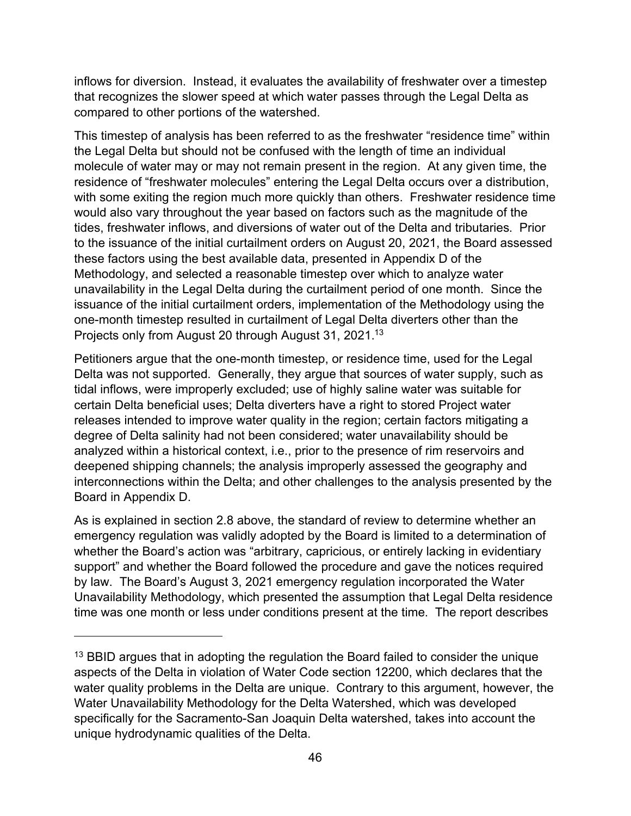inflows for diversion. Instead, it evaluates the availability of freshwater over a timestep that recognizes the slower speed at which water passes through the Legal Delta as compared to other portions of the watershed.

This timestep of analysis has been referred to as the freshwater "residence time" within the Legal Delta but should not be confused with the length of time an individual molecule of water may or may not remain present in the region. At any given time, the residence of "freshwater molecules" entering the Legal Delta occurs over a distribution, with some exiting the region much more quickly than others. Freshwater residence time would also vary throughout the year based on factors such as the magnitude of the tides, freshwater inflows, and diversions of water out of the Delta and tributaries. Prior to the issuance of the initial curtailment orders on August 20, 2021, the Board assessed these factors using the best available data, presented in Appendix D of the Methodology, and selected a reasonable timestep over which to analyze water unavailability in the Legal Delta during the curtailment period of one month. Since the issuance of the initial curtailment orders, implementation of the Methodology using the one-month timestep resulted in curtailment of Legal Delta diverters other than the Projects only from August 20 through August 31, 2021.[13](#page-49-0)

Petitioners argue that the one-month timestep, or residence time, used for the Legal Delta was not supported. Generally, they argue that sources of water supply, such as tidal inflows, were improperly excluded; use of highly saline water was suitable for certain Delta beneficial uses; Delta diverters have a right to stored Project water releases intended to improve water quality in the region; certain factors mitigating a degree of Delta salinity had not been considered; water unavailability should be analyzed within a historical context, i.e., prior to the presence of rim reservoirs and deepened shipping channels; the analysis improperly assessed the geography and interconnections within the Delta; and other challenges to the analysis presented by the Board in Appendix D.

As is explained in section 2.8 above, the standard of review to determine whether an emergency regulation was validly adopted by the Board is limited to a determination of whether the Board's action was "arbitrary, capricious, or entirely lacking in evidentiary support" and whether the Board followed the procedure and gave the notices required by law. The Board's August 3, 2021 emergency regulation incorporated the Water Unavailability Methodology, which presented the assumption that Legal Delta residence time was one month or less under conditions present at the time. The report describes

<span id="page-49-0"></span> $13$  BBID argues that in adopting the regulation the Board failed to consider the unique aspects of the Delta in violation of Water Code section 12200, which declares that the water quality problems in the Delta are unique. Contrary to this argument, however, the Water Unavailability Methodology for the Delta Watershed, which was developed specifically for the Sacramento-San Joaquin Delta watershed, takes into account the unique hydrodynamic qualities of the Delta.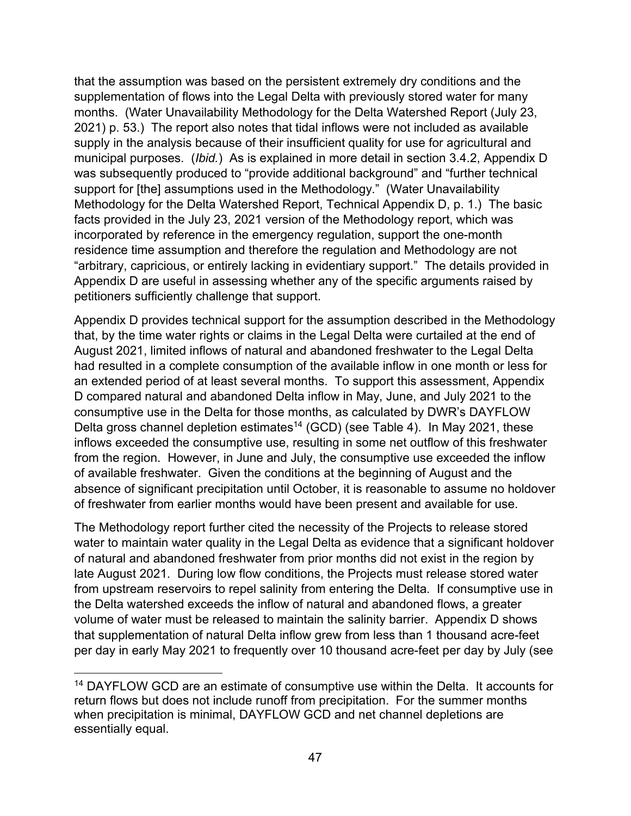that the assumption was based on the persistent extremely dry conditions and the supplementation of flows into the Legal Delta with previously stored water for many months. (Water Unavailability Methodology for the Delta Watershed Report (July 23, 2021) p. 53.) The report also notes that tidal inflows were not included as available supply in the analysis because of their insufficient quality for use for agricultural and municipal purposes. (*Ibid.*) As is explained in more detail in section [3.4.2,](#page-31-0) Appendix D was subsequently produced to "provide additional background" and "further technical support for [the] assumptions used in the Methodology." (Water Unavailability Methodology for the Delta Watershed Report, Technical Appendix D, p. 1.) The basic facts provided in the July 23, 2021 version of the Methodology report, which was incorporated by reference in the emergency regulation, support the one-month residence time assumption and therefore the regulation and Methodology are not "arbitrary, capricious, or entirely lacking in evidentiary support." The details provided in Appendix D are useful in assessing whether any of the specific arguments raised by petitioners sufficiently challenge that support.

Appendix D provides technical support for the assumption described in the Methodology that, by the time water rights or claims in the Legal Delta were curtailed at the end of August 2021, limited inflows of natural and abandoned freshwater to the Legal Delta had resulted in a complete consumption of the available inflow in one month or less for an extended period of at least several months. To support this assessment, Appendix D compared natural and abandoned Delta inflow in May, June, and July 2021 to the consumptive use in the Delta for those months, as calculated by DWR's DAYFLOW Delta gross channel depletion estimates<sup>[14](#page-50-0)</sup> (GCD) (see Table 4). In May 2021, these inflows exceeded the consumptive use, resulting in some net outflow of this freshwater from the region. However, in June and July, the consumptive use exceeded the inflow of available freshwater. Given the conditions at the beginning of August and the absence of significant precipitation until October, it is reasonable to assume no holdover of freshwater from earlier months would have been present and available for use.

The Methodology report further cited the necessity of the Projects to release stored water to maintain water quality in the Legal Delta as evidence that a significant holdover of natural and abandoned freshwater from prior months did not exist in the region by late August 2021. During low flow conditions, the Projects must release stored water from upstream reservoirs to repel salinity from entering the Delta. If consumptive use in the Delta watershed exceeds the inflow of natural and abandoned flows, a greater volume of water must be released to maintain the salinity barrier. Appendix D shows that supplementation of natural Delta inflow grew from less than 1 thousand acre-feet per day in early May 2021 to frequently over 10 thousand acre-feet per day by July (see

<span id="page-50-0"></span><sup>&</sup>lt;sup>14</sup> DAYFLOW GCD are an estimate of consumptive use within the Delta. It accounts for return flows but does not include runoff from precipitation. For the summer months when precipitation is minimal, DAYFLOW GCD and net channel depletions are essentially equal.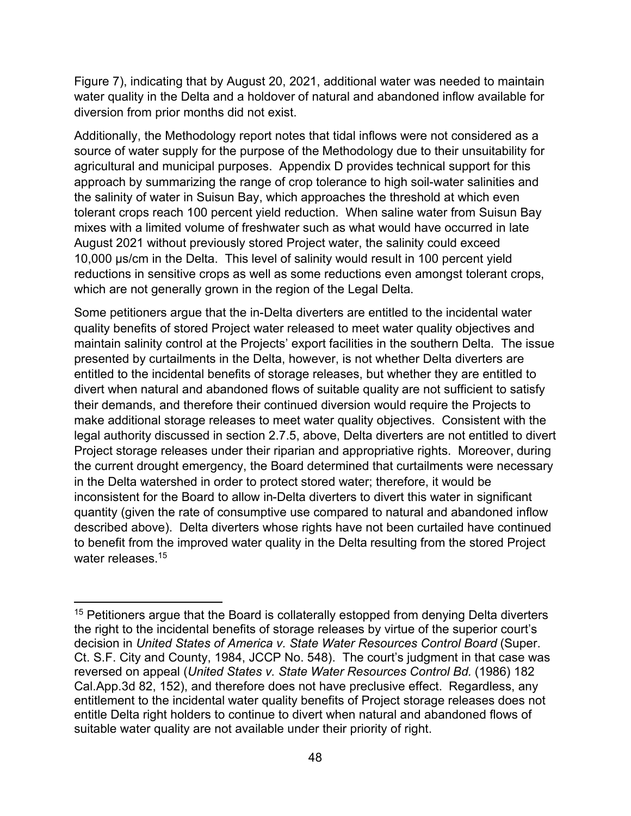Figure 7), indicating that by August 20, 2021, additional water was needed to maintain water quality in the Delta and a holdover of natural and abandoned inflow available for diversion from prior months did not exist.

Additionally, the Methodology report notes that tidal inflows were not considered as a source of water supply for the purpose of the Methodology due to their unsuitability for agricultural and municipal purposes. Appendix D provides technical support for this approach by summarizing the range of crop tolerance to high soil-water salinities and the salinity of water in Suisun Bay, which approaches the threshold at which even tolerant crops reach 100 percent yield reduction. When saline water from Suisun Bay mixes with a limited volume of freshwater such as what would have occurred in late August 2021 without previously stored Project water, the salinity could exceed 10,000 µs/cm in the Delta. This level of salinity would result in 100 percent yield reductions in sensitive crops as well as some reductions even amongst tolerant crops, which are not generally grown in the region of the Legal Delta.

Some petitioners argue that the in-Delta diverters are entitled to the incidental water quality benefits of stored Project water released to meet water quality objectives and maintain salinity control at the Projects' export facilities in the southern Delta. The issue presented by curtailments in the Delta, however, is not whether Delta diverters are entitled to the incidental benefits of storage releases, but whether they are entitled to divert when natural and abandoned flows of suitable quality are not sufficient to satisfy their demands, and therefore their continued diversion would require the Projects to make additional storage releases to meet water quality objectives. Consistent with the legal authority discussed in section 2.7.5, above, Delta diverters are not entitled to divert Project storage releases under their riparian and appropriative rights. Moreover, during the current drought emergency, the Board determined that curtailments were necessary in the Delta watershed in order to protect stored water; therefore, it would be inconsistent for the Board to allow in-Delta diverters to divert this water in significant quantity (given the rate of consumptive use compared to natural and abandoned inflow described above). Delta diverters whose rights have not been curtailed have continued to benefit from the improved water quality in the Delta resulting from the stored Project water releases. [15](#page-51-0)

<span id="page-51-0"></span> $15$  Petitioners argue that the Board is collaterally estopped from denying Delta diverters the right to the incidental benefits of storage releases by virtue of the superior court's decision in *United States of America v. State Water Resources Control Board* (Super. Ct. S.F. City and County, 1984, JCCP No. 548). The court's judgment in that case was reversed on appeal (*United States v. State Water Resources Control Bd.* (1986) 182 Cal.App.3d 82, 152), and therefore does not have preclusive effect. Regardless, any entitlement to the incidental water quality benefits of Project storage releases does not entitle Delta right holders to continue to divert when natural and abandoned flows of suitable water quality are not available under their priority of right.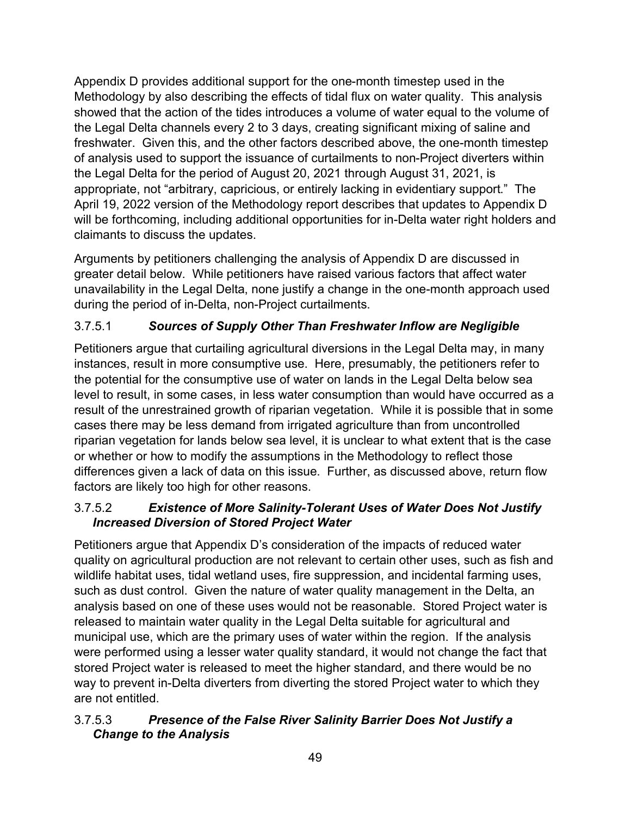Appendix D provides additional support for the one-month timestep used in the Methodology by also describing the effects of tidal flux on water quality. This analysis showed that the action of the tides introduces a volume of water equal to the volume of the Legal Delta channels every 2 to 3 days, creating significant mixing of saline and freshwater. Given this, and the other factors described above, the one-month timestep of analysis used to support the issuance of curtailments to non-Project diverters within the Legal Delta for the period of August 20, 2021 through August 31, 2021, is appropriate, not "arbitrary, capricious, or entirely lacking in evidentiary support." The April 19, 2022 version of the Methodology report describes that updates to Appendix D will be forthcoming, including additional opportunities for in-Delta water right holders and claimants to discuss the updates.

Arguments by petitioners challenging the analysis of Appendix D are discussed in greater detail below. While petitioners have raised various factors that affect water unavailability in the Legal Delta, none justify a change in the one-month approach used during the period of in-Delta, non-Project curtailments.

#### <span id="page-52-0"></span>3.7.5.1 *Sources of Supply Other Than Freshwater Inflow are Negligible*

Petitioners argue that curtailing agricultural diversions in the Legal Delta may, in many instances, result in more consumptive use. Here, presumably, the petitioners refer to the potential for the consumptive use of water on lands in the Legal Delta below sea level to result, in some cases, in less water consumption than would have occurred as a result of the unrestrained growth of riparian vegetation. While it is possible that in some cases there may be less demand from irrigated agriculture than from uncontrolled riparian vegetation for lands below sea level, it is unclear to what extent that is the case or whether or how to modify the assumptions in the Methodology to reflect those differences given a lack of data on this issue. Further, as discussed above, return flow factors are likely too high for other reasons.

#### <span id="page-52-1"></span>3.7.5.2 *Existence of More Salinity-Tolerant Uses of Water Does Not Justify Increased Diversion of Stored Project Water*

Petitioners argue that Appendix D's consideration of the impacts of reduced water quality on agricultural production are not relevant to certain other uses, such as fish and wildlife habitat uses, tidal wetland uses, fire suppression, and incidental farming uses, such as dust control. Given the nature of water quality management in the Delta, an analysis based on one of these uses would not be reasonable. Stored Project water is released to maintain water quality in the Legal Delta suitable for agricultural and municipal use, which are the primary uses of water within the region. If the analysis were performed using a lesser water quality standard, it would not change the fact that stored Project water is released to meet the higher standard, and there would be no way to prevent in-Delta diverters from diverting the stored Project water to which they are not entitled.

#### <span id="page-52-2"></span>3.7.5.3 *Presence of the False River Salinity Barrier Does Not Justify a Change to the Analysis*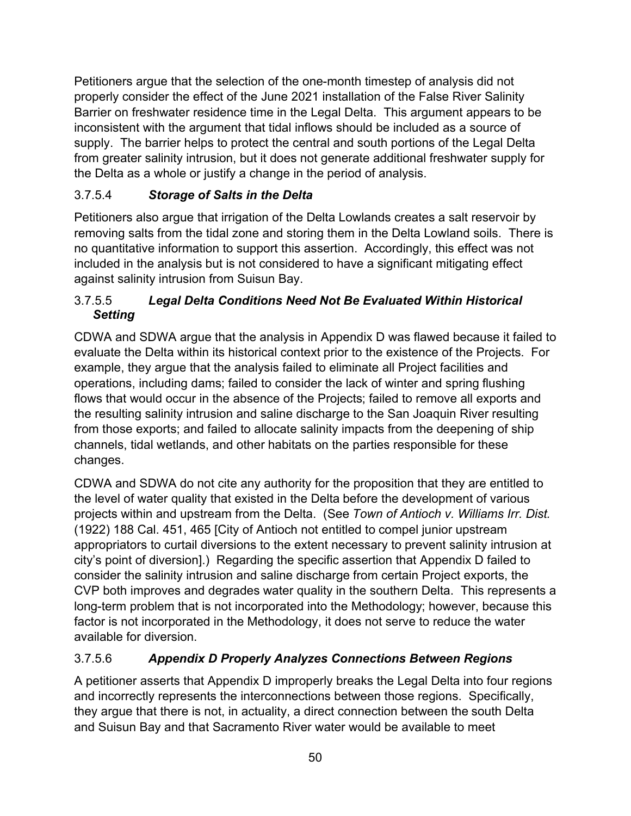Petitioners argue that the selection of the one-month timestep of analysis did not properly consider the effect of the June 2021 installation of the False River Salinity Barrier on freshwater residence time in the Legal Delta. This argument appears to be inconsistent with the argument that tidal inflows should be included as a source of supply. The barrier helps to protect the central and south portions of the Legal Delta from greater salinity intrusion, but it does not generate additional freshwater supply for the Delta as a whole or justify a change in the period of analysis.

#### <span id="page-53-0"></span>3.7.5.4 *Storage of Salts in the Delta*

Petitioners also argue that irrigation of the Delta Lowlands creates a salt reservoir by removing salts from the tidal zone and storing them in the Delta Lowland soils. There is no quantitative information to support this assertion. Accordingly, this effect was not included in the analysis but is not considered to have a significant mitigating effect against salinity intrusion from Suisun Bay.

#### <span id="page-53-1"></span>3.7.5.5 *Legal Delta Conditions Need Not Be Evaluated Within Historical Setting*

CDWA and SDWA argue that the analysis in Appendix D was flawed because it failed to evaluate the Delta within its historical context prior to the existence of the Projects. For example, they argue that the analysis failed to eliminate all Project facilities and operations, including dams; failed to consider the lack of winter and spring flushing flows that would occur in the absence of the Projects; failed to remove all exports and the resulting salinity intrusion and saline discharge to the San Joaquin River resulting from those exports; and failed to allocate salinity impacts from the deepening of ship channels, tidal wetlands, and other habitats on the parties responsible for these changes.

CDWA and SDWA do not cite any authority for the proposition that they are entitled to the level of water quality that existed in the Delta before the development of various projects within and upstream from the Delta. (See *Town of Antioch v. Williams Irr. Dist.* (1922) 188 Cal. 451, 465 [City of Antioch not entitled to compel junior upstream appropriators to curtail diversions to the extent necessary to prevent salinity intrusion at city's point of diversion].) Regarding the specific assertion that Appendix D failed to consider the salinity intrusion and saline discharge from certain Project exports, the CVP both improves and degrades water quality in the southern Delta. This represents a long-term problem that is not incorporated into the Methodology; however, because this factor is not incorporated in the Methodology, it does not serve to reduce the water available for diversion.

#### <span id="page-53-2"></span>3.7.5.6 *Appendix D Properly Analyzes Connections Between Regions*

A petitioner asserts that Appendix D improperly breaks the Legal Delta into four regions and incorrectly represents the interconnections between those regions. Specifically, they argue that there is not, in actuality, a direct connection between the south Delta and Suisun Bay and that Sacramento River water would be available to meet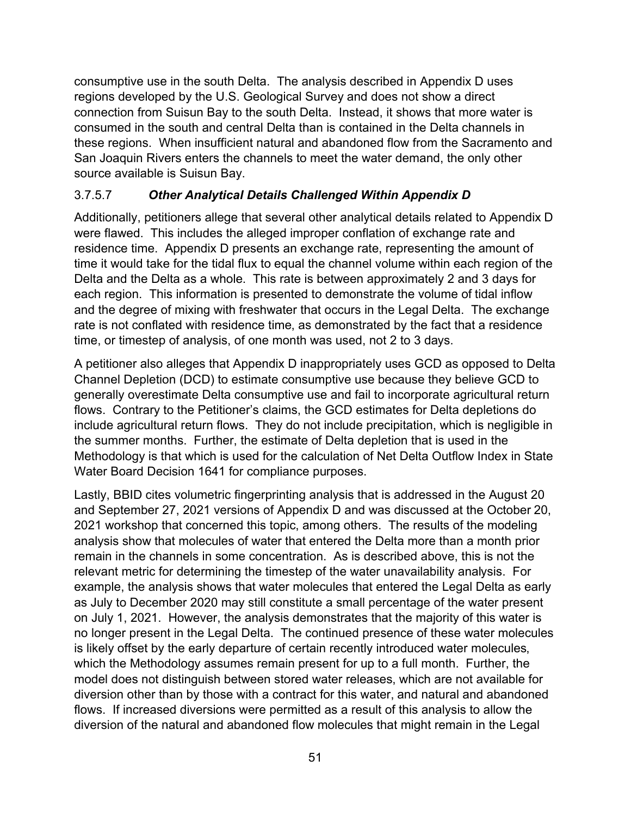consumptive use in the south Delta. The analysis described in Appendix D uses regions developed by the U.S. Geological Survey and does not show a direct connection from Suisun Bay to the south Delta. Instead, it shows that more water is consumed in the south and central Delta than is contained in the Delta channels in these regions. When insufficient natural and abandoned flow from the Sacramento and San Joaquin Rivers enters the channels to meet the water demand, the only other source available is Suisun Bay.

#### <span id="page-54-0"></span>3.7.5.7 *Other Analytical Details Challenged Within Appendix D*

Additionally, petitioners allege that several other analytical details related to Appendix D were flawed. This includes the alleged improper conflation of exchange rate and residence time. Appendix D presents an exchange rate, representing the amount of time it would take for the tidal flux to equal the channel volume within each region of the Delta and the Delta as a whole. This rate is between approximately 2 and 3 days for each region. This information is presented to demonstrate the volume of tidal inflow and the degree of mixing with freshwater that occurs in the Legal Delta. The exchange rate is not conflated with residence time, as demonstrated by the fact that a residence time, or timestep of analysis, of one month was used, not 2 to 3 days.

A petitioner also alleges that Appendix D inappropriately uses GCD as opposed to Delta Channel Depletion (DCD) to estimate consumptive use because they believe GCD to generally overestimate Delta consumptive use and fail to incorporate agricultural return flows. Contrary to the Petitioner's claims, the GCD estimates for Delta depletions do include agricultural return flows. They do not include precipitation, which is negligible in the summer months. Further, the estimate of Delta depletion that is used in the Methodology is that which is used for the calculation of Net Delta Outflow Index in State Water Board Decision 1641 for compliance purposes.

Lastly, BBID cites volumetric fingerprinting analysis that is addressed in the August 20 and September 27, 2021 versions of Appendix D and was discussed at the October 20, 2021 workshop that concerned this topic, among others. The results of the modeling analysis show that molecules of water that entered the Delta more than a month prior remain in the channels in some concentration. As is described above, this is not the relevant metric for determining the timestep of the water unavailability analysis. For example, the analysis shows that water molecules that entered the Legal Delta as early as July to December 2020 may still constitute a small percentage of the water present on July 1, 2021. However, the analysis demonstrates that the majority of this water is no longer present in the Legal Delta. The continued presence of these water molecules is likely offset by the early departure of certain recently introduced water molecules, which the Methodology assumes remain present for up to a full month. Further, the model does not distinguish between stored water releases, which are not available for diversion other than by those with a contract for this water, and natural and abandoned flows. If increased diversions were permitted as a result of this analysis to allow the diversion of the natural and abandoned flow molecules that might remain in the Legal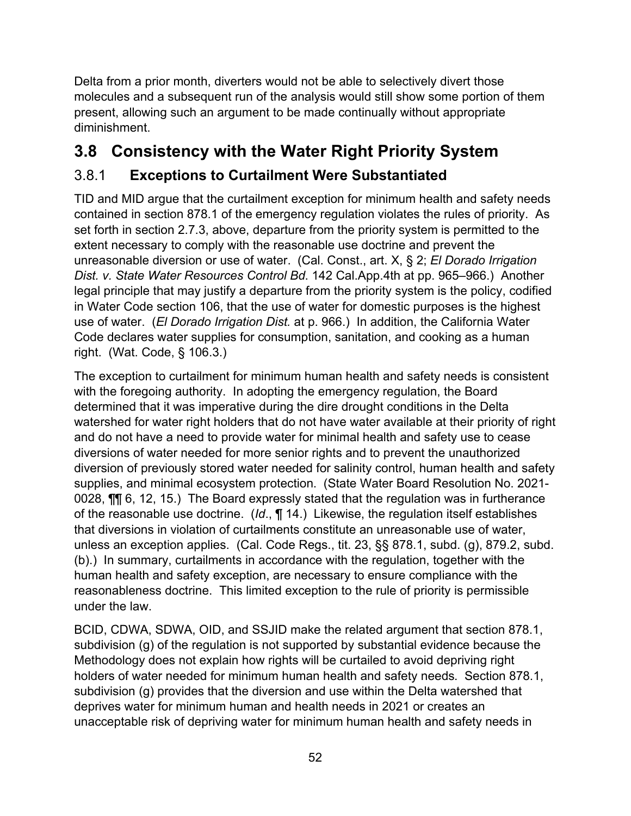Delta from a prior month, diverters would not be able to selectively divert those molecules and a subsequent run of the analysis would still show some portion of them present, allowing such an argument to be made continually without appropriate diminishment.

# <span id="page-55-0"></span>**3.8 Consistency with the Water Right Priority System**

## <span id="page-55-1"></span>3.8.1 **Exceptions to Curtailment Were Substantiated**

TID and MID argue that the curtailment exception for minimum health and safety needs contained in section 878.1 of the emergency regulation violates the rules of priority. As set forth in section [2.7.3](#page-17-0), above, departure from the priority system is permitted to the extent necessary to comply with the reasonable use doctrine and prevent the unreasonable diversion or use of water. (Cal. Const., art. X, § 2; *El Dorado Irrigation Dist. v. State Water Resources Control Bd*. 142 Cal.App.4th at pp. 965–966.) Another legal principle that may justify a departure from the priority system is the policy, codified in Water Code section 106, that the use of water for domestic purposes is the highest use of water. (*El Dorado Irrigation Dist.* at p. 966.) In addition, the California Water Code declares water supplies for consumption, sanitation, and cooking as a human right. (Wat. Code, § 106.3.)

The exception to curtailment for minimum human health and safety needs is consistent with the foregoing authority. In adopting the emergency regulation, the Board determined that it was imperative during the dire drought conditions in the Delta watershed for water right holders that do not have water available at their priority of right and do not have a need to provide water for minimal health and safety use to cease diversions of water needed for more senior rights and to prevent the unauthorized diversion of previously stored water needed for salinity control, human health and safety supplies, and minimal ecosystem protection. (State Water Board Resolution No. 2021- 0028, ¶¶ 6, 12, 15.) The Board expressly stated that the regulation was in furtherance of the reasonable use doctrine. (*Id*., ¶ 14.) Likewise, the regulation itself establishes that diversions in violation of curtailments constitute an unreasonable use of water, unless an exception applies. (Cal. Code Regs., tit. 23, §§ 878.1, subd. (g), 879.2, subd. (b).) In summary, curtailments in accordance with the regulation, together with the human health and safety exception, are necessary to ensure compliance with the reasonableness doctrine. This limited exception to the rule of priority is permissible under the law.

BCID, CDWA, SDWA, OID, and SSJID make the related argument that section 878.1, subdivision (g) of the regulation is not supported by substantial evidence because the Methodology does not explain how rights will be curtailed to avoid depriving right holders of water needed for minimum human health and safety needs. Section 878.1, subdivision (g) provides that the diversion and use within the Delta watershed that deprives water for minimum human and health needs in 2021 or creates an unacceptable risk of depriving water for minimum human health and safety needs in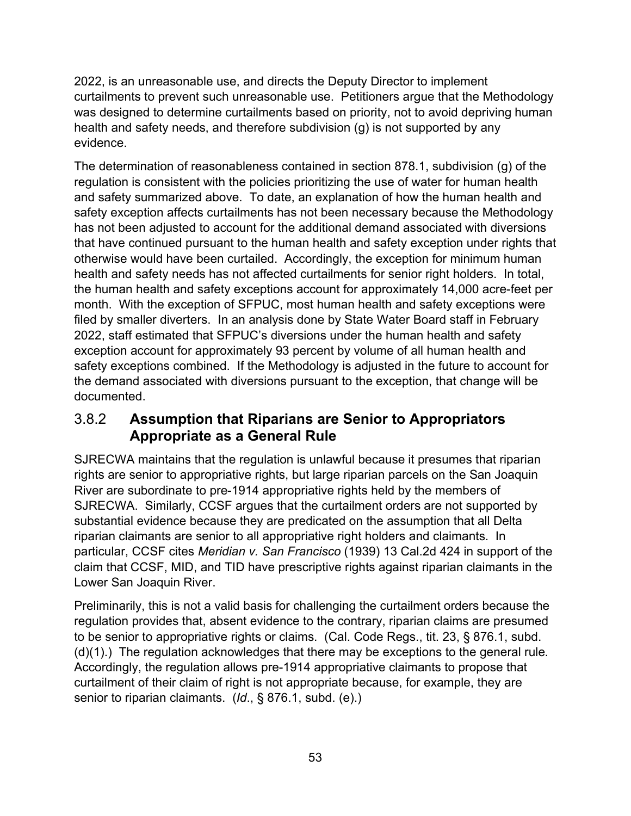2022, is an unreasonable use, and directs the Deputy Director to implement curtailments to prevent such unreasonable use. Petitioners argue that the Methodology was designed to determine curtailments based on priority, not to avoid depriving human health and safety needs, and therefore subdivision (g) is not supported by any evidence.

The determination of reasonableness contained in section 878.1, subdivision (g) of the regulation is consistent with the policies prioritizing the use of water for human health and safety summarized above. To date, an explanation of how the human health and safety exception affects curtailments has not been necessary because the Methodology has not been adjusted to account for the additional demand associated with diversions that have continued pursuant to the human health and safety exception under rights that otherwise would have been curtailed. Accordingly, the exception for minimum human health and safety needs has not affected curtailments for senior right holders. In total, the human health and safety exceptions account for approximately 14,000 acre-feet per month. With the exception of SFPUC, most human health and safety exceptions were filed by smaller diverters. In an analysis done by State Water Board staff in February 2022, staff estimated that SFPUC's diversions under the human health and safety exception account for approximately 93 percent by volume of all human health and safety exceptions combined. If the Methodology is adjusted in the future to account for the demand associated with diversions pursuant to the exception, that change will be documented.

### <span id="page-56-0"></span>3.8.2 **Assumption that Riparians are Senior to Appropriators Appropriate as a General Rule**

SJRECWA maintains that the regulation is unlawful because it presumes that riparian rights are senior to appropriative rights, but large riparian parcels on the San Joaquin River are subordinate to pre-1914 appropriative rights held by the members of SJRECWA. Similarly, CCSF argues that the curtailment orders are not supported by substantial evidence because they are predicated on the assumption that all Delta riparian claimants are senior to all appropriative right holders and claimants. In particular, CCSF cites *Meridian v. San Francisco* (1939) 13 Cal.2d 424 in support of the claim that CCSF, MID, and TID have prescriptive rights against riparian claimants in the Lower San Joaquin River.

Preliminarily, this is not a valid basis for challenging the curtailment orders because the regulation provides that, absent evidence to the contrary, riparian claims are presumed to be senior to appropriative rights or claims. (Cal. Code Regs., tit. 23, § 876.1, subd. (d)(1).) The regulation acknowledges that there may be exceptions to the general rule. Accordingly, the regulation allows pre-1914 appropriative claimants to propose that curtailment of their claim of right is not appropriate because, for example, they are senior to riparian claimants. (*Id*., § 876.1, subd. (e).)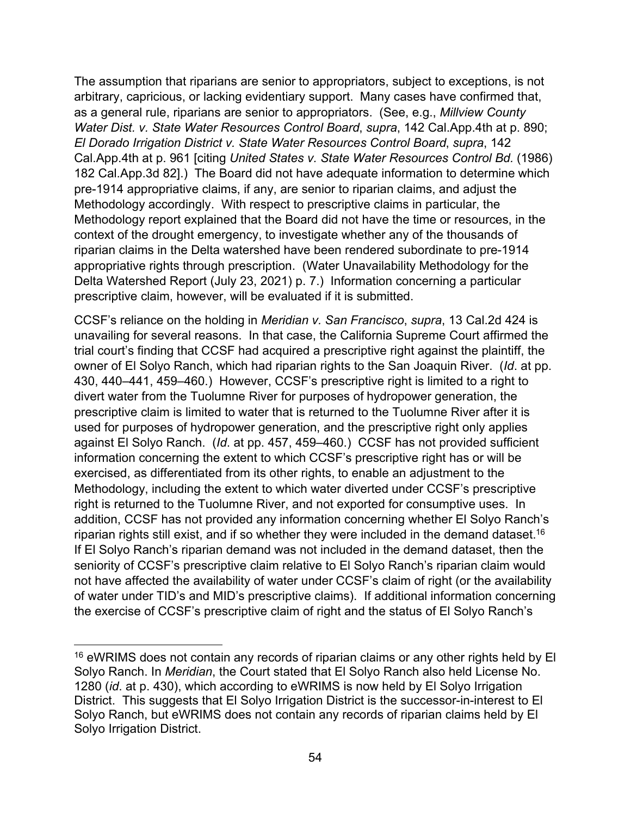The assumption that riparians are senior to appropriators, subject to exceptions, is not arbitrary, capricious, or lacking evidentiary support. Many cases have confirmed that, as a general rule, riparians are senior to appropriators. (See, e.g., *Millview County Water Dist. v. State Water Resources Control Board*, *supra*, 142 Cal.App.4th at p. 890; *El Dorado Irrigation District v. State Water Resources Control Board*, *supra*, 142 Cal.App.4th at p. 961 [citing *United States v. State Water Resources Control Bd.* (1986) 182 Cal.App.3d 82].) The Board did not have adequate information to determine which pre-1914 appropriative claims, if any, are senior to riparian claims, and adjust the Methodology accordingly. With respect to prescriptive claims in particular, the Methodology report explained that the Board did not have the time or resources, in the context of the drought emergency, to investigate whether any of the thousands of riparian claims in the Delta watershed have been rendered subordinate to pre-1914 appropriative rights through prescription. (Water Unavailability Methodology for the Delta Watershed Report (July 23, 2021) p. 7.) Information concerning a particular prescriptive claim, however, will be evaluated if it is submitted.

CCSF's reliance on the holding in *Meridian v. San Francisco*, *supra*, 13 Cal.2d 424 is unavailing for several reasons. In that case, the California Supreme Court affirmed the trial court's finding that CCSF had acquired a prescriptive right against the plaintiff, the owner of El Solyo Ranch, which had riparian rights to the San Joaquin River. (*Id*. at pp. 430, 440–441, 459–460.) However, CCSF's prescriptive right is limited to a right to divert water from the Tuolumne River for purposes of hydropower generation, the prescriptive claim is limited to water that is returned to the Tuolumne River after it is used for purposes of hydropower generation, and the prescriptive right only applies against El Solyo Ranch. (*Id*. at pp. 457, 459–460.) CCSF has not provided sufficient information concerning the extent to which CCSF's prescriptive right has or will be exercised, as differentiated from its other rights, to enable an adjustment to the Methodology, including the extent to which water diverted under CCSF's prescriptive right is returned to the Tuolumne River, and not exported for consumptive uses. In addition, CCSF has not provided any information concerning whether El Solyo Ranch's riparian rights still exist, and if so whether they were included in the demand dataset. $^{16}$  $^{16}$  $^{16}$ If El Solyo Ranch's riparian demand was not included in the demand dataset, then the seniority of CCSF's prescriptive claim relative to El Solyo Ranch's riparian claim would not have affected the availability of water under CCSF's claim of right (or the availability of water under TID's and MID's prescriptive claims). If additional information concerning the exercise of CCSF's prescriptive claim of right and the status of El Solyo Ranch's

<span id="page-57-0"></span><sup>&</sup>lt;sup>16</sup> eWRIMS does not contain any records of riparian claims or any other rights held by El Solyo Ranch. In *Meridian*, the Court stated that El Solyo Ranch also held License No. 1280 (*id*. at p. 430), which according to eWRIMS is now held by El Solyo Irrigation District. This suggests that El Solyo Irrigation District is the successor-in-interest to El Solyo Ranch, but eWRIMS does not contain any records of riparian claims held by El Solyo Irrigation District.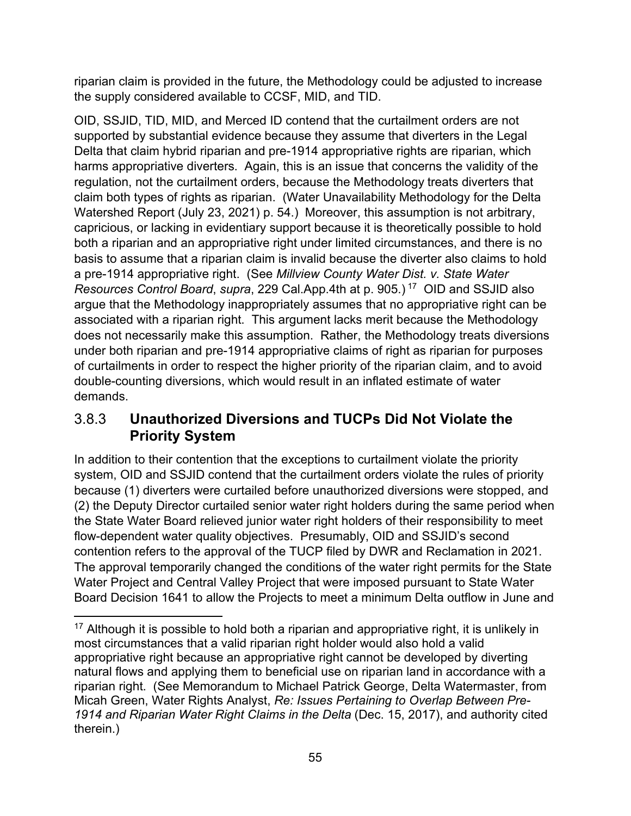riparian claim is provided in the future, the Methodology could be adjusted to increase the supply considered available to CCSF, MID, and TID.

OID, SSJID, TID, MID, and Merced ID contend that the curtailment orders are not supported by substantial evidence because they assume that diverters in the Legal Delta that claim hybrid riparian and pre-1914 appropriative rights are riparian, which harms appropriative diverters. Again, this is an issue that concerns the validity of the regulation, not the curtailment orders, because the Methodology treats diverters that claim both types of rights as riparian. (Water Unavailability Methodology for the Delta Watershed Report (July 23, 2021) p. 54.) Moreover, this assumption is not arbitrary, capricious, or lacking in evidentiary support because it is theoretically possible to hold both a riparian and an appropriative right under limited circumstances, and there is no basis to assume that a riparian claim is invalid because the diverter also claims to hold a pre-1914 appropriative right. (See *Millview County Water Dist. v. State Water Resources Control Board*, *supra*, 229 Cal.App.4th at p. 905.) [17](#page-58-1) OID and SSJID also argue that the Methodology inappropriately assumes that no appropriative right can be associated with a riparian right. This argument lacks merit because the Methodology does not necessarily make this assumption. Rather, the Methodology treats diversions under both riparian and pre-1914 appropriative claims of right as riparian for purposes of curtailments in order to respect the higher priority of the riparian claim, and to avoid double-counting diversions, which would result in an inflated estimate of water demands.

### <span id="page-58-0"></span>3.8.3 **Unauthorized Diversions and TUCPs Did Not Violate the Priority System**

In addition to their contention that the exceptions to curtailment violate the priority system, OID and SSJID contend that the curtailment orders violate the rules of priority because (1) diverters were curtailed before unauthorized diversions were stopped, and (2) the Deputy Director curtailed senior water right holders during the same period when the State Water Board relieved junior water right holders of their responsibility to meet flow-dependent water quality objectives. Presumably, OID and SSJID's second contention refers to the approval of the TUCP filed by DWR and Reclamation in 2021. The approval temporarily changed the conditions of the water right permits for the State Water Project and Central Valley Project that were imposed pursuant to State Water Board Decision 1641 to allow the Projects to meet a minimum Delta outflow in June and

<span id="page-58-1"></span> $17$  Although it is possible to hold both a riparian and appropriative right, it is unlikely in most circumstances that a valid riparian right holder would also hold a valid appropriative right because an appropriative right cannot be developed by diverting natural flows and applying them to beneficial use on riparian land in accordance with a riparian right. (See Memorandum to Michael Patrick George, Delta Watermaster, from Micah Green, Water Rights Analyst, *Re: Issues Pertaining to Overlap Between Pre-1914 and Riparian Water Right Claims in the Delta* (Dec. 15, 2017), and authority cited therein.)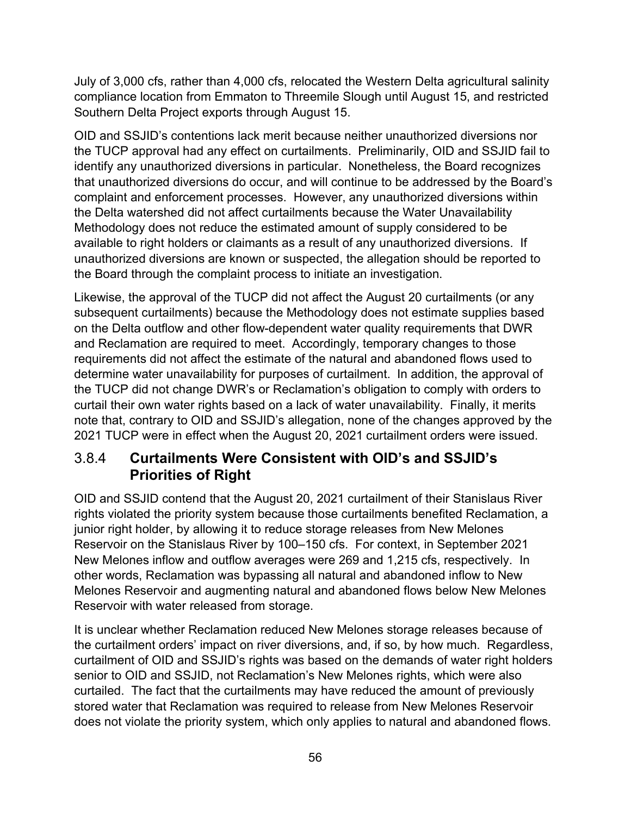July of 3,000 cfs, rather than 4,000 cfs, relocated the Western Delta agricultural salinity compliance location from Emmaton to Threemile Slough until August 15, and restricted Southern Delta Project exports through August 15.

OID and SSJID's contentions lack merit because neither unauthorized diversions nor the TUCP approval had any effect on curtailments. Preliminarily, OID and SSJID fail to identify any unauthorized diversions in particular. Nonetheless, the Board recognizes that unauthorized diversions do occur, and will continue to be addressed by the Board's complaint and enforcement processes. However, any unauthorized diversions within the Delta watershed did not affect curtailments because the Water Unavailability Methodology does not reduce the estimated amount of supply considered to be available to right holders or claimants as a result of any unauthorized diversions. If unauthorized diversions are known or suspected, the allegation should be reported to the Board through the complaint process to initiate an investigation.

Likewise, the approval of the TUCP did not affect the August 20 curtailments (or any subsequent curtailments) because the Methodology does not estimate supplies based on the Delta outflow and other flow-dependent water quality requirements that DWR and Reclamation are required to meet. Accordingly, temporary changes to those requirements did not affect the estimate of the natural and abandoned flows used to determine water unavailability for purposes of curtailment. In addition, the approval of the TUCP did not change DWR's or Reclamation's obligation to comply with orders to curtail their own water rights based on a lack of water unavailability. Finally, it merits note that, contrary to OID and SSJID's allegation, none of the changes approved by the 2021 TUCP were in effect when the August 20, 2021 curtailment orders were issued.

### <span id="page-59-0"></span>3.8.4 **Curtailments Were Consistent with OID's and SSJID's Priorities of Right**

OID and SSJID contend that the August 20, 2021 curtailment of their Stanislaus River rights violated the priority system because those curtailments benefited Reclamation, a junior right holder, by allowing it to reduce storage releases from New Melones Reservoir on the Stanislaus River by 100–150 cfs. For context, in September 2021 New Melones inflow and outflow averages were 269 and 1,215 cfs, respectively. In other words, Reclamation was bypassing all natural and abandoned inflow to New Melones Reservoir and augmenting natural and abandoned flows below New Melones Reservoir with water released from storage.

It is unclear whether Reclamation reduced New Melones storage releases because of the curtailment orders' impact on river diversions, and, if so, by how much. Regardless, curtailment of OID and SSJID's rights was based on the demands of water right holders senior to OID and SSJID, not Reclamation's New Melones rights, which were also curtailed. The fact that the curtailments may have reduced the amount of previously stored water that Reclamation was required to release from New Melones Reservoir does not violate the priority system, which only applies to natural and abandoned flows.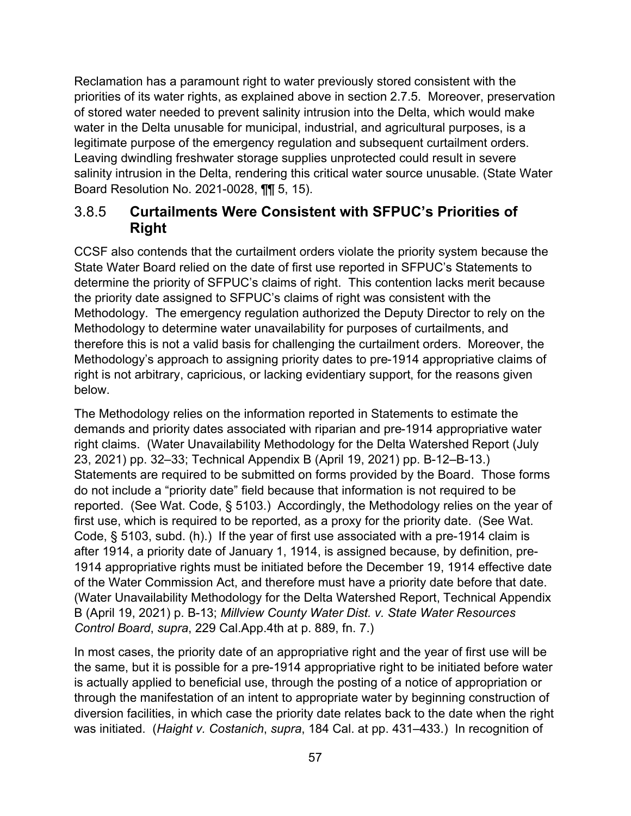Reclamation has a paramount right to water previously stored consistent with the priorities of its water rights, as explained above in section 2.7.5. Moreover, preservation of stored water needed to prevent salinity intrusion into the Delta, which would make water in the Delta unusable for municipal, industrial, and agricultural purposes, is a legitimate purpose of the emergency regulation and subsequent curtailment orders. Leaving dwindling freshwater storage supplies unprotected could result in severe salinity intrusion in the Delta, rendering this critical water source unusable. (State Water Board Resolution No. 2021-0028, ¶¶ 5, 15).

### <span id="page-60-0"></span>3.8.5 **Curtailments Were Consistent with SFPUC's Priorities of Right**

CCSF also contends that the curtailment orders violate the priority system because the State Water Board relied on the date of first use reported in SFPUC's Statements to determine the priority of SFPUC's claims of right. This contention lacks merit because the priority date assigned to SFPUC's claims of right was consistent with the Methodology. The emergency regulation authorized the Deputy Director to rely on the Methodology to determine water unavailability for purposes of curtailments, and therefore this is not a valid basis for challenging the curtailment orders. Moreover, the Methodology's approach to assigning priority dates to pre-1914 appropriative claims of right is not arbitrary, capricious, or lacking evidentiary support, for the reasons given below.

The Methodology relies on the information reported in Statements to estimate the demands and priority dates associated with riparian and pre-1914 appropriative water right claims. (Water Unavailability Methodology for the Delta Watershed Report (July 23, 2021) pp. 32–33; Technical Appendix B (April 19, 2021) pp. B-12–B-13.) Statements are required to be submitted on forms provided by the Board. Those forms do not include a "priority date" field because that information is not required to be reported. (See Wat. Code, § 5103.) Accordingly, the Methodology relies on the year of first use, which is required to be reported, as a proxy for the priority date. (See Wat. Code, § 5103, subd. (h).) If the year of first use associated with a pre-1914 claim is after 1914, a priority date of January 1, 1914, is assigned because, by definition, pre-1914 appropriative rights must be initiated before the December 19, 1914 effective date of the Water Commission Act, and therefore must have a priority date before that date. (Water Unavailability Methodology for the Delta Watershed Report, Technical Appendix B (April 19, 2021) p. B-13; *Millview County Water Dist. v. State Water Resources Control Board*, *supra*, 229 Cal.App.4th at p. 889, fn. 7.)

In most cases, the priority date of an appropriative right and the year of first use will be the same, but it is possible for a pre-1914 appropriative right to be initiated before water is actually applied to beneficial use, through the posting of a notice of appropriation or through the manifestation of an intent to appropriate water by beginning construction of diversion facilities, in which case the priority date relates back to the date when the right was initiated. (*Haight v. Costanich*, *supra*, 184 Cal. at pp. 431–433.) In recognition of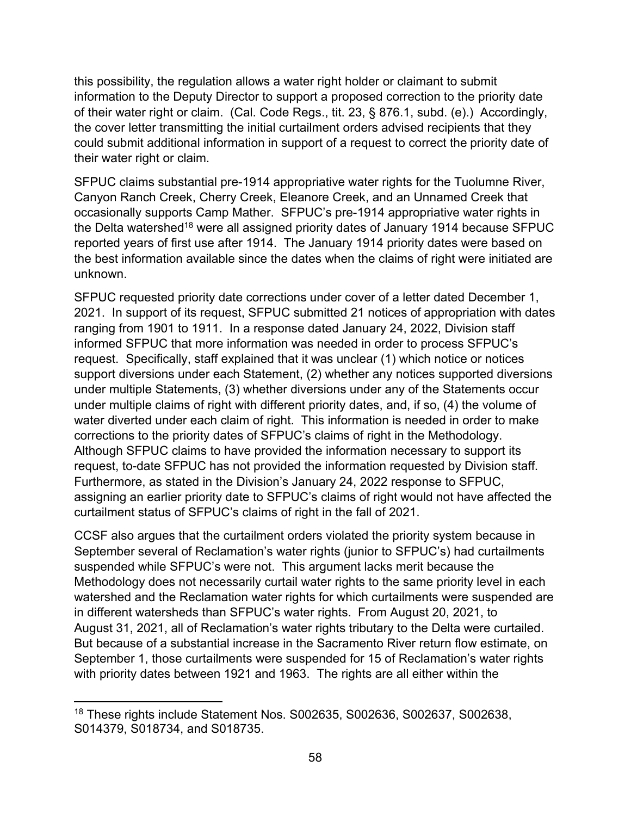this possibility, the regulation allows a water right holder or claimant to submit information to the Deputy Director to support a proposed correction to the priority date of their water right or claim. (Cal. Code Regs., tit. 23, § 876.1, subd. (e).) Accordingly, the cover letter transmitting the initial curtailment orders advised recipients that they could submit additional information in support of a request to correct the priority date of their water right or claim.

SFPUC claims substantial pre-1914 appropriative water rights for the Tuolumne River, Canyon Ranch Creek, Cherry Creek, Eleanore Creek, and an Unnamed Creek that occasionally supports Camp Mather. SFPUC's pre-1914 appropriative water rights in the Delta watershed<sup>[18](#page-61-0)</sup> were all assigned priority dates of January 1914 because SFPUC reported years of first use after 1914. The January 1914 priority dates were based on the best information available since the dates when the claims of right were initiated are unknown.

SFPUC requested priority date corrections under cover of a letter dated December 1, 2021. In support of its request, SFPUC submitted 21 notices of appropriation with dates ranging from 1901 to 1911. In a response dated January 24, 2022, Division staff informed SFPUC that more information was needed in order to process SFPUC's request. Specifically, staff explained that it was unclear (1) which notice or notices support diversions under each Statement, (2) whether any notices supported diversions under multiple Statements, (3) whether diversions under any of the Statements occur under multiple claims of right with different priority dates, and, if so, (4) the volume of water diverted under each claim of right. This information is needed in order to make corrections to the priority dates of SFPUC's claims of right in the Methodology. Although SFPUC claims to have provided the information necessary to support its request, to-date SFPUC has not provided the information requested by Division staff. Furthermore, as stated in the Division's January 24, 2022 response to SFPUC, assigning an earlier priority date to SFPUC's claims of right would not have affected the curtailment status of SFPUC's claims of right in the fall of 2021.

CCSF also argues that the curtailment orders violated the priority system because in September several of Reclamation's water rights (junior to SFPUC's) had curtailments suspended while SFPUC's were not. This argument lacks merit because the Methodology does not necessarily curtail water rights to the same priority level in each watershed and the Reclamation water rights for which curtailments were suspended are in different watersheds than SFPUC's water rights. From August 20, 2021, to August 31, 2021, all of Reclamation's water rights tributary to the Delta were curtailed. But because of a substantial increase in the Sacramento River return flow estimate, on September 1, those curtailments were suspended for 15 of Reclamation's water rights with priority dates between 1921 and 1963. The rights are all either within the

<span id="page-61-0"></span><sup>18</sup> These rights include Statement Nos. S002635, S002636, S002637, S002638, S014379, S018734, and S018735.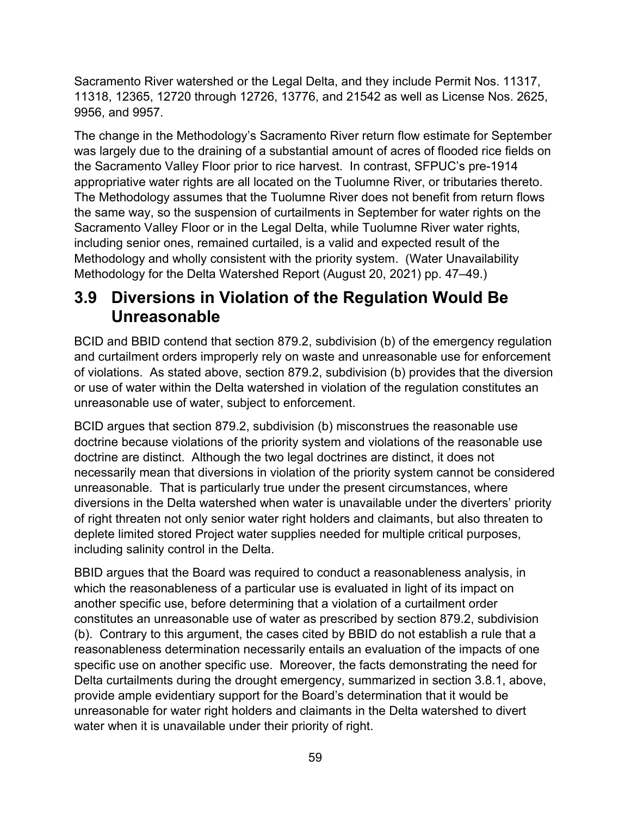Sacramento River watershed or the Legal Delta, and they include Permit Nos. 11317, 11318, 12365, 12720 through 12726, 13776, and 21542 as well as License Nos. 2625, 9956, and 9957.

The change in the Methodology's Sacramento River return flow estimate for September was largely due to the draining of a substantial amount of acres of flooded rice fields on the Sacramento Valley Floor prior to rice harvest. In contrast, SFPUC's pre-1914 appropriative water rights are all located on the Tuolumne River, or tributaries thereto. The Methodology assumes that the Tuolumne River does not benefit from return flows the same way, so the suspension of curtailments in September for water rights on the Sacramento Valley Floor or in the Legal Delta, while Tuolumne River water rights, including senior ones, remained curtailed, is a valid and expected result of the Methodology and wholly consistent with the priority system. (Water Unavailability Methodology for the Delta Watershed Report (August 20, 2021) pp. 47–49.)

## <span id="page-62-0"></span>**3.9 Diversions in Violation of the Regulation Would Be Unreasonable**

BCID and BBID contend that section 879.2, subdivision (b) of the emergency regulation and curtailment orders improperly rely on waste and unreasonable use for enforcement of violations. As stated above, section 879.2, subdivision (b) provides that the diversion or use of water within the Delta watershed in violation of the regulation constitutes an unreasonable use of water, subject to enforcement.

BCID argues that section 879.2, subdivision (b) misconstrues the reasonable use doctrine because violations of the priority system and violations of the reasonable use doctrine are distinct. Although the two legal doctrines are distinct, it does not necessarily mean that diversions in violation of the priority system cannot be considered unreasonable. That is particularly true under the present circumstances, where diversions in the Delta watershed when water is unavailable under the diverters' priority of right threaten not only senior water right holders and claimants, but also threaten to deplete limited stored Project water supplies needed for multiple critical purposes, including salinity control in the Delta.

BBID argues that the Board was required to conduct a reasonableness analysis, in which the reasonableness of a particular use is evaluated in light of its impact on another specific use, before determining that a violation of a curtailment order constitutes an unreasonable use of water as prescribed by section 879.2, subdivision (b). Contrary to this argument, the cases cited by BBID do not establish a rule that a reasonableness determination necessarily entails an evaluation of the impacts of one specific use on another specific use. Moreover, the facts demonstrating the need for Delta curtailments during the drought emergency, summarized in section [3.8.1,](#page-55-1) above, provide ample evidentiary support for the Board's determination that it would be unreasonable for water right holders and claimants in the Delta watershed to divert water when it is unavailable under their priority of right.